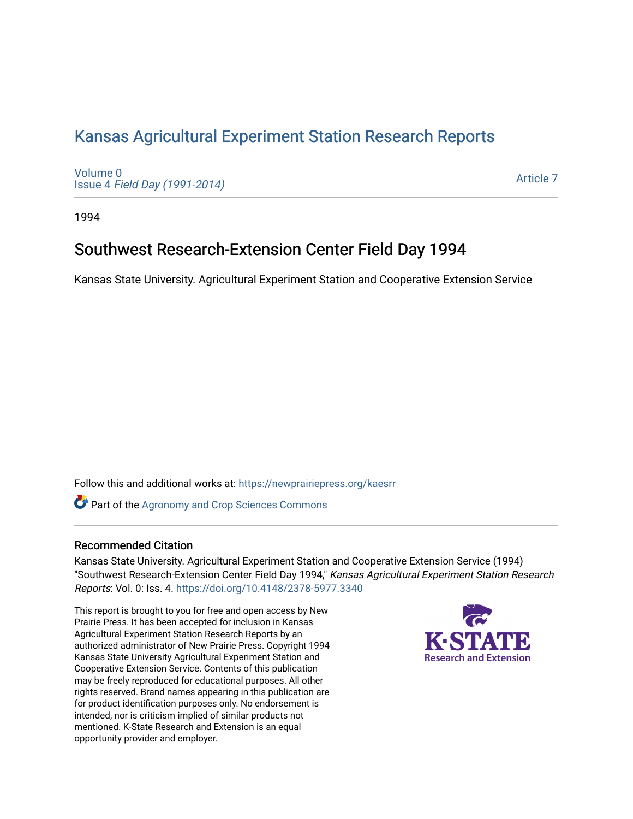# [Kansas Agricultural Experiment Station Research Reports](https://newprairiepress.org/kaesrr)

[Volume 0](https://newprairiepress.org/kaesrr/vol0) Issue 4 [Field Day \(1991-2014\)](https://newprairiepress.org/kaesrr/vol0/iss4)

[Article 7](https://newprairiepress.org/kaesrr/vol0/iss4/7) 

1994

# Southwest Research-Extension Center Field Day 1994

Kansas State University. Agricultural Experiment Station and Cooperative Extension Service

Follow this and additional works at: [https://newprairiepress.org/kaesrr](https://newprairiepress.org/kaesrr?utm_source=newprairiepress.org%2Fkaesrr%2Fvol0%2Fiss4%2F7&utm_medium=PDF&utm_campaign=PDFCoverPages) 

**Part of the Agronomy and Crop Sciences Commons** 

# Recommended Citation

Kansas State University. Agricultural Experiment Station and Cooperative Extension Service (1994) "Southwest Research-Extension Center Field Day 1994," Kansas Agricultural Experiment Station Research Reports: Vol. 0: Iss. 4.<https://doi.org/10.4148/2378-5977.3340>

This report is brought to you for free and open access by New Prairie Press. It has been accepted for inclusion in Kansas Agricultural Experiment Station Research Reports by an authorized administrator of New Prairie Press. Copyright 1994 Kansas State University Agricultural Experiment Station and Cooperative Extension Service. Contents of this publication may be freely reproduced for educational purposes. All other rights reserved. Brand names appearing in this publication are for product identification purposes only. No endorsement is intended, nor is criticism implied of similar products not mentioned. K-State Research and Extension is an equal opportunity provider and employer.

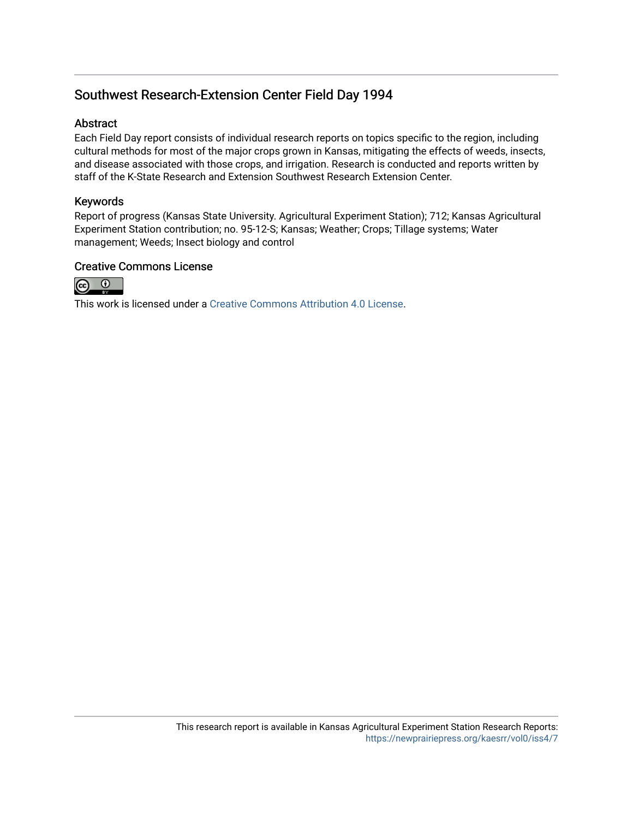# Southwest Research-Extension Center Field Day 1994

# Abstract

Each Field Day report consists of individual research reports on topics specific to the region, including cultural methods for most of the major crops grown in Kansas, mitigating the effects of weeds, insects, and disease associated with those crops, and irrigation. Research is conducted and reports written by staff of the K-State Research and Extension Southwest Research Extension Center.

# Keywords

Report of progress (Kansas State University. Agricultural Experiment Station); 712; Kansas Agricultural Experiment Station contribution; no. 95-12-S; Kansas; Weather; Crops; Tillage systems; Water management; Weeds; Insect biology and control

# Creative Commons License



This work is licensed under a [Creative Commons Attribution 4.0 License](https://creativecommons.org/licenses/by/4.0/).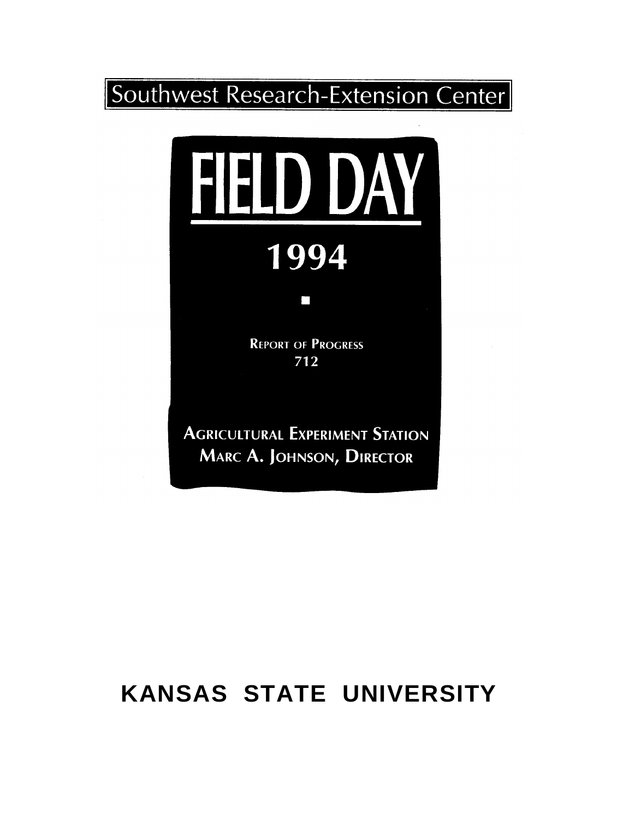

# 1994

П

**REPORT OF PROGRESS** 712

**AGRICULTURAL EXPERIMENT STATION** MARC A. JOHNSON, DIRECTOR

# **KANSAS STATE UNIVERSITY**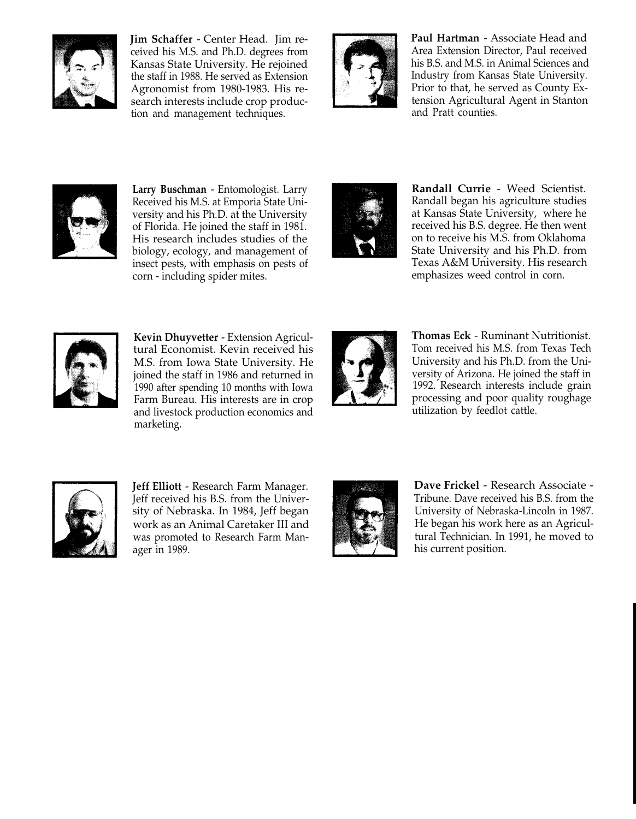

**Jim Schaffer** - Center Head. Jim received his M.S. and Ph.D. degrees from Kansas State University. He rejoined the staff in 1988. He served as Extension Agronomist from 1980-1983. His research interests include crop production and management techniques.



**Paul Hartman** - Associate Head and Area Extension Director, Paul received his B.S. and M.S. in Animal Sciences and Industry from Kansas State University. Prior to that, he served as County Extension Agricultural Agent in Stanton and Pratt counties.



**Larry Buschman** - Entomologist. Larry Received his M.S. at Emporia State University and his Ph.D. at the University of Florida. He joined the staff in 1981. His research includes studies of the biology, ecology, and management of insect pests, with emphasis on pests of corn - including spider mites.



**Randall Currie** - Weed Scientist. Randall began his agriculture studies at Kansas State University, where he received his B.S. degree. He then went on to receive his M.S. from Oklahoma State University and his Ph.D. from Texas A&M University. His research emphasizes weed control in corn.



**Kevin Dhuyvetter** - Extension Agricultural Economist. Kevin received his M.S. from Iowa State University. He joined the staff in 1986 and returned in 1990 after spending 10 months with Iowa Farm Bureau. His interests are in crop and livestock production economics and marketing.



**Thomas Eck** - Ruminant Nutritionist. Tom received his M.S. from Texas Tech University and his Ph.D. from the University of Arizona. He joined the staff in 1992. Research interests include grain processing and poor quality roughage utilization by feedlot cattle.



**Jeff Elliott** - Research Farm Manager. Jeff received his B.S. from the University of Nebraska. In 1984, Jeff began work as an Animal Caretaker III and was promoted to Research Farm Manager in 1989.



**Dave Frickel** - Research Associate - Tribune. Dave received his B.S. from the University of Nebraska-Lincoln in 1987. He began his work here as an Agricultural Technician. In 1991, he moved to his current position.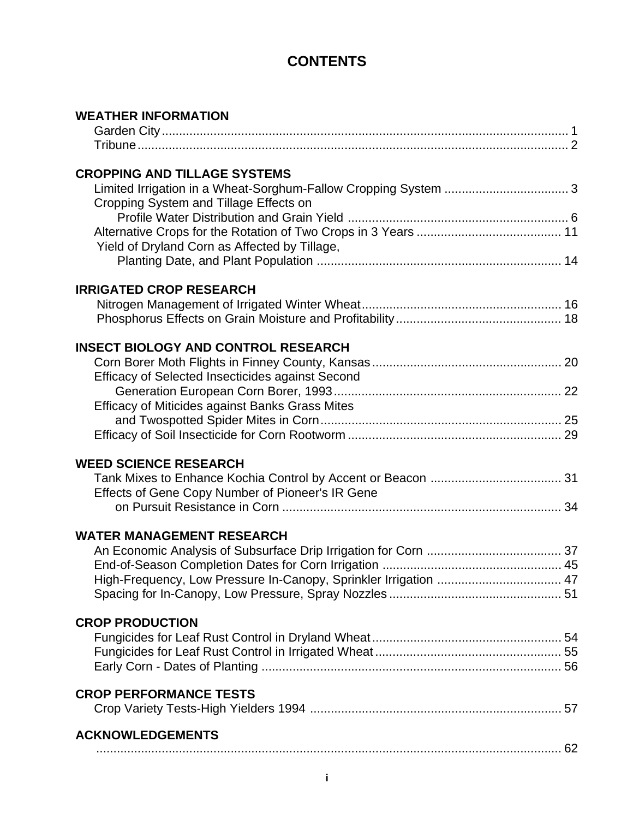# **CONTENTS**

| <b>WEATHER INFORMATION</b>                                       |  |
|------------------------------------------------------------------|--|
|                                                                  |  |
|                                                                  |  |
| <b>CROPPING AND TILLAGE SYSTEMS</b>                              |  |
|                                                                  |  |
| Cropping System and Tillage Effects on                           |  |
|                                                                  |  |
|                                                                  |  |
| Yield of Dryland Corn as Affected by Tillage,                    |  |
|                                                                  |  |
| <b>IRRIGATED CROP RESEARCH</b>                                   |  |
|                                                                  |  |
|                                                                  |  |
| <b>INSECT BIOLOGY AND CONTROL RESEARCH</b>                       |  |
|                                                                  |  |
| Efficacy of Selected Insecticides against Second                 |  |
|                                                                  |  |
| Efficacy of Miticides against Banks Grass Mites                  |  |
|                                                                  |  |
|                                                                  |  |
| <b>WEED SCIENCE RESEARCH</b>                                     |  |
|                                                                  |  |
| Effects of Gene Copy Number of Pioneer's IR Gene                 |  |
|                                                                  |  |
| <b>WATER MANAGEMENT RESEARCH</b>                                 |  |
|                                                                  |  |
|                                                                  |  |
| High-Frequency, Low Pressure In-Canopy, Sprinkler Irrigation  47 |  |
|                                                                  |  |
|                                                                  |  |
| <b>CROP PRODUCTION</b>                                           |  |
|                                                                  |  |
|                                                                  |  |
|                                                                  |  |
| <b>CROP PERFORMANCE TESTS</b>                                    |  |
|                                                                  |  |
| <b>ACKNOWLEDGEMENTS</b>                                          |  |
|                                                                  |  |
|                                                                  |  |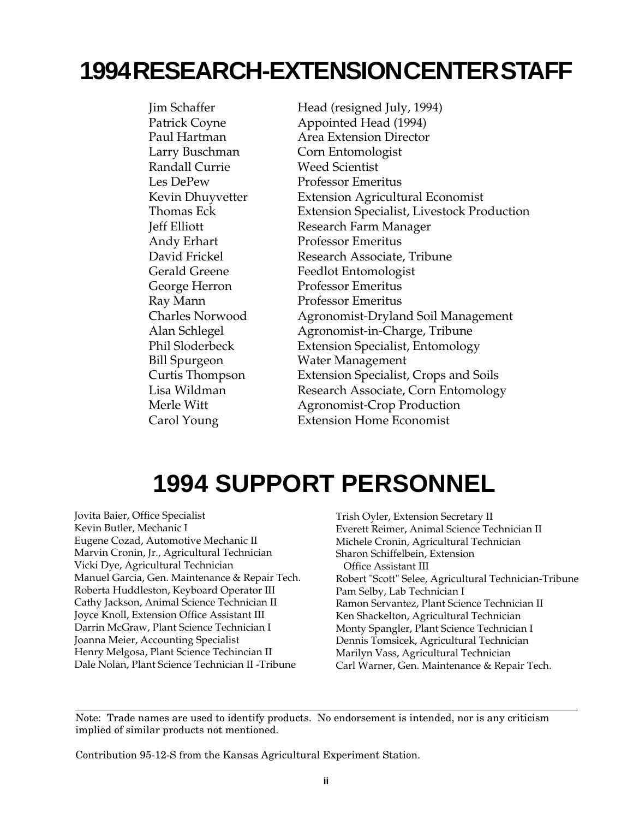# **1994 RESEARCH-EXTENSION CENTER STAFF**

Randall Currie Weed Scientist

Jim Schaffer Head (resigned July, 1994) Patrick Coyne **Appointed Head (1994)** Paul Hartman Area Extension Director Larry Buschman Corn Entomologist Les DePew Professor Emeritus Kevin Dhuyvetter Extension Agricultural Economist Thomas Eck Extension Specialist, Livestock Production Jeff Elliott Research Farm Manager Andy Erhart Professor Emeritus David Frickel Research Associate, Tribune Gerald Greene Feedlot Entomologist George Herron Professor Emeritus Ray Mann Professor Emeritus Charles Norwood Agronomist-Dryland Soil Management Alan Schlegel Agronomist-in-Charge, Tribune Phil Sloderbeck Extension Specialist, Entomology Bill Spurgeon Water Management Curtis Thompson Extension Specialist, Crops and Soils Lisa Wildman Research Associate, Corn Entomology Merle Witt **Agronomist-Crop Production** Carol Young Extension Home Economist

# **1994 SUPPORT PERSONNEL**

Jovita Baier, Office Specialist Kevin Butler, Mechanic I Eugene Cozad, Automotive Mechanic II Marvin Cronin, Jr., Agricultural Technician Vicki Dye, Agricultural Technician Manuel Garcia, Gen. Maintenance & Repair Tech. Roberta Huddleston, Keyboard Operator III Cathy Jackson, Animal Science Technician II Joyce Knoll, Extension Office Assistant III Darrin McGraw, Plant Science Technician I Joanna Meier, Accounting Specialist Henry Melgosa, Plant Science Techincian II Dale Nolan, Plant Science Technician II -Tribune

Trish Oyler, Extension Secretary II Everett Reimer, Animal Science Technician II Michele Cronin, Agricultural Technician Sharon Schiffelbein, Extension Office Assistant III Robert "Scott" Selee, Agricultural Technician-Tribune Pam Selby, Lab Technician I Ramon Servantez, Plant Science Technician II Ken Shackelton, Agricultural Technician Monty Spangler, Plant Science Technician I Dennis Tomsicek, Agricultural Technician Marilyn Vass, Agricultural Technician Carl Warner, Gen. Maintenance & Repair Tech.

Note: Trade names are used to identify products. No endorsement is intended, nor is any criticism implied of similar products not mentioned.

Contribution 95-12-S from the Kansas Agricultural Experiment Station.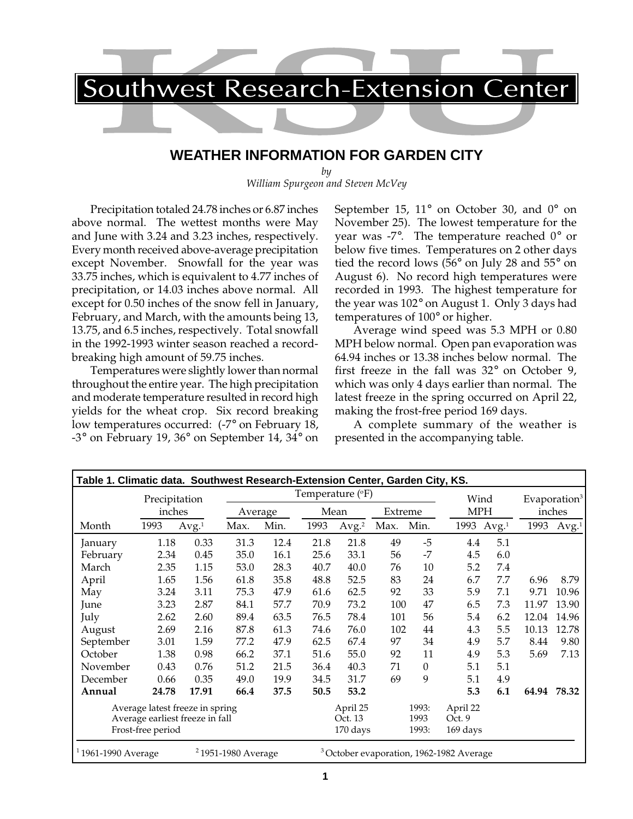# **WEATHER INFORMATION FOR GARDEN CITY**

*by William Spurgeon and Steven McVey*

Precipitation totaled 24.78 inches or 6.87 inches above normal. The wettest months were May and June with 3.24 and 3.23 inches, respectively. Every month received above-average precipitation except November. Snowfall for the year was 33.75 inches, which is equivalent to 4.77 inches of precipitation, or 14.03 inches above normal. All except for 0.50 inches of the snow fell in January, February, and March, with the amounts being 13, 13.75, and 6.5 inches, respectively. Total snowfall in the 1992-1993 winter season reached a recordbreaking high amount of 59.75 inches.

Temperatures were slightly lower than normal throughout the entire year. The high precipitation and moderate temperature resulted in record high yields for the wheat crop. Six record breaking low temperatures occurred: (-7° on February 18, -3° on February 19, 36° on September 14, 34° on September 15,  $11^{\circ}$  on October 30, and  $0^{\circ}$  on November 25). The lowest temperature for the year was -7 $^{\circ}$ . The temperature reached  $0^{\circ}$  or below five times. Temperatures on 2 other days tied the record lows (56° on July 28 and 55° on August 6). No record high temperatures were recorded in 1993. The highest temperature for the year was 102° on August 1. Only 3 days had temperatures of 100° or higher.

Average wind speed was 5.3 MPH or 0.80 MPH below normal. Open pan evaporation was 64.94 inches or 13.38 inches below normal. The first freeze in the fall was 32° on October 9, which was only 4 days earlier than normal. The latest freeze in the spring occurred on April 22, making the frost-free period 169 days.

A complete summary of the weather is presented in the accompanying table.

|                                                          | Table 1. Climatic data. Southwest Research-Extension Center, Garden City, KS. |                                 |         |         |                           |                   |        |          |                                                     |                   |       |                          |  |
|----------------------------------------------------------|-------------------------------------------------------------------------------|---------------------------------|---------|---------|---------------------------|-------------------|--------|----------|-----------------------------------------------------|-------------------|-------|--------------------------|--|
|                                                          | Precipitation                                                                 |                                 |         |         | Temperature $(^{\circ}F)$ |                   |        |          | Wind                                                |                   |       | Evaporation <sup>3</sup> |  |
|                                                          | inches                                                                        |                                 | Average |         | Mean                      |                   |        | Extreme  |                                                     | <b>MPH</b>        |       | inches                   |  |
| Month                                                    | 1993                                                                          | Avg. <sup>1</sup>               | Max.    | Min.    | 1993                      | Avg. <sup>2</sup> | Max.   | Min.     | 1993                                                | Avg. <sup>1</sup> | 1993  | Avg. <sup>1</sup>        |  |
| January                                                  | 1.18                                                                          | 0.33                            | 31.3    | 12.4    | 21.8                      | 21.8              | 49     | $-5$     | 4.4                                                 | 5.1               |       |                          |  |
| February                                                 | 2.34                                                                          | 0.45                            | 35.0    | 16.1    | 25.6                      | 33.1              | 56     | $-7$     | 4.5                                                 | 6.0               |       |                          |  |
| March                                                    | 2.35                                                                          | 1.15                            | 53.0    | 28.3    | 40.7                      | 40.0              | 76     | 10       | 5.2                                                 | 7.4               |       |                          |  |
| April                                                    | 1.65                                                                          | 1.56                            | 61.8    | 35.8    | 48.8                      | 52.5              | 83     | 24       | 6.7                                                 | 7.7               | 6.96  | 8.79                     |  |
| May                                                      | 3.24                                                                          | 3.11                            | 75.3    | 47.9    | 61.6                      | 62.5              | 92     | 33       | 5.9                                                 | 7.1               | 9.71  | 10.96                    |  |
| June                                                     | 3.23                                                                          | 2.87                            | 84.1    | 57.7    | 70.9                      | 73.2              | 100    | 47       | 6.5                                                 | 7.3               | 11.97 | 13.90                    |  |
| July                                                     | 2.62                                                                          | 2.60                            | 89.4    | 63.5    | 76.5                      | 78.4              | 101    | 56       | 5.4                                                 | 6.2               | 12.04 | 14.96                    |  |
| August                                                   | 2.69                                                                          | 2.16                            | 87.8    | 61.3    | 74.6                      | 76.0              | 102    | 44       | 4.3                                                 | 5.5               | 10.13 | 12.78                    |  |
| September                                                | 3.01                                                                          | 1.59                            | 77.2    | 47.9    | 62.5                      | 67.4              | 97     | 34       | 4.9                                                 | 5.7               | 8.44  | 9.80                     |  |
| October                                                  | 1.38                                                                          | 0.98                            | 66.2    | 37.1    | 51.6                      | 55.0              | 92     | 11       | 4.9                                                 | 5.3               | 5.69  | 7.13                     |  |
| November                                                 | 0.43                                                                          | 0.76                            | 51.2    | 21.5    | 36.4                      | 40.3              | 71     | $\theta$ | 5.1                                                 | 5.1               |       |                          |  |
| December                                                 | 0.66                                                                          | 0.35                            | 49.0    | 19.9    | 34.5                      | 31.7              | 69     | 9        | 5.1                                                 | 4.9               |       |                          |  |
| Annual                                                   | 24.78                                                                         | 17.91                           | 66.4    | 37.5    | 50.5                      | 53.2              |        |          | 5.3                                                 | 6.1               | 64.94 | 78.32                    |  |
|                                                          |                                                                               | Average latest freeze in spring |         |         |                           | April 25          |        | 1993:    | April 22                                            |                   |       |                          |  |
| Average earliest freeze in fall                          |                                                                               |                                 |         | Oct. 13 |                           | 1993              | Oct. 9 |          |                                                     |                   |       |                          |  |
| Frost-free period                                        |                                                                               |                                 |         |         | 170 days                  |                   | 1993:  | 169 days |                                                     |                   |       |                          |  |
| $11961 - 1990$ Average<br><sup>2</sup> 1951-1980 Average |                                                                               |                                 |         |         |                           |                   |        |          | <sup>3</sup> October evaporation, 1962-1982 Average |                   |       |                          |  |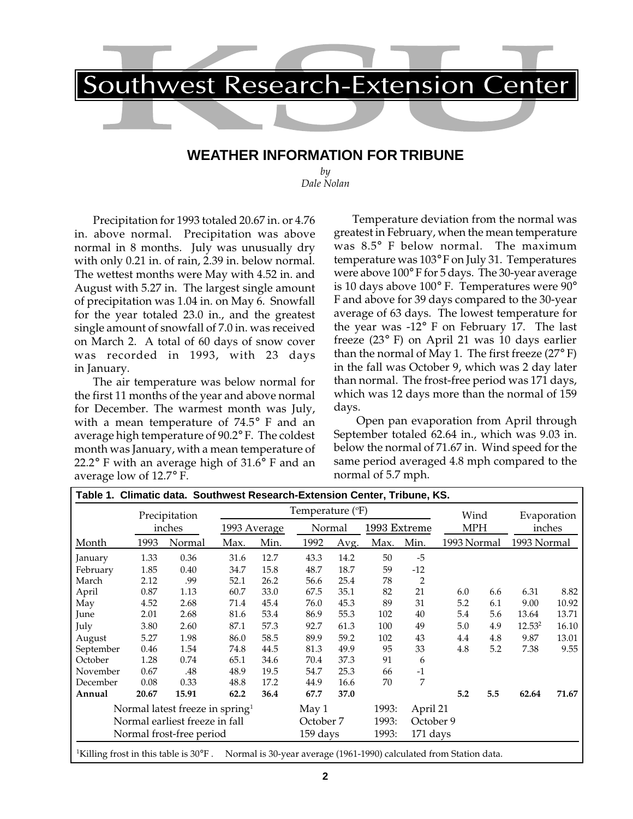

# **WEATHER INFORMATION FOR TRIBUNE**

*by Dale Nolan*

Precipitation for 1993 totaled 20.67 in. or 4.76 in. above normal. Precipitation was above normal in 8 months. July was unusually dry with only 0.21 in. of rain, 2.39 in. below normal. The wettest months were May with 4.52 in. and August with 5.27 in. The largest single amount of precipitation was 1.04 in. on May 6. Snowfall for the year totaled 23.0 in., and the greatest single amount of snowfall of 7.0 in. was received on March 2. A total of 60 days of snow cover was recorded in 1993, with 23 days in January.

The air temperature was below normal for the first 11 months of the year and above normal for December. The warmest month was July, with a mean temperature of 74.5° F and an average high temperature of 90.2° F. The coldest month was January, with a mean temperature of 22.2° F with an average high of 31.6° F and an average low of 12.7° F.

Temperature deviation from the normal was greatest in February, when the mean temperature was 8.5° F below normal. The maximum temperature was 103° F on July 31. Temperatures were above 100° F for 5 days. The 30-year average is 10 days above 100° F. Temperatures were 90° F and above for 39 days compared to the 30-year average of 63 days. The lowest temperature for the year was -12° F on February 17. The last freeze (23° F) on April 21 was 10 days earlier than the normal of May 1. The first freeze  $(27^{\circ} \text{F})$ in the fall was October 9, which was 2 day later than normal. The frost-free period was 171 days, which was 12 days more than the normal of 159 days.

 Open pan evaporation from April through September totaled 62.64 in., which was 9.03 in. below the normal of 71.67 in. Wind speed for the same period averaged 4.8 mph compared to the normal of 5.7 mph.

|                                |        | Precipitation                      |              |           | Temperature (°F) |       |              |                | Wind        |     | Evaporation        |       |
|--------------------------------|--------|------------------------------------|--------------|-----------|------------------|-------|--------------|----------------|-------------|-----|--------------------|-------|
|                                | inches |                                    | 1993 Average |           | Normal           |       | 1993 Extreme |                | <b>MPH</b>  |     | inches             |       |
| Month                          | 1993   | Normal                             | Max.         | Min.      | 1992             | Avg.  | Max.         | Min.           | 1993 Normal |     | 1993 Normal        |       |
| January                        | 1.33   | 0.36                               | 31.6         | 12.7      | 43.3             | 14.2  | 50           | $-5$           |             |     |                    |       |
| February                       | 1.85   | 0.40                               | 34.7         | 15.8      | 48.7             | 18.7  | 59           | $-12$          |             |     |                    |       |
| March                          | 2.12   | .99                                | 52.1         | 26.2      | 56.6             | 25.4  | 78           | $\overline{2}$ |             |     |                    |       |
| April                          | 0.87   | 1.13                               | 60.7         | 33.0      | 67.5             | 35.1  | 82           | 21             | 6.0         | 6.6 | 6.31               | 8.82  |
| May                            | 4.52   | 2.68                               | 71.4         | 45.4      | 76.0             | 45.3  | 89           | 31             | 5.2         | 6.1 | 9.00               | 10.92 |
| June                           | 2.01   | 2.68                               | 81.6         | 53.4      | 86.9             | 55.3  | 102          | 40             | 5.4         | 5.6 | 13.64              | 13.71 |
| July                           | 3.80   | 2.60                               | 87.1         | 57.3      | 92.7             | 61.3  | 100          | 49             | 5.0         | 4.9 | 12.53 <sup>2</sup> | 16.10 |
| August                         | 5.27   | 1.98                               | 86.0         | 58.5      | 89.9             | 59.2  | 102          | 43             | 4.4         | 4.8 | 9.87               | 13.01 |
| September                      | 0.46   | 1.54                               | 74.8         | 44.5      | 81.3             | 49.9  | 95           | 33             | 4.8         | 5.2 | 7.38               | 9.55  |
| October                        | 1.28   | 0.74                               | 65.1         | 34.6      | 70.4             | 37.3  | 91           | 6              |             |     |                    |       |
| November                       | 0.67   | .48                                | 48.9         | 19.5      | 54.7             | 25.3  | 66           | $-1$           |             |     |                    |       |
| December                       | 0.08   | 0.33                               | 48.8         | 17.2      | 44.9             | 16.6  | 70           | 7              |             |     |                    |       |
| Annual                         | 20.67  | 15.91                              | 62.2         | 36.4      | 67.7             | 37.0  |              |                | 5.2         | 5.5 | 62.64              | 71.67 |
|                                |        | Normal latest freeze in spring $1$ |              |           | May 1            |       | 1993:        | April 21       |             |     |                    |       |
| Normal earliest freeze in fall |        |                                    |              | October 7 |                  | 1993: | October 9    |                |             |     |                    |       |
| Normal frost-free period       |        |                                    |              | 159 days  |                  | 1993: | $171$ days   |                |             |     |                    |       |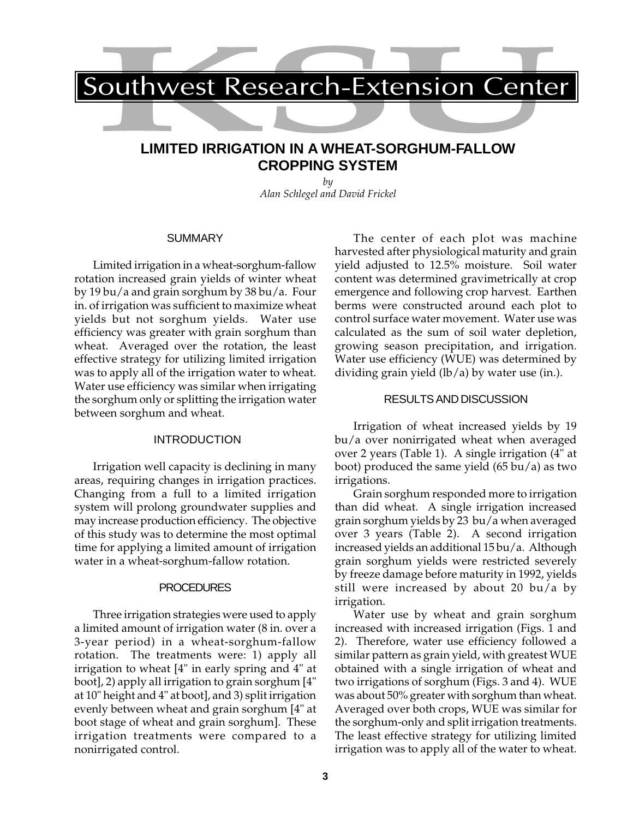

# **LIMITED IRRIGATION IN A WHEAT-SORGHUM-FALLOW CROPPING SYSTEM**

*by Alan Schlegel and David Frickel*

## **SUMMARY**

Limited irrigation in a wheat-sorghum-fallow rotation increased grain yields of winter wheat by 19 bu/a and grain sorghum by 38 bu/a. Four in. of irrigation was sufficient to maximize wheat yields but not sorghum yields. Water use efficiency was greater with grain sorghum than wheat. Averaged over the rotation, the least effective strategy for utilizing limited irrigation was to apply all of the irrigation water to wheat. Water use efficiency was similar when irrigating the sorghum only or splitting the irrigation water between sorghum and wheat.

### INTRODUCTION

Irrigation well capacity is declining in many areas, requiring changes in irrigation practices. Changing from a full to a limited irrigation system will prolong groundwater supplies and may increase production efficiency. The objective of this study was to determine the most optimal time for applying a limited amount of irrigation water in a wheat-sorghum-fallow rotation.

#### PROCEDURES

Three irrigation strategies were used to apply a limited amount of irrigation water (8 in. over a 3-year period) in a wheat-sorghum-fallow rotation. The treatments were: 1) apply all irrigation to wheat [4" in early spring and 4" at boot], 2) apply all irrigation to grain sorghum [4" at 10" height and 4" at boot], and 3) split irrigation evenly between wheat and grain sorghum [4" at boot stage of wheat and grain sorghum]. These irrigation treatments were compared to a nonirrigated control.

The center of each plot was machine harvested after physiological maturity and grain yield adjusted to 12.5% moisture. Soil water content was determined gravimetrically at crop emergence and following crop harvest. Earthen berms were constructed around each plot to control surface water movement. Water use was calculated as the sum of soil water depletion, growing season precipitation, and irrigation. Water use efficiency (WUE) was determined by dividing grain yield (lb/a) by water use (in.).

#### RESULTS AND DISCUSSION

Irrigation of wheat increased yields by 19 bu/a over nonirrigated wheat when averaged over 2 years (Table 1). A single irrigation (4" at boot) produced the same yield (65 bu/a) as two irrigations.

Grain sorghum responded more to irrigation than did wheat. A single irrigation increased grain sorghum yields by 23 bu/a when averaged over 3 years (Table 2). A second irrigation increased yields an additional 15 bu/a. Although grain sorghum yields were restricted severely by freeze damage before maturity in 1992, yields still were increased by about 20 bu/a by irrigation.

Water use by wheat and grain sorghum increased with increased irrigation (Figs. 1 and 2). Therefore, water use efficiency followed a similar pattern as grain yield, with greatest WUE obtained with a single irrigation of wheat and two irrigations of sorghum (Figs. 3 and 4). WUE was about 50% greater with sorghum than wheat. Averaged over both crops, WUE was similar for the sorghum-only and split irrigation treatments. The least effective strategy for utilizing limited irrigation was to apply all of the water to wheat.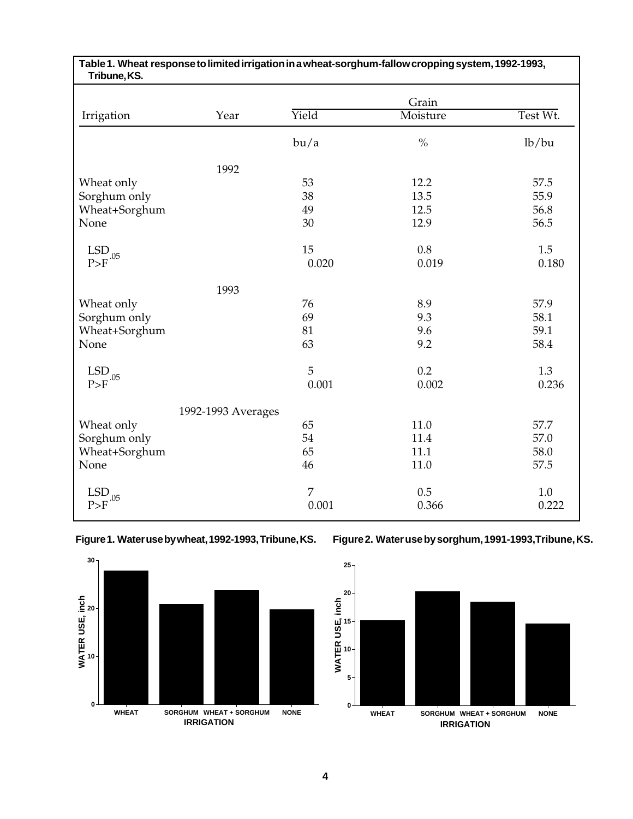| Tribune, KS.                               |                    |       | Table 1. Wheat response to limited irrigation in a wheat-sorghum-fallow cropping system, 1992-1993, |          |
|--------------------------------------------|--------------------|-------|-----------------------------------------------------------------------------------------------------|----------|
|                                            |                    |       | Grain                                                                                               |          |
| Irrigation                                 | Year               | Yield | Moisture                                                                                            | Test Wt. |
|                                            |                    | bu/a  | $\frac{0}{0}$                                                                                       | lb/bu    |
|                                            | 1992               |       |                                                                                                     |          |
| Wheat only                                 |                    | 53    | 12.2                                                                                                | 57.5     |
| Sorghum only                               |                    | 38    | 13.5                                                                                                | 55.9     |
| Wheat+Sorghum                              |                    | 49    | 12.5                                                                                                | 56.8     |
| None                                       |                    | 30    | 12.9                                                                                                | 56.5     |
| $LSD$ <sub>-.05</sub>                      |                    | 15    | 0.8                                                                                                 | 1.5      |
| P>F                                        |                    | 0.020 | 0.019                                                                                               | 0.180    |
|                                            | 1993               |       |                                                                                                     |          |
| Wheat only                                 |                    | 76    | 8.9                                                                                                 | 57.9     |
| Sorghum only                               |                    | 69    | 9.3                                                                                                 | 58.1     |
| Wheat+Sorghum                              |                    | 81    | 9.6                                                                                                 | 59.1     |
| None                                       |                    | 63    | 9.2                                                                                                 | 58.4     |
| $\mathrm{LSD}_{_{\rightarrow \text{.05}}}$ |                    | 5     | 0.2                                                                                                 | 1.3      |
| P>F                                        |                    | 0.001 | 0.002                                                                                               | 0.236    |
|                                            | 1992-1993 Averages |       |                                                                                                     |          |
| Wheat only                                 |                    | 65    | 11.0                                                                                                | 57.7     |
| Sorghum only                               |                    | 54    | 11.4                                                                                                | 57.0     |
| Wheat+Sorghum                              |                    | 65    | 11.1                                                                                                | 58.0     |
| None                                       |                    | 46    | 11.0                                                                                                | 57.5     |
| $\mathrm{LSD}_{\_05}$                      |                    | 7     | 0.5                                                                                                 | 1.0      |
| P>F                                        |                    | 0.001 | 0.366                                                                                               | 0.222    |

# **Figure 1. Water use by wheat, 1992-1993, Tribune, KS.**



# **Figure 2. Water use by sorghum, 1991-1993,Tribune, KS.**

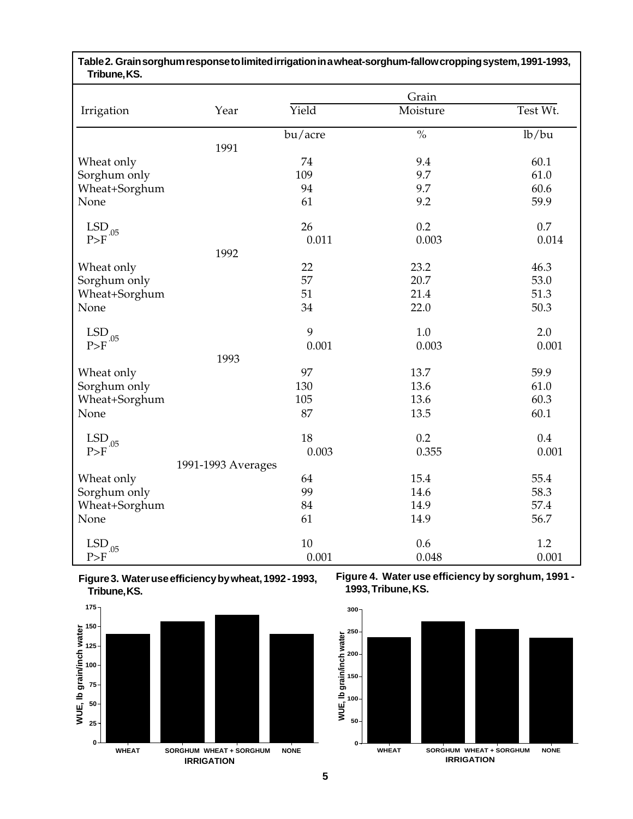| Tribune, KS.                               |                    |         |                          |          |
|--------------------------------------------|--------------------|---------|--------------------------|----------|
|                                            |                    |         | Grain                    |          |
| Irrigation                                 | Year               | Yield   | Moisture                 | Test Wt. |
|                                            |                    | bu/acre | $\overline{\frac{0}{0}}$ | lb/bu    |
|                                            | 1991               |         |                          |          |
| Wheat only                                 |                    | 74      | 9.4                      | 60.1     |
| Sorghum only                               |                    | 109     | 9.7                      | 61.0     |
| Wheat+Sorghum                              |                    | 94      | 9.7                      | 60.6     |
| None                                       |                    | 61      | 9.2                      | 59.9     |
| $\mathrm{LSD}_{_{\rightarrow \text{.05}}}$ |                    | 26      | 0.2                      | 0.7      |
| P>F                                        |                    | 0.011   | 0.003                    | 0.014    |
|                                            | 1992               |         |                          |          |
| Wheat only                                 |                    | 22      | 23.2                     | 46.3     |
| Sorghum only                               |                    | 57      | 20.7                     | 53.0     |
| Wheat+Sorghum                              |                    | 51      | 21.4                     | 51.3     |
| None                                       |                    | 34      | 22.0                     | 50.3     |
| $\mathrm{LSD}_{.05}$                       |                    | 9       | 1.0                      | 2.0      |
| P>F                                        |                    | 0.001   | 0.003                    | 0.001    |
|                                            | 1993               |         |                          |          |
| Wheat only                                 |                    | 97      | 13.7                     | 59.9     |
| Sorghum only                               |                    | 130     | 13.6                     | 61.0     |
| Wheat+Sorghum                              |                    | 105     | 13.6                     | 60.3     |
| None                                       |                    | 87      | 13.5                     | 60.1     |
| $\mathrm{LSD}_{.05}$                       |                    | 18      | 0.2                      | 0.4      |
| P>F                                        |                    | 0.003   | 0.355                    | 0.001    |
|                                            | 1991-1993 Averages |         |                          |          |
| Wheat only                                 |                    | 64      | 15.4                     | 55.4     |
| Sorghum only                               |                    | 99      | 14.6                     | 58.3     |
| Wheat+Sorghum                              |                    | 84      | 14.9                     | 57.4     |
| None                                       |                    | 61      | 14.9                     | 56.7     |
| $\mathrm{LSD}_{.05}$                       |                    | 10      | 0.6                      | 1.2      |
| P>F                                        |                    | 0.001   | 0.048                    | 0.001    |

**Table 2. Grain sorghum response to limited irrigation in a wheat-sorghum-fallow cropping system, 1991-1993,**





**Figure 4. Water use efficiency by sorghum, 1991 - 1993, Tribune, KS.**

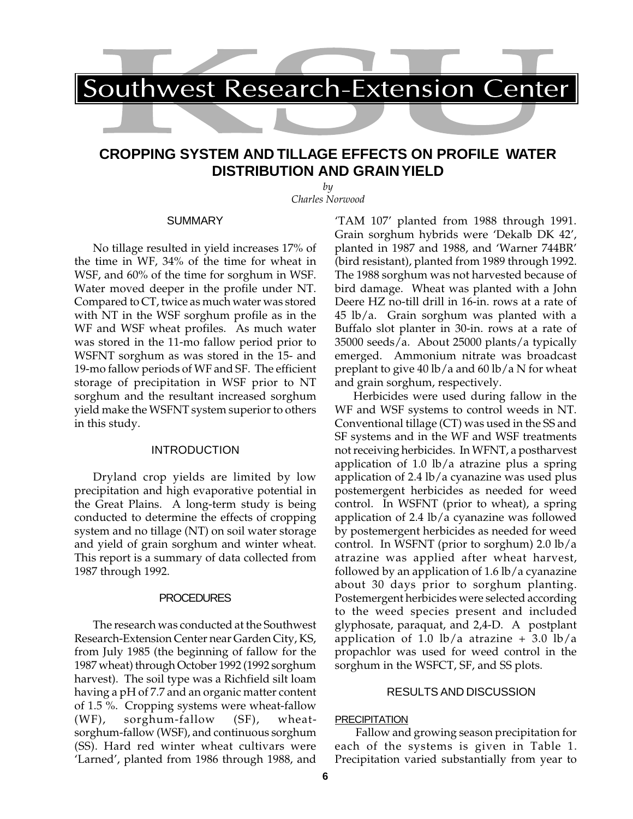# **CROPPING SYSTEM AND TILLAGE EFFECTS ON PROFILE WATER DISTRIBUTION AND GRAIN YIELD**

*by Charles Norwood*

#### **SUMMARY**

No tillage resulted in yield increases 17% of the time in WF, 34% of the time for wheat in WSF, and 60% of the time for sorghum in WSF. Water moved deeper in the profile under NT. Compared to CT, twice as much water was stored with NT in the WSF sorghum profile as in the WF and WSF wheat profiles. As much water was stored in the 11-mo fallow period prior to WSFNT sorghum as was stored in the 15- and 19-mo fallow periods of WF and SF. The efficient storage of precipitation in WSF prior to NT sorghum and the resultant increased sorghum yield make the WSFNT system superior to others in this study.

#### INTRODUCTION

Dryland crop yields are limited by low precipitation and high evaporative potential in the Great Plains. A long-term study is being conducted to determine the effects of cropping system and no tillage (NT) on soil water storage and yield of grain sorghum and winter wheat. This report is a summary of data collected from 1987 through 1992.

### **PROCEDURES**

The research was conducted at the Southwest Research-Extension Center near Garden City, KS, from July 1985 (the beginning of fallow for the 1987 wheat) through October 1992 (1992 sorghum harvest). The soil type was a Richfield silt loam having a pH of 7.7 and an organic matter content of 1.5 %. Cropping systems were wheat-fallow (WF), sorghum-fallow (SF), wheatsorghum-fallow (WSF), and continuous sorghum (SS). Hard red winter wheat cultivars were 'Larned', planted from 1986 through 1988, and

'TAM 107' planted from 1988 through 1991. Grain sorghum hybrids were 'Dekalb DK 42', planted in 1987 and 1988, and 'Warner 744BR' (bird resistant), planted from 1989 through 1992. The 1988 sorghum was not harvested because of bird damage. Wheat was planted with a John Deere HZ no-till drill in 16-in. rows at a rate of 45 lb/a. Grain sorghum was planted with a Buffalo slot planter in 30-in. rows at a rate of 35000 seeds/a. About 25000 plants/a typically emerged. Ammonium nitrate was broadcast preplant to give 40 lb/a and 60 lb/a N for wheat and grain sorghum, respectively.

Herbicides were used during fallow in the WF and WSF systems to control weeds in NT. Conventional tillage (CT) was used in the SS and SF systems and in the WF and WSF treatments not receiving herbicides. In WFNT, a postharvest application of 1.0 lb/a atrazine plus a spring application of 2.4 lb/a cyanazine was used plus postemergent herbicides as needed for weed control. In WSFNT (prior to wheat), a spring application of 2.4 lb/a cyanazine was followed by postemergent herbicides as needed for weed control. In WSFNT (prior to sorghum) 2.0 lb/a atrazine was applied after wheat harvest, followed by an application of 1.6 lb/a cyanazine about 30 days prior to sorghum planting. Postemergent herbicides were selected according to the weed species present and included glyphosate, paraquat, and 2,4-D. A postplant application of 1.0 lb/a atrazine  $+$  3.0 lb/a propachlor was used for weed control in the sorghum in the WSFCT, SF, and SS plots.

### RESULTS AND DISCUSSION

### **PRECIPITATION**

 Fallow and growing season precipitation for each of the systems is given in Table 1. Precipitation varied substantially from year to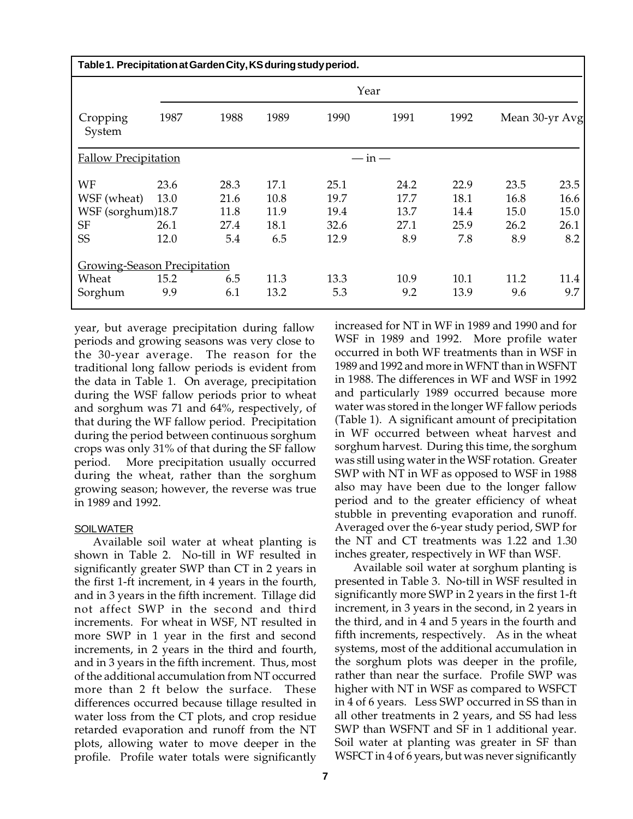| Table 1. Precipitation at Garden City, KS during study period.   |                              |                                     |                                     |                                      |                                     |                                     |                                     |                                     |  |  |  |
|------------------------------------------------------------------|------------------------------|-------------------------------------|-------------------------------------|--------------------------------------|-------------------------------------|-------------------------------------|-------------------------------------|-------------------------------------|--|--|--|
|                                                                  |                              | Year                                |                                     |                                      |                                     |                                     |                                     |                                     |  |  |  |
| Cropping<br>System                                               | 1987                         | 1988                                | 1989                                | 1990                                 | 1991                                | 1992                                |                                     | Mean 30-yr Avg                      |  |  |  |
| <b>Fallow Precipitation</b>                                      |                              |                                     |                                     | $-\mathrm{in}$                       |                                     |                                     |                                     |                                     |  |  |  |
| WF<br>WSF (wheat)<br>WSF (sorghum)18.7<br><b>SF</b><br><b>SS</b> | 23.6<br>13.0<br>26.1<br>12.0 | 28.3<br>21.6<br>11.8<br>27.4<br>5.4 | 17.1<br>10.8<br>11.9<br>18.1<br>6.5 | 25.1<br>19.7<br>19.4<br>32.6<br>12.9 | 24.2<br>17.7<br>13.7<br>27.1<br>8.9 | 22.9<br>18.1<br>14.4<br>25.9<br>7.8 | 23.5<br>16.8<br>15.0<br>26.2<br>8.9 | 23.5<br>16.6<br>15.0<br>26.1<br>8.2 |  |  |  |
| <b>Growing-Season Precipitation</b><br>Wheat<br>Sorghum          | 15.2<br>9.9                  | 6.5<br>6.1                          | 11.3<br>13.2                        | 13.3<br>5.3                          | 10.9<br>9.2                         | 10.1<br>13.9                        | 11.2<br>9.6                         | 11.4<br>9.7                         |  |  |  |

year, but average precipitation during fallow periods and growing seasons was very close to the 30-year average. The reason for the traditional long fallow periods is evident from the data in Table 1. On average, precipitation during the WSF fallow periods prior to wheat and sorghum was 71 and 64%, respectively, of that during the WF fallow period. Precipitation during the period between continuous sorghum crops was only 31% of that during the SF fallow period. More precipitation usually occurred during the wheat, rather than the sorghum growing season; however, the reverse was true in 1989 and 1992.

# **SOIL WATER**

Available soil water at wheat planting is shown in Table 2. No-till in WF resulted in significantly greater SWP than CT in 2 years in the first 1-ft increment, in 4 years in the fourth, and in 3 years in the fifth increment. Tillage did not affect SWP in the second and third increments. For wheat in WSF, NT resulted in more SWP in 1 year in the first and second increments, in 2 years in the third and fourth, and in 3 years in the fifth increment. Thus, most of the additional accumulation from NT occurred more than 2 ft below the surface. These differences occurred because tillage resulted in water loss from the CT plots, and crop residue retarded evaporation and runoff from the NT plots, allowing water to move deeper in the profile. Profile water totals were significantly

increased for NT in WF in 1989 and 1990 and for WSF in 1989 and 1992. More profile water occurred in both WF treatments than in WSF in 1989 and 1992 and more in WFNT than in WSFNT in 1988. The differences in WF and WSF in 1992 and particularly 1989 occurred because more water was stored in the longer WF fallow periods (Table 1). A significant amount of precipitation in WF occurred between wheat harvest and sorghum harvest. During this time, the sorghum was still using water in the WSF rotation. Greater SWP with NT in WF as opposed to WSF in 1988 also may have been due to the longer fallow period and to the greater efficiency of wheat stubble in preventing evaporation and runoff. Averaged over the 6-year study period, SWP for the NT and CT treatments was 1.22 and 1.30 inches greater, respectively in WF than WSF.

Available soil water at sorghum planting is presented in Table 3. No-till in WSF resulted in significantly more SWP in 2 years in the first 1-ft increment, in 3 years in the second, in 2 years in the third, and in 4 and 5 years in the fourth and fifth increments, respectively. As in the wheat systems, most of the additional accumulation in the sorghum plots was deeper in the profile, rather than near the surface. Profile SWP was higher with NT in WSF as compared to WSFCT in 4 of 6 years. Less SWP occurred in SS than in all other treatments in 2 years, and SS had less SWP than WSFNT and SF in 1 additional year. Soil water at planting was greater in SF than WSFCT in 4 of 6 years, but was never significantly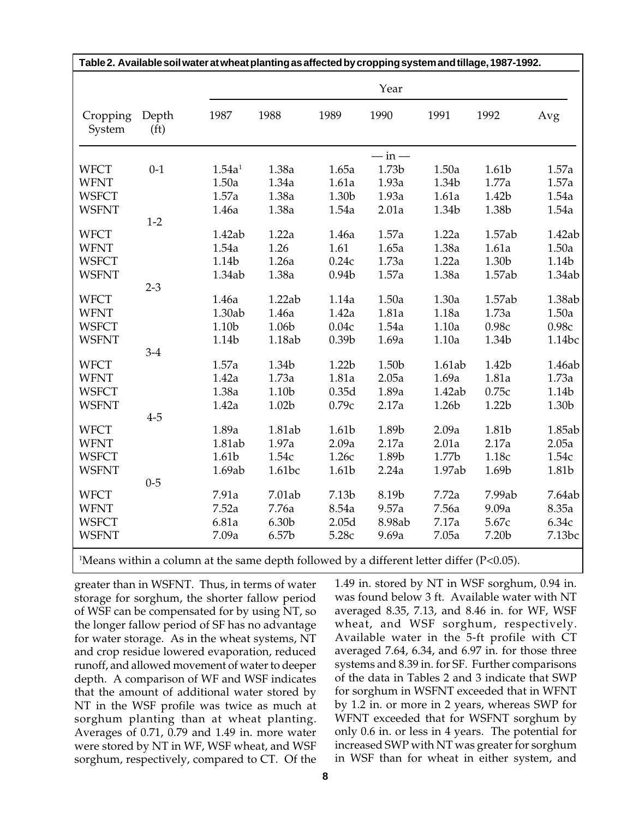|                    |                            | Table 2. Available soil water at wheat planting as affected by cropping system and tillage, 1987-1992. |        |                   |                      |        |        |        |
|--------------------|----------------------------|--------------------------------------------------------------------------------------------------------|--------|-------------------|----------------------|--------|--------|--------|
|                    |                            |                                                                                                        |        |                   | Year                 |        |        |        |
| Cropping<br>System | Depth<br>(f <sub>t</sub> ) | 1987                                                                                                   | 1988   | 1989              | 1990                 | 1991   | 1992   | Avg    |
|                    |                            |                                                                                                        |        |                   | $-\operatorname{in}$ |        |        |        |
| <b>WFCT</b>        | $0 - 1$                    | 1.54a <sup>1</sup>                                                                                     | 1.38a  | 1.65a             | 1.73b                | 1.50a  | 1.61b  | 1.57a  |
| <b>WFNT</b>        |                            | 1.50a                                                                                                  | 1.34a  | 1.61a             | 1.93a                | 1.34b  | 1.77a  | 1.57a  |
| <b>WSFCT</b>       |                            | 1.57a                                                                                                  | 1.38a  | 1.30b             | 1.93a                | 1.61a  | 1.42b  | 1.54a  |
| <b>WSFNT</b>       |                            | 1.46a                                                                                                  | 1.38a  | 1.54a             | 2.01a                | 1.34b  | 1.38b  | 1.54a  |
|                    | $1 - 2$                    |                                                                                                        |        |                   |                      |        |        |        |
| <b>WFCT</b>        |                            | 1.42ab                                                                                                 | 1.22a  | 1.46a             | 1.57a                | 1.22a  | 1.57ab | 1.42ab |
| <b>WFNT</b>        |                            | 1.54a                                                                                                  | 1.26   | 1.61              | 1.65a                | 1.38a  | 1.61a  | 1.50a  |
| <b>WSFCT</b>       |                            | 1.14b                                                                                                  | 1.26a  | 0.24c             | 1.73a                | 1.22a  | 1.30b  | 1.14b  |
| <b>WSFNT</b>       |                            | 1.34ab                                                                                                 | 1.38a  | 0.94 <sub>b</sub> | 1.57a                | 1.38a  | 1.57ab | 1.34ab |
|                    | $2 - 3$                    |                                                                                                        |        |                   |                      |        |        |        |
| <b>WFCT</b>        |                            | 1.46a                                                                                                  | 1.22ab | 1.14a             | 1.50a                | 1.30a  | 1.57ab | 1.38ab |
| <b>WFNT</b>        |                            | 1.30ab                                                                                                 | 1.46a  | 1.42a             | 1.81a                | 1.18a  | 1.73a  | 1.50a  |
| <b>WSFCT</b>       |                            | 1.10b                                                                                                  | 1.06b  | 0.04c             | 1.54a                | 1.10a  | 0.98c  | 0.98c  |
| <b>WSFNT</b>       |                            | 1.14b                                                                                                  | 1.18ab | 0.39 <sub>b</sub> | 1.69a                | 1.10a  | 1.34b  | 1.14bc |
|                    | $3 - 4$                    |                                                                                                        |        |                   |                      |        |        |        |
| <b>WFCT</b>        |                            | 1.57a                                                                                                  | 1.34b  | 1.22b             | 1.50b                | 1.61ab | 1.42b  | 1.46ab |
| <b>WFNT</b>        |                            | 1.42a                                                                                                  | 1.73a  | 1.81a             | 2.05a                | 1.69a  | 1.81a  | 1.73a  |
| <b>WSFCT</b>       |                            | 1.38a                                                                                                  | 1.10b  | 0.35d             | 1.89a                | 1.42ab | 0.75c  | 1.14b  |
| <b>WSFNT</b>       |                            | 1.42a                                                                                                  | 1.02b  | 0.79c             | 2.17a                | 1.26b  | 1.22b  | 1.30b  |
|                    | $4 - 5$                    |                                                                                                        |        |                   |                      |        |        |        |
| <b>WFCT</b>        |                            | 1.89a                                                                                                  | 1.81ab | 1.61b             | 1.89b                | 2.09a  | 1.81b  | 1.85ab |
| <b>WFNT</b>        |                            | 1.81ab                                                                                                 | 1.97a  | 2.09a             | 2.17a                | 2.01a  | 2.17a  | 2.05a  |
| <b>WSFCT</b>       |                            | 1.61b                                                                                                  | 1.54c  | 1.26c             | 1.89b                | 1.77b  | 1.18c  | 1.54c  |
| <b>WSFNT</b>       |                            | 1.69ab                                                                                                 | 1.61bc | 1.61b             | 2.24a                | 1.97ab | 1.69b  | 1.81b  |
| <b>WFCT</b>        | $0 - 5$                    | 7.91a                                                                                                  | 7.01ab | 7.13b             | 8.19b                | 7.72a  | 7.99ab | 7.64ab |
|                    |                            |                                                                                                        |        |                   |                      |        |        |        |
| <b>WFNT</b>        |                            | 7.52a                                                                                                  | 7.76a  | 8.54a             | 9.57a                | 7.56a  | 9.09a  | 8.35a  |
| <b>WSFCT</b>       |                            | 6.81a                                                                                                  | 6.30b  | 2.05d             | 8.98ab               | 7.17a  | 5.67c  | 6.34c  |
| <b>WSFNT</b>       |                            | 7.09a                                                                                                  | 6.57b  | 5.28c             | 9.69a                | 7.05a  | 7.20b  | 7.13bc |

 $^1$ Means within a column at the same depth followed by a different letter differ (P<0.05).

greater than in WSFNT. Thus, in terms of water storage for sorghum, the shorter fallow period of WSF can be compensated for by using NT, so the longer fallow period of SF has no advantage for water storage. As in the wheat systems, NT and crop residue lowered evaporation, reduced runoff, and allowed movement of water to deeper depth. A comparison of WF and WSF indicates that the amount of additional water stored by NT in the WSF profile was twice as much at sorghum planting than at wheat planting. Averages of 0.71, 0.79 and 1.49 in. more water were stored by NT in WF, WSF wheat, and WSF sorghum, respectively, compared to CT. Of the

1.49 in. stored by NT in WSF sorghum, 0.94 in. was found below 3 ft. Available water with NT averaged 8.35, 7.13, and 8.46 in. for WF, WSF wheat, and WSF sorghum, respectively. Available water in the 5-ft profile with CT averaged 7.64, 6.34, and 6.97 in. for those three systems and 8.39 in. for SF. Further comparisons of the data in Tables 2 and 3 indicate that SWP for sorghum in WSFNT exceeded that in WFNT by 1.2 in. or more in 2 years, whereas SWP for WFNT exceeded that for WSFNT sorghum by only 0.6 in. or less in 4 years. The potential for increased SWP with NT was greater for sorghum in WSF than for wheat in either system, and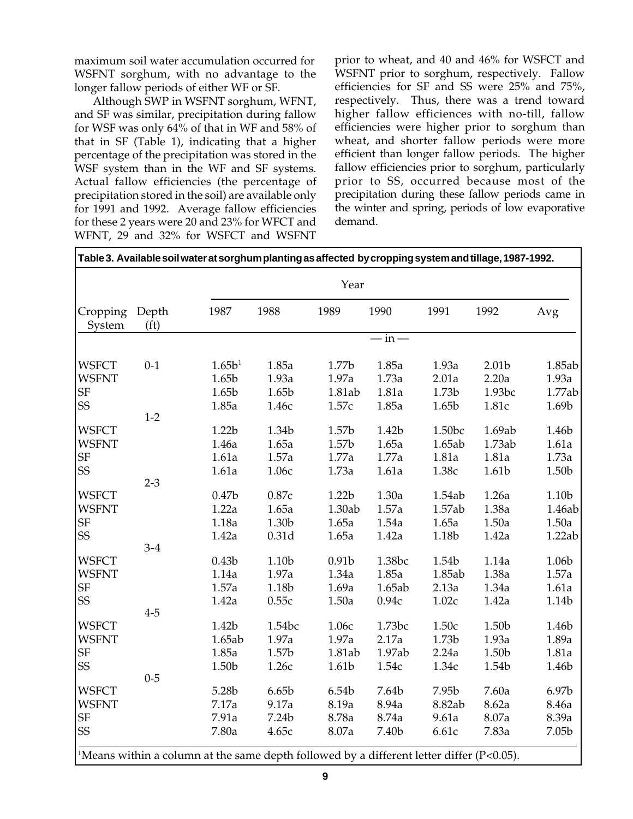maximum soil water accumulation occurred for WSFNT sorghum, with no advantage to the longer fallow periods of either WF or SF.

Although SWP in WSFNT sorghum, WFNT, and SF was similar, precipitation during fallow for WSF was only 64% of that in WF and 58% of that in SF (Table 1), indicating that a higher percentage of the precipitation was stored in the WSF system than in the WF and SF systems. Actual fallow efficiencies (the percentage of precipitation stored in the soil) are available only for 1991 and 1992. Average fallow efficiencies for these 2 years were 20 and 23% for WFCT and WFNT, 29 and 32% for WSFCT and WSFNT

prior to wheat, and 40 and 46% for WSFCT and WSFNT prior to sorghum, respectively. Fallow efficiencies for SF and SS were 25% and 75%, respectively. Thus, there was a trend toward higher fallow efficiences with no-till, fallow efficiencies were higher prior to sorghum than wheat, and shorter fallow periods were more efficient than longer fallow periods. The higher fallow efficiencies prior to sorghum, particularly prior to SS, occurred because most of the precipitation during these fallow periods came in the winter and spring, periods of low evaporative demand.

|                    |                            |                    |        | Year              |                |                   |                   |                   |
|--------------------|----------------------------|--------------------|--------|-------------------|----------------|-------------------|-------------------|-------------------|
| Cropping<br>System | Depth<br>(f <sub>t</sub> ) | 1987               | 1988   | 1989              | 1990           | 1991              | 1992              | Avg               |
|                    |                            |                    |        |                   | $-\mathrm{in}$ |                   |                   |                   |
| <b>WSFCT</b>       | $0 - 1$                    | 1.65b <sup>1</sup> | 1.85a  | 1.77b             | 1.85a          | 1.93a             | 2.01 <sub>b</sub> | 1.85ab            |
| <b>WSFNT</b>       |                            | 1.65b              | 1.93a  | 1.97a             | 1.73a          | 2.01a             | 2.20a             | 1.93a             |
| <b>SF</b>          |                            | 1.65b              | 1.65b  | 1.81ab            | 1.81a          | 1.73b             | 1.93bc            | 1.77ab            |
| SS                 |                            | 1.85a              | 1.46с  | 1.57c             | 1.85a          | 1.65 <sub>b</sub> | 1.81c             | 1.69b             |
|                    | $1 - 2$                    |                    |        |                   |                |                   |                   |                   |
| <b>WSFCT</b>       |                            | 1.22b              | 1.34b  | 1.57 <sub>b</sub> | 1.42b          | 1.50bc            | 1.69ab            | 1.46b             |
| <b>WSFNT</b>       |                            | 1.46a              | 1.65a  | 1.57b             | 1.65a          | 1.65ab            | 1.73ab            | 1.61a             |
| <b>SF</b>          |                            | 1.61a              | 1.57a  | 1.77a             | 1.77a          | 1.81a             | 1.81a             | 1.73a             |
| SS                 |                            | 1.61a              | 1.06с  | 1.73a             | 1.61a          | 1.38c             | 1.61b             | 1.50b             |
|                    | $2 - 3$                    |                    |        |                   |                |                   |                   |                   |
| <b>WSFCT</b>       |                            | 0.47 <sub>b</sub>  | 0.87c  | 1.22 <sub>b</sub> | 1.30a          | 1.54ab            | 1.26a             | 1.10 <sub>b</sub> |
| <b>WSFNT</b>       |                            | 1.22a              | 1.65a  | 1.30ab            | 1.57a          | 1.57ab            | 1.38a             | 1.46ab            |
| SF                 |                            | 1.18a              | 1.30b  | 1.65a             | 1.54a          | 1.65a             | 1.50a             | 1.50a             |
| SS                 |                            | 1.42a              | 0.31d  | 1.65a             | 1.42a          | 1.18b             | 1.42a             | 1.22ab            |
|                    | $3-4$                      |                    |        |                   |                |                   |                   |                   |
| <b>WSFCT</b>       |                            | 0.43 <sub>b</sub>  | 1.10b  | 0.91 <sub>b</sub> | 1.38bc         | 1.54b             | 1.14a             | 1.06b             |
| <b>WSFNT</b>       |                            | 1.14a              | 1.97a  | 1.34a             | 1.85a          | 1.85ab            | 1.38a             | 1.57a             |
| SF                 |                            | 1.57a              | 1.18b  | 1.69a             | 1.65ab         | 2.13a             | 1.34a             | 1.61a             |
| SS                 |                            | 1.42a              | 0.55c  | 1.50a             | 0.94c          | 1.02c             | 1.42a             | 1.14b             |
|                    | $4 - 5$                    |                    |        |                   |                |                   |                   |                   |
| <b>WSFCT</b>       |                            | 1.42b              | 1.54bc | 1.06с             | 1.73bc         | 1.50c             | 1.50b             | 1.46b             |
| <b>WSFNT</b>       |                            | 1.65ab             | 1.97a  | 1.97a             | 2.17a          | 1.73b             | 1.93a             | 1.89a             |
| <b>SF</b>          |                            | 1.85a              | 1.57b  | 1.81ab            | 1.97ab         | 2.24a             | 1.50b             | 1.81a             |
| SS                 |                            | 1.50b              | 1.26c  | 1.61 <sub>b</sub> | 1.54c          | 1.34c             | 1.54b             | 1.46b             |
|                    | $0 - 5$                    |                    |        |                   |                |                   |                   |                   |
| <b>WSFCT</b>       |                            | 5.28b              | 6.65b  | 6.54b             | 7.64b          | 7.95b             | 7.60a             | 6.97b             |
| <b>WSFNT</b>       |                            | 7.17a              | 9.17a  | 8.19a             | 8.94a          | 8.82ab            | 8.62a             | 8.46a             |
| <b>SF</b>          |                            | 7.91a              | 7.24b  | 8.78a             | 8.74a          | 9.61a             | 8.07a             | 8.39a             |
| SS                 |                            | 7.80a              | 4.65с  | 8.07a             | 7.40b          | 6.61c             | 7.83a             | 7.05b             |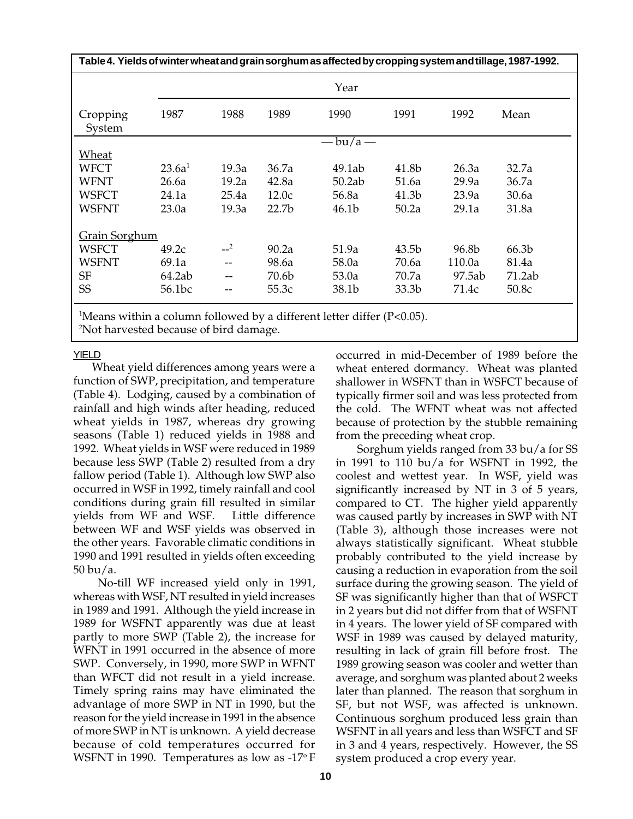| Table 4. Yields of winter wheat and grain sorghum as affected by cropping system and tillage, 1987-1992. |                    |       |                   |                            |                   |        |        |  |  |  |  |
|----------------------------------------------------------------------------------------------------------|--------------------|-------|-------------------|----------------------------|-------------------|--------|--------|--|--|--|--|
|                                                                                                          |                    | Year  |                   |                            |                   |        |        |  |  |  |  |
| Cropping<br>System                                                                                       | 1987               | 1988  | 1989              | 1990                       | 1991              | 1992   | Mean   |  |  |  |  |
|                                                                                                          |                    |       |                   | $-\mathsf{bu}/\mathsf{a}-$ |                   |        |        |  |  |  |  |
| Wheat                                                                                                    |                    |       |                   |                            |                   |        |        |  |  |  |  |
| WFCT                                                                                                     | 23.6a <sup>1</sup> | 19.3a | 36.7a             | 49.1ab                     | 41.8b             | 26.3a  | 32.7a  |  |  |  |  |
| WFNT                                                                                                     | 26.6a              | 19.2a | 42.8a             | 50.2ab                     | 51.6a             | 29.9a  | 36.7a  |  |  |  |  |
| WSFCT                                                                                                    | 24.1a              | 25.4a | 12.0c             | 56.8a                      | 41.3b             | 23.9a  | 30.6a  |  |  |  |  |
| <b>WSFNT</b>                                                                                             | 23.0a              | 19.3a | 22.7 <sub>b</sub> | 46.1b                      | 50.2a             | 29.1a  | 31.8a  |  |  |  |  |
| Grain Sorghum                                                                                            |                    |       |                   |                            |                   |        |        |  |  |  |  |
| <b>WSFCT</b>                                                                                             | 49.2c              | $-2$  | 90.2a             | 51.9a                      | 43.5b             | 96.8b  | 66.3b  |  |  |  |  |
| <b>WSFNT</b>                                                                                             | 69.1a              | --    | 98.6a             | 58.0a                      | 70.6a             | 110.0a | 81.4a  |  |  |  |  |
| <b>SF</b>                                                                                                | 64.2ab             |       | 70.6b             | 53.0a                      | 70.7a             | 97.5ab | 71.2ab |  |  |  |  |
| SS                                                                                                       | 56.1bc             | --    | 55.3c             | 38.1b                      | 33.3 <sub>b</sub> | 71.4c  | 50.8c  |  |  |  |  |
| $\mathbb{R}$ (agus suithin a solumn followed by a different latter differ (D $(0.05)$                    |                    |       |                   |                            |                   |        |        |  |  |  |  |

 $^1$ Means within a column followed by a different letter differ (P<0.05).

2 Not harvested because of bird damage.

YIELD

Wheat yield differences among years were a function of SWP, precipitation, and temperature (Table 4). Lodging, caused by a combination of rainfall and high winds after heading, reduced wheat yields in 1987, whereas dry growing seasons (Table 1) reduced yields in 1988 and 1992. Wheat yields in WSF were reduced in 1989 because less SWP (Table 2) resulted from a dry fallow period (Table 1). Although low SWP also occurred in WSF in 1992, timely rainfall and cool conditions during grain fill resulted in similar yields from WF and WSF. Little difference between WF and WSF yields was observed in the other years. Favorable climatic conditions in 1990 and 1991 resulted in yields often exceeding 50 bu/a.

 No-till WF increased yield only in 1991, whereas with WSF, NT resulted in yield increases in 1989 and 1991. Although the yield increase in 1989 for WSFNT apparently was due at least partly to more SWP (Table 2), the increase for WFNT in 1991 occurred in the absence of more SWP. Conversely, in 1990, more SWP in WFNT than WFCT did not result in a yield increase. Timely spring rains may have eliminated the advantage of more SWP in NT in 1990, but the reason for the yield increase in 1991 in the absence of more SWP in NT is unknown. A yield decrease because of cold temperatures occurred for WSFNT in 1990. Temperatures as low as  $-17^{\circ}$  F occurred in mid-December of 1989 before the wheat entered dormancy. Wheat was planted shallower in WSFNT than in WSFCT because of typically firmer soil and was less protected from the cold. The WFNT wheat was not affected because of protection by the stubble remaining from the preceding wheat crop.

 Sorghum yields ranged from 33 bu/a for SS in 1991 to 110 bu/a for WSFNT in 1992, the coolest and wettest year. In WSF, yield was significantly increased by NT in 3 of 5 years, compared to CT. The higher yield apparently was caused partly by increases in SWP with NT (Table 3), although those increases were not always statistically significant. Wheat stubble probably contributed to the yield increase by causing a reduction in evaporation from the soil surface during the growing season. The yield of SF was significantly higher than that of WSFCT in 2 years but did not differ from that of WSFNT in 4 years. The lower yield of SF compared with WSF in 1989 was caused by delayed maturity, resulting in lack of grain fill before frost. The 1989 growing season was cooler and wetter than average, and sorghum was planted about 2 weeks later than planned. The reason that sorghum in SF, but not WSF, was affected is unknown. Continuous sorghum produced less grain than WSFNT in all years and less than WSFCT and SF in 3 and 4 years, respectively. However, the SS system produced a crop every year.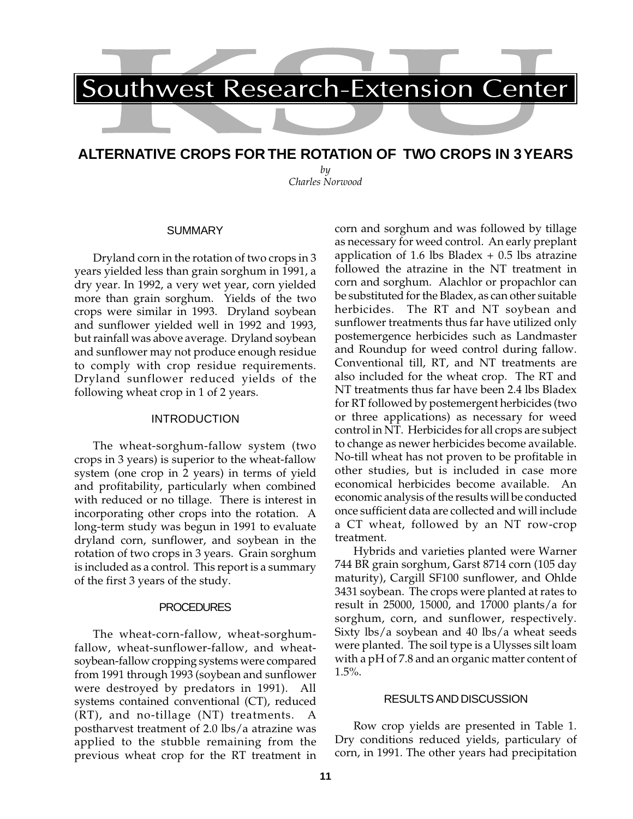# **ALTERNATIVE CROPS FOR THE ROTATION OF TWO CROPS IN 3 YEARS**

*by Charles Norwood*

#### **SUMMARY**

Dryland corn in the rotation of two crops in 3 years yielded less than grain sorghum in 1991, a dry year. In 1992, a very wet year, corn yielded more than grain sorghum. Yields of the two crops were similar in 1993. Dryland soybean and sunflower yielded well in 1992 and 1993, but rainfall was above average. Dryland soybean and sunflower may not produce enough residue to comply with crop residue requirements. Dryland sunflower reduced yields of the following wheat crop in 1 of 2 years.

#### INTRODUCTION

The wheat-sorghum-fallow system (two crops in 3 years) is superior to the wheat-fallow system (one crop in 2 years) in terms of yield and profitability, particularly when combined with reduced or no tillage. There is interest in incorporating other crops into the rotation. A long-term study was begun in 1991 to evaluate dryland corn, sunflower, and soybean in the rotation of two crops in 3 years. Grain sorghum is included as a control. This report is a summary of the first 3 years of the study.

#### **PROCEDURES**

The wheat-corn-fallow, wheat-sorghumfallow, wheat-sunflower-fallow, and wheatsoybean-fallow cropping systems were compared from 1991 through 1993 (soybean and sunflower were destroyed by predators in 1991). All systems contained conventional (CT), reduced (RT), and no-tillage (NT) treatments. A postharvest treatment of 2.0 lbs/a atrazine was applied to the stubble remaining from the previous wheat crop for the RT treatment in corn and sorghum and was followed by tillage as necessary for weed control. An early preplant application of 1.6 lbs Bladex  $+$  0.5 lbs atrazine followed the atrazine in the NT treatment in corn and sorghum. Alachlor or propachlor can be substituted for the Bladex, as can other suitable herbicides. The RT and NT soybean and sunflower treatments thus far have utilized only postemergence herbicides such as Landmaster and Roundup for weed control during fallow. Conventional till, RT, and NT treatments are also included for the wheat crop. The RT and NT treatments thus far have been 2.4 lbs Bladex for RT followed by postemergent herbicides (two or three applications) as necessary for weed control in NT. Herbicides for all crops are subject to change as newer herbicides become available. No-till wheat has not proven to be profitable in other studies, but is included in case more economical herbicides become available. An economic analysis of the results will be conducted once sufficient data are collected and will include a CT wheat, followed by an NT row-crop treatment.

Hybrids and varieties planted were Warner 744 BR grain sorghum, Garst 8714 corn (105 day maturity), Cargill SF100 sunflower, and Ohlde 3431 soybean. The crops were planted at rates to result in 25000, 15000, and 17000 plants/a for sorghum, corn, and sunflower, respectively. Sixty lbs/a soybean and 40 lbs/a wheat seeds were planted. The soil type is a Ulysses silt loam with a pH of 7.8 and an organic matter content of 1.5%.

#### RESULTS AND DISCUSSION

Row crop yields are presented in Table 1. Dry conditions reduced yields, particulary of corn, in 1991. The other years had precipitation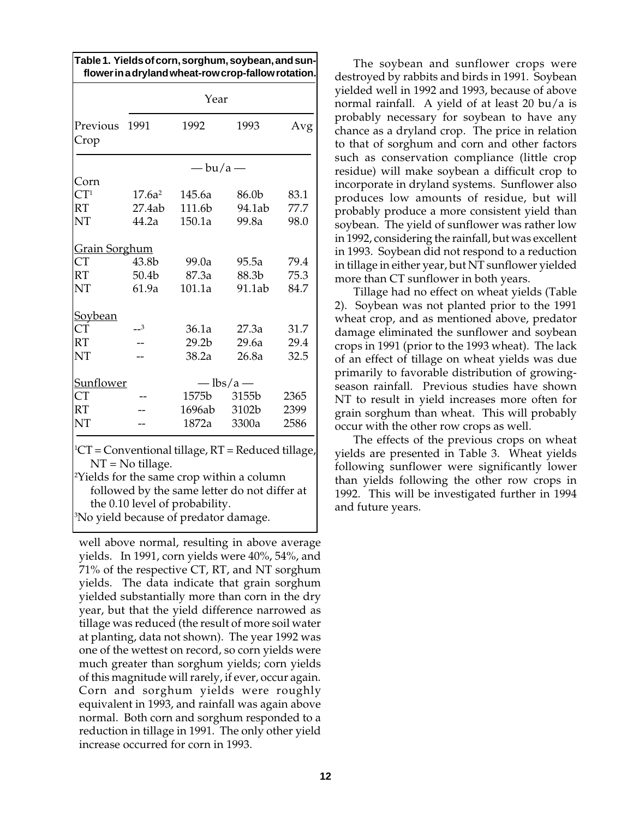|                      |           |                            | Table 1. Yields of corn, sorghum, soybean, and sun-<br>flower in a dryland wheat-row crop-fallow rotation. |      |
|----------------------|-----------|----------------------------|------------------------------------------------------------------------------------------------------------|------|
|                      |           | Year                       |                                                                                                            |      |
| Previous<br>Crop     | 1991      | 1992                       | 1993                                                                                                       | Avg  |
|                      |           | $-\mathsf{bu}/\mathsf{a}-$ |                                                                                                            |      |
| Corn                 |           |                            |                                                                                                            |      |
| CT <sup>1</sup>      | $17.6a^2$ | 145.6a                     | 86.0b                                                                                                      | 83.1 |
| <b>RT</b>            | 27.4ab    | 111.6b                     | 94.1ab                                                                                                     | 77.7 |
| NT                   | 44.2a     | 150.1a                     | 99.8a                                                                                                      | 98.0 |
| <b>Grain Sorghum</b> |           |                            |                                                                                                            |      |
| <b>CT</b>            | 43.8b     | 99.0a                      | 95.5a                                                                                                      | 79.4 |
| <b>RT</b>            | 50.4b     | 87.3a                      | 88.3b                                                                                                      | 75.3 |
| NT                   | 61.9a     | 101.1a                     | 91.1ab                                                                                                     | 84.7 |
| Soybean              |           |                            |                                                                                                            |      |
| <b>CT</b>            | $-3$      | 36.1a                      | 27.3a                                                                                                      | 31.7 |
| <b>RT</b>            |           | 29.2 <sub>b</sub>          | 29.6a                                                                                                      | 29.4 |
| NT                   |           | 38.2a                      | 26.8a                                                                                                      | 32.5 |
| Sunflower            |           |                            | $-\frac{1}{1}$ lbs/a $-$                                                                                   |      |
| <b>CT</b>            |           | 1575b                      | 3155b                                                                                                      | 2365 |
| <b>RT</b>            |           | 1696ab                     | 3102b                                                                                                      | 2399 |
| NT                   |           | 1872a                      | 3300a                                                                                                      | 2586 |

1 CT = Conventional tillage, RT = Reduced tillage, NT = No tillage.

2 Yields for the same crop within a column followed by the same letter do not differ at the 0.10 level of probability.

3 No yield because of predator damage.

well above normal, resulting in above average yields. In 1991, corn yields were 40%, 54%, and 71% of the respective CT, RT, and NT sorghum yields. The data indicate that grain sorghum yielded substantially more than corn in the dry year, but that the yield difference narrowed as tillage was reduced (the result of more soil water at planting, data not shown). The year 1992 was one of the wettest on record, so corn yields were much greater than sorghum yields; corn yields of this magnitude will rarely, if ever, occur again. Corn and sorghum yields were roughly equivalent in 1993, and rainfall was again above normal. Both corn and sorghum responded to a reduction in tillage in 1991. The only other yield increase occurred for corn in 1993.

The soybean and sunflower crops were destroyed by rabbits and birds in 1991. Soybean yielded well in 1992 and 1993, because of above normal rainfall. A yield of at least 20 bu/a is probably necessary for soybean to have any chance as a dryland crop. The price in relation to that of sorghum and corn and other factors such as conservation compliance (little crop residue) will make soybean a difficult crop to incorporate in dryland systems. Sunflower also produces low amounts of residue, but will probably produce a more consistent yield than soybean. The yield of sunflower was rather low in 1992, considering the rainfall, but was excellent in 1993. Soybean did not respond to a reduction in tillage in either year, but NT sunflower yielded more than CT sunflower in both years.

Tillage had no effect on wheat yields (Table 2). Soybean was not planted prior to the 1991 wheat crop, and as mentioned above, predator damage eliminated the sunflower and soybean crops in 1991 (prior to the 1993 wheat). The lack of an effect of tillage on wheat yields was due primarily to favorable distribution of growingseason rainfall. Previous studies have shown NT to result in yield increases more often for grain sorghum than wheat. This will probably occur with the other row crops as well.

The effects of the previous crops on wheat yields are presented in Table 3. Wheat yields following sunflower were significantly lower than yields following the other row crops in 1992. This will be investigated further in 1994 and future years.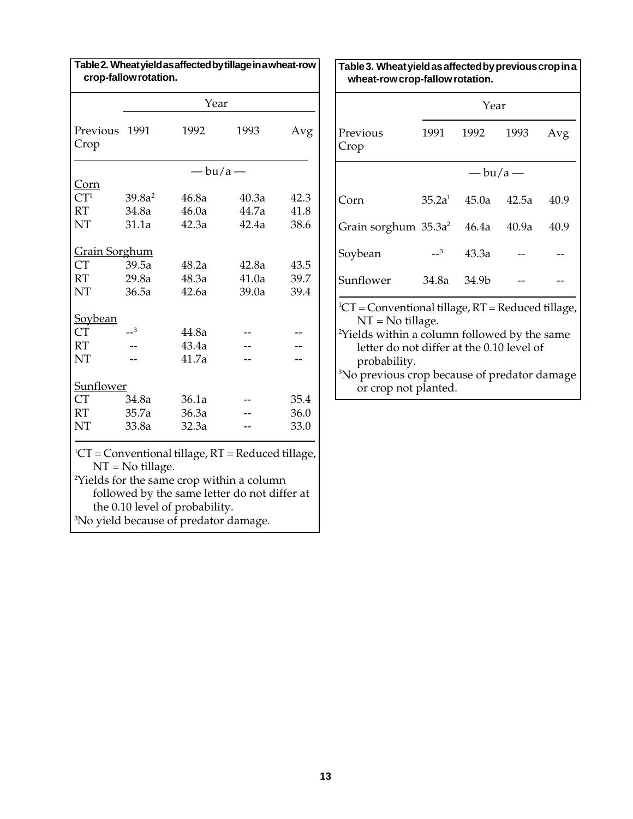|                      |                    | Year                                                                                |                                                                                                                                                                   |      |
|----------------------|--------------------|-------------------------------------------------------------------------------------|-------------------------------------------------------------------------------------------------------------------------------------------------------------------|------|
| Previous<br>Crop     | 1991               | 1992                                                                                | 1993                                                                                                                                                              | Avg  |
|                      |                    | $-\frac{bu}{a}$                                                                     |                                                                                                                                                                   |      |
| Corn                 |                    |                                                                                     |                                                                                                                                                                   |      |
| CT <sup>1</sup>      | 39.8a <sup>2</sup> | 46.8a                                                                               | 40.3a                                                                                                                                                             | 42.3 |
| <b>RT</b>            | 34.8a              | 46.0a                                                                               | 44.7a                                                                                                                                                             | 41.8 |
| NT                   | 31.1a              | 42.3a                                                                               | 42.4a                                                                                                                                                             | 38.6 |
| <b>Grain Sorghum</b> |                    |                                                                                     |                                                                                                                                                                   |      |
| <b>CT</b>            | 39.5a              | 48.2a                                                                               | 42.8a                                                                                                                                                             | 43.5 |
| <b>RT</b>            | 29.8a              | 48.3a                                                                               | 41.0a                                                                                                                                                             | 39.7 |
| NT                   | 36.5a              | 42.6a                                                                               | 39.0a                                                                                                                                                             | 39.4 |
| Soybean              |                    |                                                                                     |                                                                                                                                                                   |      |
| <b>CT</b>            | $\mathbf{1}^3$     | 44.8a                                                                               |                                                                                                                                                                   |      |
| <b>RT</b>            |                    | 43.4a                                                                               |                                                                                                                                                                   |      |
| NT                   |                    | 41.7a                                                                               |                                                                                                                                                                   |      |
| Sunflower            |                    |                                                                                     |                                                                                                                                                                   |      |
| <b>CT</b>            | 34.8a              | 36.1a                                                                               |                                                                                                                                                                   | 35.4 |
| <b>RT</b>            | 35.7a              | 36.3a                                                                               |                                                                                                                                                                   | 36.0 |
| NT                   | 33.8a              | 32.3a                                                                               |                                                                                                                                                                   | 33.0 |
|                      | $NT = No$ tillage. | the 0.10 level of probability.<br><sup>3</sup> No yield because of predator damage. | ${}^{1}CT$ = Conventional tillage, RT = Reduced tillage,<br><sup>2</sup> Yields for the same crop within a column<br>followed by the same letter do not differ at |      |

**Table 3. Wheat yield as affected by previous crop in a wheat-row crop-fallow rotation.**

|                                     |                                                                                                                                                                                              | Year            |       |      |  |  |  |  |  |  |
|-------------------------------------|----------------------------------------------------------------------------------------------------------------------------------------------------------------------------------------------|-----------------|-------|------|--|--|--|--|--|--|
| Previous<br>Crop                    |                                                                                                                                                                                              | 1991 1992       | 1993  | Avg  |  |  |  |  |  |  |
|                                     |                                                                                                                                                                                              | — bu/a —        |       |      |  |  |  |  |  |  |
| Corn                                |                                                                                                                                                                                              | $35.2a^1$ 45.0a | 42.5a | 40.9 |  |  |  |  |  |  |
| Grain sorghum $35.3a^2$ 46.4a 40.9a |                                                                                                                                                                                              |                 |       | 40.9 |  |  |  |  |  |  |
| Soybean                             | $-3$                                                                                                                                                                                         | 43.3a           |       |      |  |  |  |  |  |  |
| Sunflower                           | 34.8a                                                                                                                                                                                        | 34.9b           |       |      |  |  |  |  |  |  |
|                                     | <sup>1</sup> CT = Conventional tillage, RT = Reduced tillage,<br>$NT = No$ tillage.<br><sup>2</sup> Yields within a column followed by the same<br>letter do not differ at the 0.10 level of |                 |       |      |  |  |  |  |  |  |

probability. 3 No previous crop because of predator damage or crop not planted.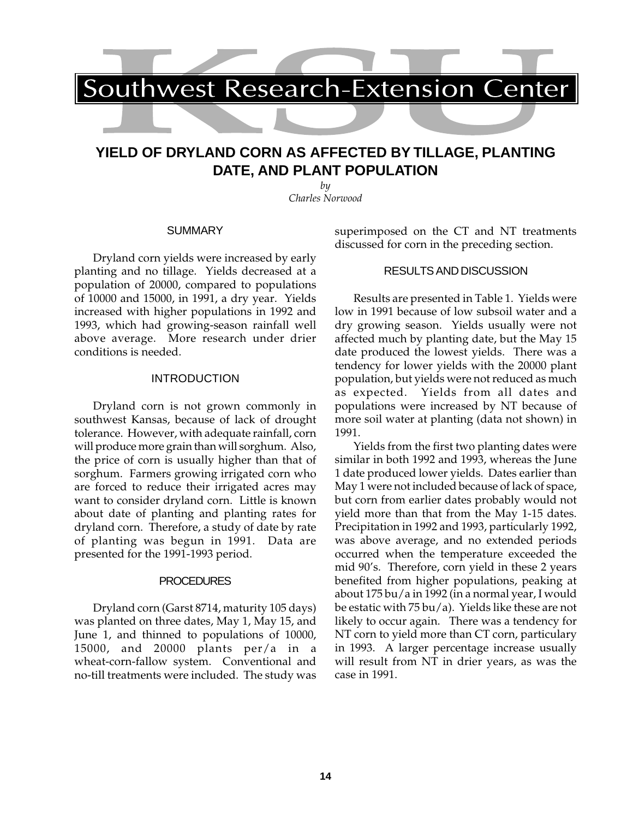# **YIELD OF DRYLAND CORN AS AFFECTED BY TILLAGE, PLANTING DATE, AND PLANT POPULATION**

*by Charles Norwood*

#### **SUMMARY**

Dryland corn yields were increased by early planting and no tillage. Yields decreased at a population of 20000, compared to populations of 10000 and 15000, in 1991, a dry year. Yields increased with higher populations in 1992 and 1993, which had growing-season rainfall well above average. More research under drier conditions is needed.

#### INTRODUCTION

Dryland corn is not grown commonly in southwest Kansas, because of lack of drought tolerance. However, with adequate rainfall, corn will produce more grain than will sorghum. Also, the price of corn is usually higher than that of sorghum. Farmers growing irrigated corn who are forced to reduce their irrigated acres may want to consider dryland corn. Little is known about date of planting and planting rates for dryland corn. Therefore, a study of date by rate of planting was begun in 1991. Data are presented for the 1991-1993 period.

### **PROCEDURES**

Dryland corn (Garst 8714, maturity 105 days) was planted on three dates, May 1, May 15, and June 1, and thinned to populations of 10000, 15000, and 20000 plants per/a in a wheat-corn-fallow system. Conventional and no-till treatments were included. The study was superimposed on the CT and NT treatments discussed for corn in the preceding section.

#### RESULTS AND DISCUSSION

Results are presented in Table 1. Yields were low in 1991 because of low subsoil water and a dry growing season. Yields usually were not affected much by planting date, but the May 15 date produced the lowest yields. There was a tendency for lower yields with the 20000 plant population, but yields were not reduced as much as expected. Yields from all dates and populations were increased by NT because of more soil water at planting (data not shown) in 1991.

Yields from the first two planting dates were similar in both 1992 and 1993, whereas the June 1 date produced lower yields. Dates earlier than May 1 were not included because of lack of space, but corn from earlier dates probably would not yield more than that from the May 1-15 dates. Precipitation in 1992 and 1993, particularly 1992, was above average, and no extended periods occurred when the temperature exceeded the mid 90's. Therefore, corn yield in these 2 years benefited from higher populations, peaking at about 175 bu/a in 1992 (in a normal year, I would be estatic with 75 bu/a). Yields like these are not likely to occur again. There was a tendency for NT corn to yield more than CT corn, particulary in 1993. A larger percentage increase usually will result from NT in drier years, as was the case in 1991.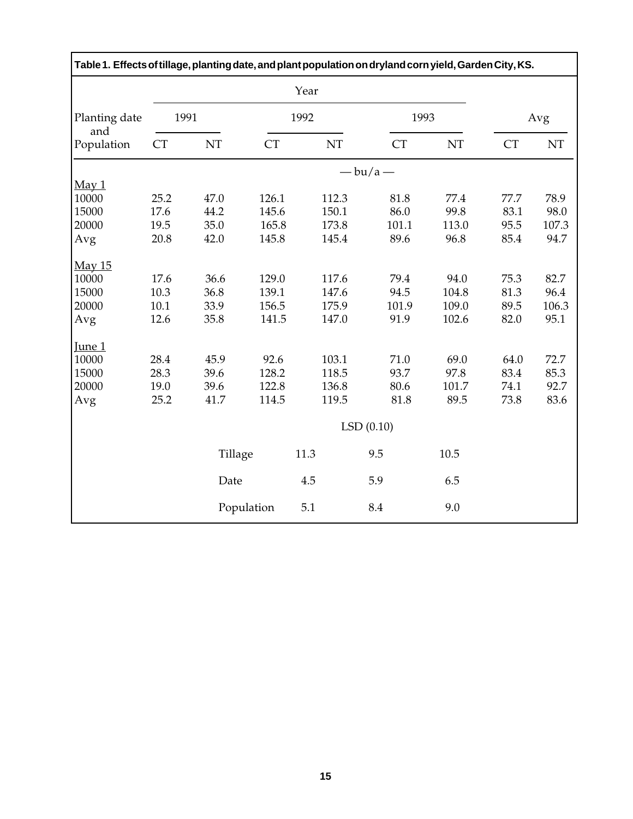| Table 1. Effects of tillage, planting date, and plant population on dryland corn yield, Garden City, KS. |           |         |            |       |                 |               |              |               |
|----------------------------------------------------------------------------------------------------------|-----------|---------|------------|-------|-----------------|---------------|--------------|---------------|
|                                                                                                          |           |         |            | Year  |                 |               |              |               |
| Planting date<br>and                                                                                     | 1991      |         |            | 1992  | 1993            |               |              | Avg           |
| Population                                                                                               | <b>CT</b> | NT      | CT         | NT    | <b>CT</b>       | NT            | <b>CT</b>    | NT            |
|                                                                                                          |           |         |            |       | $-\frac{bu}{a}$ |               |              |               |
| May 1                                                                                                    |           |         |            |       |                 |               |              |               |
| 10000                                                                                                    | 25.2      | 47.0    | 126.1      | 112.3 | 81.8            | 77.4          | 77.7         | 78.9          |
| 15000                                                                                                    | 17.6      | 44.2    | 145.6      | 150.1 | 86.0            | 99.8          | 83.1         | 98.0          |
| 20000                                                                                                    | 19.5      | 35.0    | 165.8      | 173.8 | 101.1<br>89.6   | 113.0<br>96.8 | 95.5<br>85.4 | 107.3<br>94.7 |
| Avg                                                                                                      | 20.8      | 42.0    | 145.8      | 145.4 |                 |               |              |               |
| May 15                                                                                                   |           |         |            |       |                 |               |              |               |
| 10000                                                                                                    | 17.6      | 36.6    | 129.0      | 117.6 | 79.4            | 94.0          | 75.3         | 82.7          |
| 15000                                                                                                    | 10.3      | 36.8    | 139.1      | 147.6 | 94.5            | 104.8         | 81.3         | 96.4          |
| 20000                                                                                                    | 10.1      | 33.9    | 156.5      | 175.9 | 101.9           | 109.0         | 89.5         | 106.3         |
| Avg                                                                                                      | 12.6      | 35.8    | 141.5      | 147.0 | 91.9            | 102.6         | 82.0         | 95.1          |
| <u>June 1</u>                                                                                            |           |         |            |       |                 |               |              |               |
| 10000                                                                                                    | 28.4      | 45.9    | 92.6       | 103.1 | 71.0            | 69.0          | 64.0         | 72.7          |
| 15000                                                                                                    | 28.3      | 39.6    | 128.2      | 118.5 | 93.7            | 97.8          | 83.4         | 85.3          |
| 20000                                                                                                    | 19.0      | 39.6    | 122.8      | 136.8 | 80.6            | 101.7         | 74.1         | 92.7          |
| Avg                                                                                                      | 25.2      | 41.7    | 114.5      | 119.5 | 81.8            | 89.5          | 73.8         | 83.6          |
|                                                                                                          |           |         |            |       | LSD(0.10)       |               |              |               |
|                                                                                                          |           | Tillage |            | 11.3  | 9.5             | 10.5          |              |               |
|                                                                                                          |           | Date    |            | 4.5   | 5.9             | 6.5           |              |               |
|                                                                                                          |           |         | Population | 5.1   | 8.4             | 9.0           |              |               |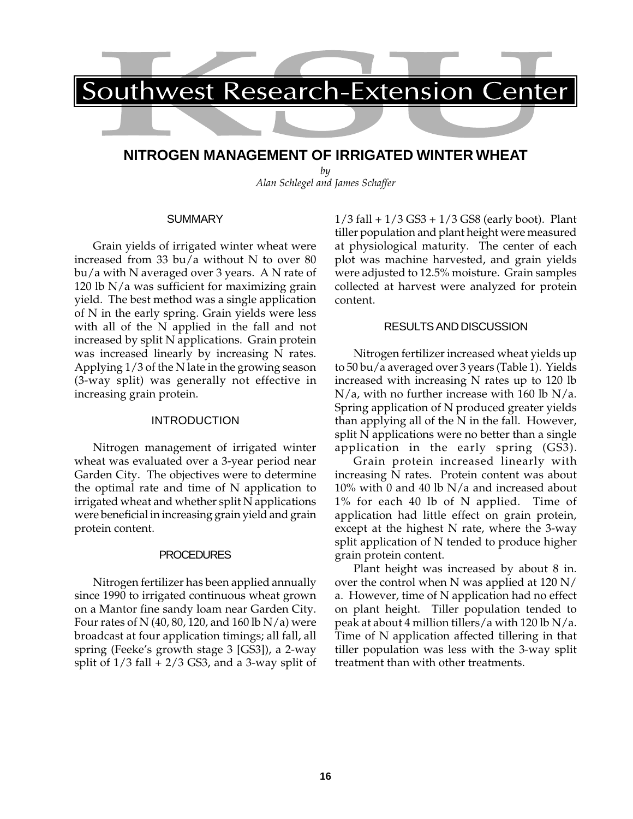# **NITROGEN MANAGEMENT OF IRRIGATED WINTER WHEAT**

*by Alan Schlegel and James Schaffer*

#### SUMMARY

Grain yields of irrigated winter wheat were increased from 33 bu/a without N to over 80 bu/a with N averaged over 3 years. A N rate of 120 lb N/a was sufficient for maximizing grain yield. The best method was a single application of N in the early spring. Grain yields were less with all of the N applied in the fall and not increased by split N applications. Grain protein was increased linearly by increasing N rates. Applying 1/3 of the N late in the growing season (3-way split) was generally not effective in increasing grain protein.

### INTRODUCTION

Nitrogen management of irrigated winter wheat was evaluated over a 3-year period near Garden City. The objectives were to determine the optimal rate and time of N application to irrigated wheat and whether split N applications were beneficial in increasing grain yield and grain protein content.

### PROCEDURES

Nitrogen fertilizer has been applied annually since 1990 to irrigated continuous wheat grown on a Mantor fine sandy loam near Garden City. Four rates of N (40, 80, 120, and 160 lb N/a) were broadcast at four application timings; all fall, all spring (Feeke's growth stage 3 [GS3]), a 2-way split of  $1/3$  fall  $+ 2/3$  GS3, and a 3-way split of  $1/3$  fall  $+1/3$  GS3  $+1/3$  GS8 (early boot). Plant tiller population and plant height were measured at physiological maturity. The center of each plot was machine harvested, and grain yields were adjusted to 12.5% moisture. Grain samples collected at harvest were analyzed for protein content.

## RESULTS AND DISCUSSION

Nitrogen fertilizer increased wheat yields up to 50 bu/a averaged over 3 years (Table 1). Yields increased with increasing N rates up to 120 lb  $N/a$ , with no further increase with 160 lb  $N/a$ . Spring application of N produced greater yields than applying all of the N in the fall. However, split N applications were no better than a single application in the early spring (GS3).

Grain protein increased linearly with increasing N rates. Protein content was about 10% with 0 and 40 lb N/a and increased about 1% for each 40 lb of N applied. Time of application had little effect on grain protein, except at the highest N rate, where the 3-way split application of N tended to produce higher grain protein content.

Plant height was increased by about 8 in. over the control when N was applied at 120 N/ a. However, time of N application had no effect on plant height. Tiller population tended to peak at about 4 million tillers/a with 120 lb  $N/a$ . Time of N application affected tillering in that tiller population was less with the 3-way split treatment than with other treatments.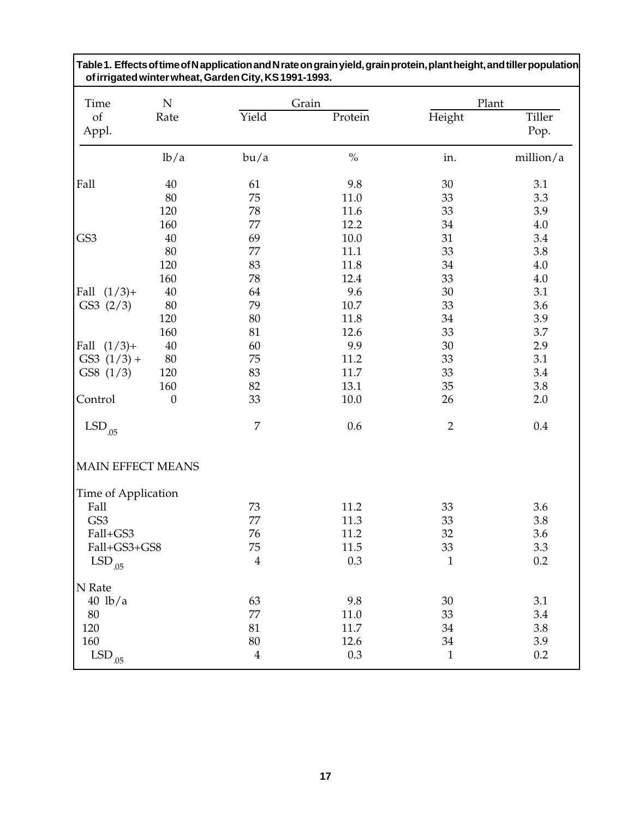| Time                 | ${\bf N}$        |                         | Grain   |                | Plant          |
|----------------------|------------------|-------------------------|---------|----------------|----------------|
| of<br>Appl.          | Rate             | Yield                   | Protein | Height         | Tiller<br>Pop. |
|                      | lb/a             | bu/a                    | $\%$    | in.            | million/a      |
| Fall                 | 40               | 61                      | 9.8     | 30             | 3.1            |
|                      | 80               | 75                      | 11.0    | 33             | 3.3            |
|                      | 120              | 78                      | 11.6    | 33             | 3.9            |
|                      | 160              | 77                      | 12.2    | 34             | 4.0            |
| GS3                  | 40               | 69                      | 10.0    | 31             | 3.4            |
|                      | 80               | 77                      | 11.1    | 33             | 3.8            |
|                      | 120              | 83                      | 11.8    | 34             | $4.0\,$        |
|                      | 160              | 78                      | 12.4    | 33             | 4.0            |
| $(1/3)$ +<br>Fall    | 40               | 64                      | 9.6     | 30             | 3.1            |
| GS3(2/3)             | 80               | 79                      | 10.7    | 33             | 3.6            |
|                      | 120              | 80                      | 11.8    | 34             | 3.9            |
|                      | 160              | 81                      | 12.6    | 33             | 3.7            |
| Fall $(1/3)$ +       | 40               | 60                      | 9.9     | 30             | 2.9            |
| $GS3 (1/3) +$        | 80               | 75                      | 11.2    | 33             | 3.1            |
| GS8(1/3)             | 120              | 83                      | 11.7    | 33             | 3.4            |
|                      | 160              | 82                      | 13.1    | 35             | 3.8            |
| Control              | $\boldsymbol{0}$ | 33                      | 10.0    | 26             | 2.0            |
| $\mathrm{LSD}_{.05}$ |                  | $\overline{7}$          | 0.6     | $\overline{2}$ | 0.4            |
| MAIN EFFECT MEANS    |                  |                         |         |                |                |
| Time of Application  |                  |                         |         |                |                |
| Fall                 |                  | 73                      | 11.2    | 33             | 3.6            |
| GS3                  |                  | 77                      | 11.3    | 33             | 3.8            |
| Fall+GS3             |                  | 76                      | 11.2    | 32             | 3.6            |
| Fall+GS3+GS8         |                  | 75                      | 11.5    | 33             | 3.3            |
| $\mathrm{LSD}_{.05}$ |                  | $\overline{4}$          | 0.3     | $\mathbf{1}$   | 0.2            |
| N Rate               |                  |                         |         |                |                |
| $40$ lb/a            |                  | 63                      | 9.8     | 30             | 3.1            |
| 80                   |                  | 77                      | 11.0    | 33             | 3.4            |
| 120                  |                  | 81                      | 11.7    | 34             | 3.8            |
| 160                  |                  | 80                      | 12.6    | 34             | 3.9            |
| $\mathrm{LSD}_{.05}$ |                  | $\overline{\mathbf{4}}$ | 0.3     | $\mathbf{1}$   | 0.2            |

**Table 1. Effects of time of N application and N rate on grain yield, grain protein, plant height, and tiller population**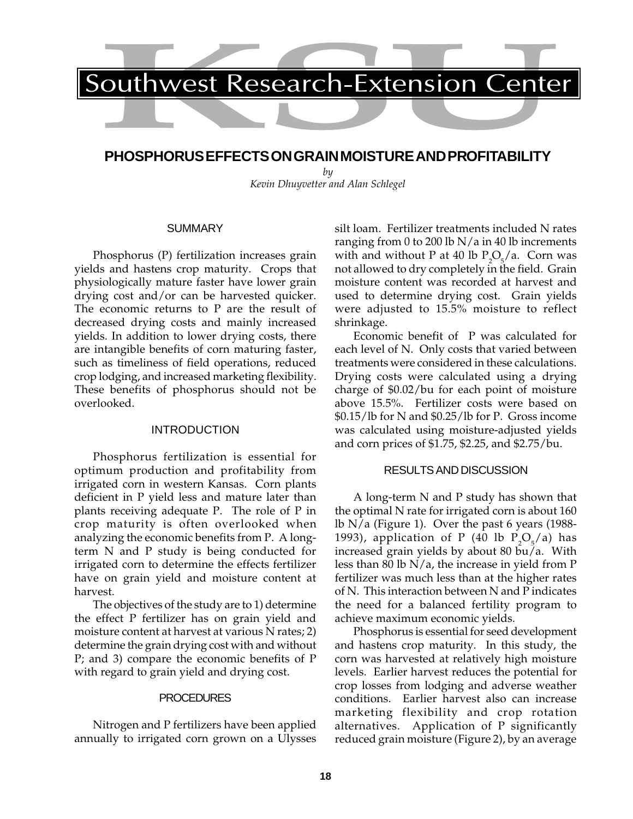

# **PHOSPHORUS EFFECTS ON GRAIN MOISTURE AND PROFITABILITY**

*by Kevin Dhuyvetter and Alan Schlegel*

### **SUMMARY**

Phosphorus (P) fertilization increases grain yields and hastens crop maturity. Crops that physiologically mature faster have lower grain drying cost and/or can be harvested quicker. The economic returns to P are the result of decreased drying costs and mainly increased yields. In addition to lower drying costs, there are intangible benefits of corn maturing faster, such as timeliness of field operations, reduced crop lodging, and increased marketing flexibility. These benefits of phosphorus should not be overlooked.

### INTRODUCTION

Phosphorus fertilization is essential for optimum production and profitability from irrigated corn in western Kansas. Corn plants deficient in P yield less and mature later than plants receiving adequate P. The role of P in crop maturity is often overlooked when analyzing the economic benefits from P. A longterm N and P study is being conducted for irrigated corn to determine the effects fertilizer have on grain yield and moisture content at harvest.

The objectives of the study are to 1) determine the effect P fertilizer has on grain yield and moisture content at harvest at various N rates; 2) determine the grain drying cost with and without P; and 3) compare the economic benefits of P with regard to grain yield and drying cost.

#### **PROCEDURES**

Nitrogen and P fertilizers have been applied annually to irrigated corn grown on a Ulysses silt loam. Fertilizer treatments included N rates ranging from 0 to 200 lb  $N/a$  in 40 lb increments with and without P at 40 lb  $P_2O_5/a$ . Corn was not allowed to dry completely in the field. Grain moisture content was recorded at harvest and used to determine drying cost. Grain yields were adjusted to 15.5% moisture to reflect shrinkage.

Economic benefit of P was calculated for each level of N. Only costs that varied between treatments were considered in these calculations. Drying costs were calculated using a drying charge of \$0.02/bu for each point of moisture above 15.5%. Fertilizer costs were based on \$0.15/lb for N and \$0.25/lb for P. Gross income was calculated using moisture-adjusted yields and corn prices of \$1.75, \$2.25, and \$2.75/bu.

#### RESULTS AND DISCUSSION

A long-term N and P study has shown that the optimal N rate for irrigated corn is about 160 lb  $N/a$  (Figure 1). Over the past 6 years (1988-1993), application of P (40 lb  $P_2O_5/a$ ) has increased grain yields by about 80  $\overline{b}u/a$ . With less than 80 lb  $N/a$ , the increase in yield from P fertilizer was much less than at the higher rates of N. This interaction between N and P indicates the need for a balanced fertility program to achieve maximum economic yields.

Phosphorus is essential for seed development and hastens crop maturity. In this study, the corn was harvested at relatively high moisture levels. Earlier harvest reduces the potential for crop losses from lodging and adverse weather conditions. Earlier harvest also can increase marketing flexibility and crop rotation alternatives. Application of P significantly reduced grain moisture (Figure 2), by an average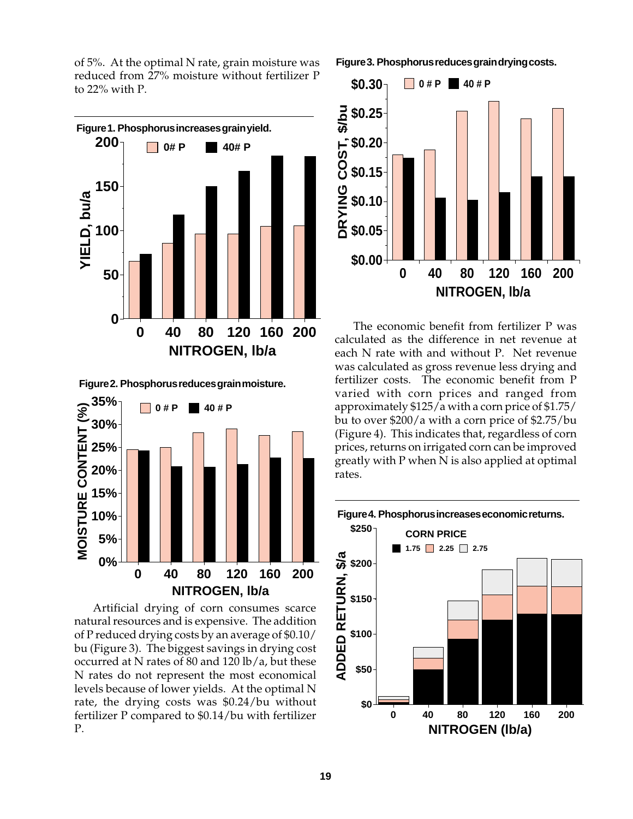of 5%. At the optimal N rate, grain moisture was reduced from 27% moisture without fertilizer P to 22% with P.



**Figure 2. Phosphorus reduces grain moisture.**



Artificial drying of corn consumes scarce natural resources and is expensive. The addition of P reduced drying costs by an average of \$0.10/ bu (Figure 3). The biggest savings in drying cost occurred at N rates of 80 and 120 lb/a, but these N rates do not represent the most economical levels because of lower yields. At the optimal N rate, the drying costs was \$0.24/bu without fertilizer P compared to \$0.14/bu with fertilizer P.

**Figure 3. Phosphorus reduces grain drying costs.**



The economic benefit from fertilizer P was calculated as the difference in net revenue at each N rate with and without P. Net revenue was calculated as gross revenue less drying and fertilizer costs. The economic benefit from P varied with corn prices and ranged from approximately \$125/a with a corn price of \$1.75/ bu to over \$200/a with a corn price of \$2.75/bu (Figure 4). This indicates that, regardless of corn prices, returns on irrigated corn can be improved greatly with P when N is also applied at optimal rates.

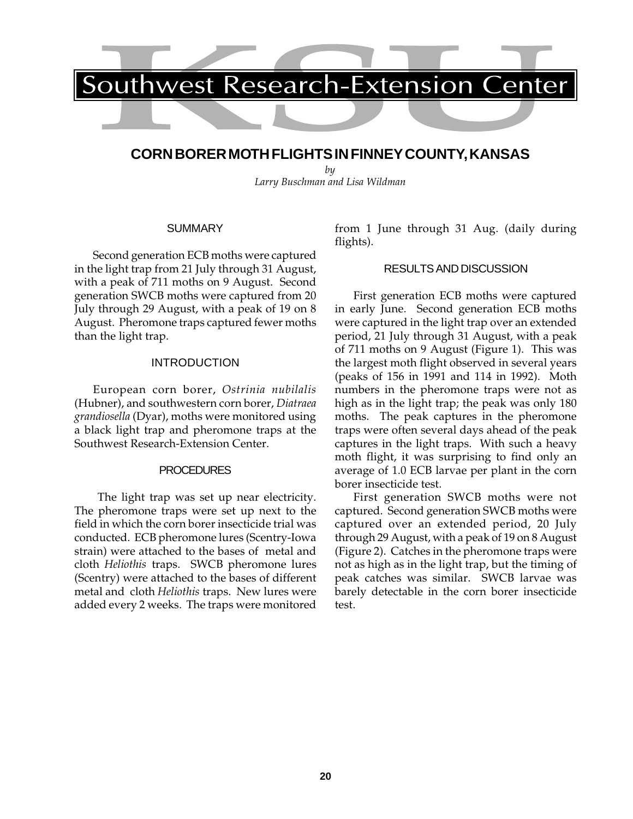# **CORN BORER MOTH FLIGHTS IN FINNEY COUNTY, KANSAS**

*by Larry Buschman and Lisa Wildman*

# **SUMMARY**

Second generation ECB moths were captured in the light trap from 21 July through 31 August, with a peak of 711 moths on 9 August. Second generation SWCB moths were captured from 20 July through 29 August, with a peak of 19 on 8 August. Pheromone traps captured fewer moths than the light trap.

# INTRODUCTION

European corn borer, *Ostrinia nubilalis* (Hubner), and southwestern corn borer, *Diatraea grandiosella* (Dyar), moths were monitored using a black light trap and pheromone traps at the Southwest Research-Extension Center.

# PROCEDURES

 The light trap was set up near electricity. The pheromone traps were set up next to the field in which the corn borer insecticide trial was conducted. ECB pheromone lures (Scentry-Iowa strain) were attached to the bases of metal and cloth *Heliothis* traps. SWCB pheromone lures (Scentry) were attached to the bases of different metal and cloth *Heliothis* traps. New lures were added every 2 weeks. The traps were monitored

from 1 June through 31 Aug. (daily during flights).

# RESULTS AND DISCUSSION

First generation ECB moths were captured in early June. Second generation ECB moths were captured in the light trap over an extended period, 21 July through 31 August, with a peak of 711 moths on 9 August (Figure 1). This was the largest moth flight observed in several years (peaks of 156 in 1991 and 114 in 1992). Moth numbers in the pheromone traps were not as high as in the light trap; the peak was only 180 moths. The peak captures in the pheromone traps were often several days ahead of the peak captures in the light traps. With such a heavy moth flight, it was surprising to find only an average of 1.0 ECB larvae per plant in the corn borer insecticide test.

First generation SWCB moths were not captured. Second generation SWCB moths were captured over an extended period, 20 July through 29 August, with a peak of 19 on 8 August (Figure 2). Catches in the pheromone traps were not as high as in the light trap, but the timing of peak catches was similar. SWCB larvae was barely detectable in the corn borer insecticide test.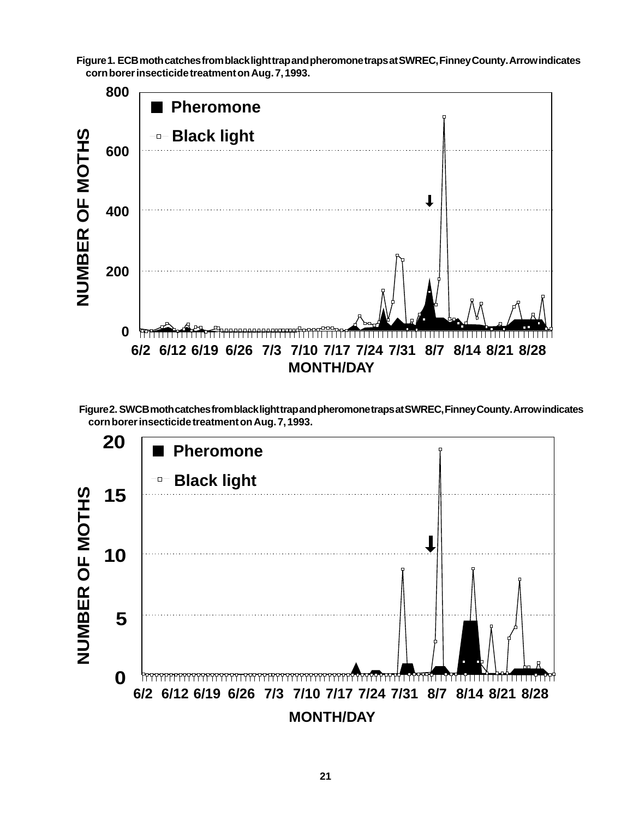**Figure 1. ECB moth catches from black light trap and pheromone traps at SWREC, Finney County. Arrow indicates corn borer insecticide treatment on Aug. 7, 1993.**





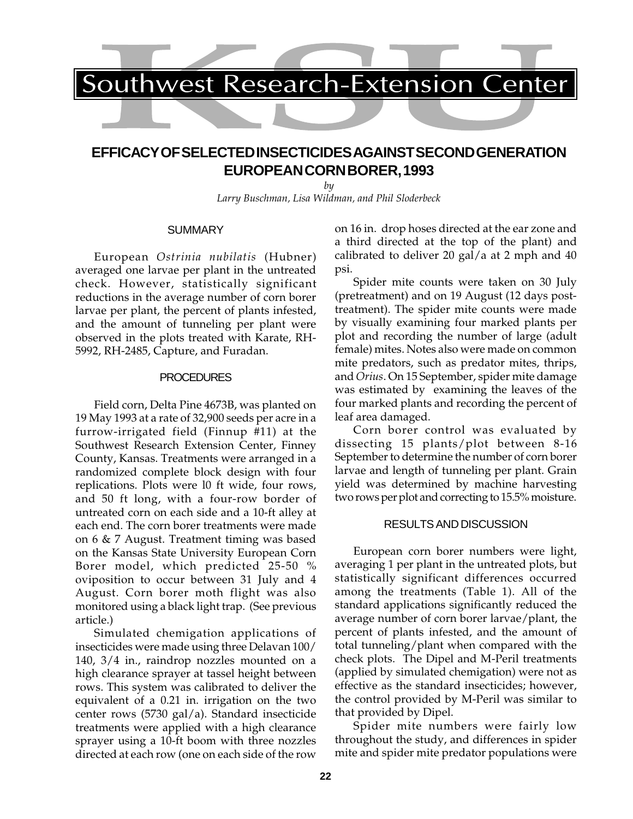

# **EFFICACY OF SELECTED INSECTICIDES AGAINST SECOND GENERATION EUROPEAN CORN BORER, 1993**

*by Larry Buschman, Lisa Wildman, and Phil Sloderbeck*

#### SUMMARY

European *Ostrinia nubilatis* (Hubner) averaged one larvae per plant in the untreated check. However, statistically significant reductions in the average number of corn borer larvae per plant, the percent of plants infested, and the amount of tunneling per plant were observed in the plots treated with Karate, RH-5992, RH-2485, Capture, and Furadan.

#### PROCEDURES

Field corn, Delta Pine 4673B, was planted on 19 May 1993 at a rate of 32,900 seeds per acre in a furrow-irrigated field (Finnup #11) at the Southwest Research Extension Center, Finney County, Kansas. Treatments were arranged in a randomized complete block design with four replications. Plots were l0 ft wide, four rows, and 50 ft long, with a four-row border of untreated corn on each side and a 10-ft alley at each end. The corn borer treatments were made on 6 & 7 August. Treatment timing was based on the Kansas State University European Corn Borer model, which predicted 25-50 % oviposition to occur between 31 July and 4 August. Corn borer moth flight was also monitored using a black light trap. (See previous article.)

Simulated chemigation applications of insecticides were made using three Delavan 100/ 140, 3/4 in., raindrop nozzles mounted on a high clearance sprayer at tassel height between rows. This system was calibrated to deliver the equivalent of a 0.21 in. irrigation on the two center rows (5730 gal/a). Standard insecticide treatments were applied with a high clearance sprayer using a 10-ft boom with three nozzles directed at each row (one on each side of the row

on 16 in. drop hoses directed at the ear zone and a third directed at the top of the plant) and calibrated to deliver 20 gal/a at 2 mph and 40 psi.

Spider mite counts were taken on 30 July (pretreatment) and on 19 August (12 days posttreatment). The spider mite counts were made by visually examining four marked plants per plot and recording the number of large (adult female) mites. Notes also were made on common mite predators, such as predator mites, thrips, and *Orius*. On 15 September, spider mite damage was estimated by examining the leaves of the four marked plants and recording the percent of leaf area damaged.

Corn borer control was evaluated by dissecting 15 plants/plot between 8-16 September to determine the number of corn borer larvae and length of tunneling per plant. Grain yield was determined by machine harvesting two rows per plot and correcting to 15.5% moisture.

### RESULTS AND DISCUSSION

European corn borer numbers were light, averaging 1 per plant in the untreated plots, but statistically significant differences occurred among the treatments (Table 1). All of the standard applications significantly reduced the average number of corn borer larvae/plant, the percent of plants infested, and the amount of total tunneling/plant when compared with the check plots. The Dipel and M-Peril treatments (applied by simulated chemigation) were not as effective as the standard insecticides; however, the control provided by M-Peril was similar to that provided by Dipel.

Spider mite numbers were fairly low throughout the study, and differences in spider mite and spider mite predator populations were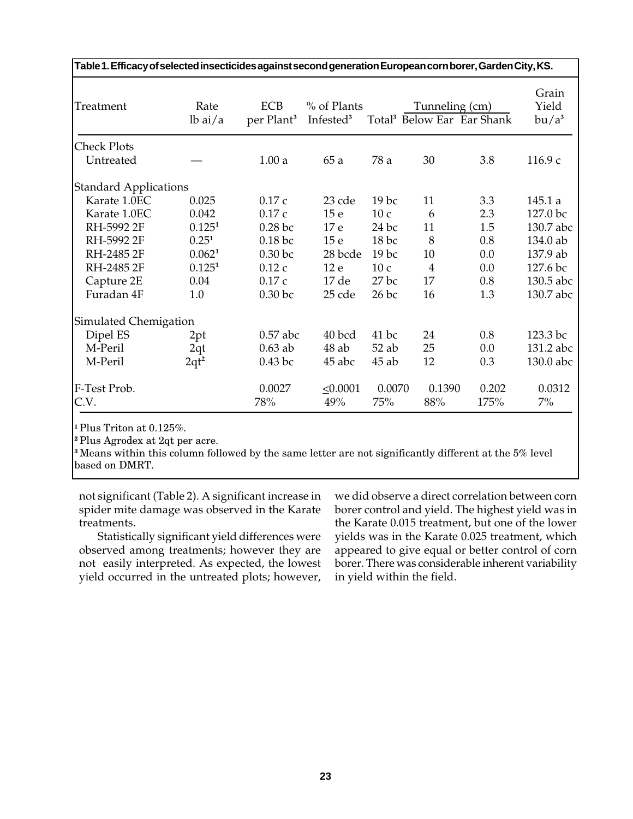| Table 1. Efficacy of selected insecticides against second generation European corn borer, Garden City, KS. |                    |                                      |                                      |                  |                |                                        |                            |
|------------------------------------------------------------------------------------------------------------|--------------------|--------------------------------------|--------------------------------------|------------------|----------------|----------------------------------------|----------------------------|
| Treatment                                                                                                  | Rate<br>$lb$ ai/a  | <b>ECB</b><br>per Plant <sup>3</sup> | % of Plants<br>Infested <sup>3</sup> |                  | Tunneling (cm) | Total <sup>3</sup> Below Ear Ear Shank | Grain<br>Yield<br>$bu/a^3$ |
| <b>Check Plots</b>                                                                                         |                    |                                      |                                      |                  |                |                                        |                            |
| Untreated                                                                                                  |                    | 1.00a                                | 65a                                  | 78 a             | 30             | 3.8                                    | 116.9c                     |
| <b>Standard Applications</b>                                                                               |                    |                                      |                                      |                  |                |                                        |                            |
| Karate 1.0EC                                                                                               | 0.025              | 0.17c                                | 23 cde                               | 19 <sub>bc</sub> | 11             | 3.3                                    | 145.1a                     |
| Karate 1.0EC                                                                                               | 0.042              | 0.17c                                | 15 <sub>e</sub>                      | 10c              | 6              | 2.3                                    | 127.0 bc                   |
| RH-5992 2F                                                                                                 | 0.125 <sup>1</sup> | $0.28$ bc                            | 17 e                                 | $24$ bc          | 11             | 1.5                                    | 130.7 abc                  |
| RH-5992 2F                                                                                                 | $0.25^{1}$         | $0.18$ bc                            | 15 <sub>e</sub>                      | $18$ bc          | 8              | 0.8                                    | 134.0 ab                   |
| RH-2485 2F                                                                                                 | 0.062 <sup>1</sup> | $0.30$ bc                            | 28 bcde                              | 19 <sub>bc</sub> | 10             | 0.0                                    | 137.9 ab                   |
| RH-2485 2F                                                                                                 | 0.125 <sup>1</sup> | 0.12c                                | 12 e                                 | 10c              | $\overline{4}$ | 0.0                                    | 127.6 bc                   |
| Capture 2E                                                                                                 | 0.04               | 0.17c                                | 17de                                 | $27$ bc          | 17             | 0.8                                    | 130.5 abc                  |
| Furadan 4F                                                                                                 | 1.0                | 0.30 <sub>bc</sub>                   | 25 cde                               | $26$ bc          | 16             | 1.3                                    | 130.7 abc                  |
| Simulated Chemigation                                                                                      |                    |                                      |                                      |                  |                |                                        |                            |
| Dipel ES                                                                                                   | 2pt                | $0.57$ abc                           | 40 bcd                               | $41$ bc          | 24             | 0.8                                    | 123.3 bc                   |
| M-Peril                                                                                                    | 2qt                | $0.63$ ab                            | $48$ ab                              | $52$ ab          | 25             | 0.0                                    | 131.2 abc                  |
| M-Peril                                                                                                    | $2qt^2$            | $0.43$ bc                            | 45 abc                               | $45$ ab          | 12             | 0.3                                    | 130.0 abc                  |
| F-Test Prob.                                                                                               |                    | 0.0027                               | $\leq 0.0001$                        | 0.0070           | 0.1390         | 0.202                                  | 0.0312                     |
| C.V.                                                                                                       |                    | 78%                                  | 49%                                  | 75%              | 88%            | 175%                                   | $7\%$                      |

**<sup>1</sup>** Plus Triton at 0.125%.

**<sup>2</sup>**Plus Agrodex at 2qt per acre.

**<sup>3</sup>**Means within this column followed by the same letter are not significantly different at the 5% level based on DMRT.

not significant (Table 2). A significant increase in spider mite damage was observed in the Karate treatments.

Statistically significant yield differences were observed among treatments; however they are not easily interpreted. As expected, the lowest yield occurred in the untreated plots; however,

we did observe a direct correlation between corn borer control and yield. The highest yield was in the Karate 0.015 treatment, but one of the lower yields was in the Karate 0.025 treatment, which appeared to give equal or better control of corn borer. There was considerable inherent variability in yield within the field.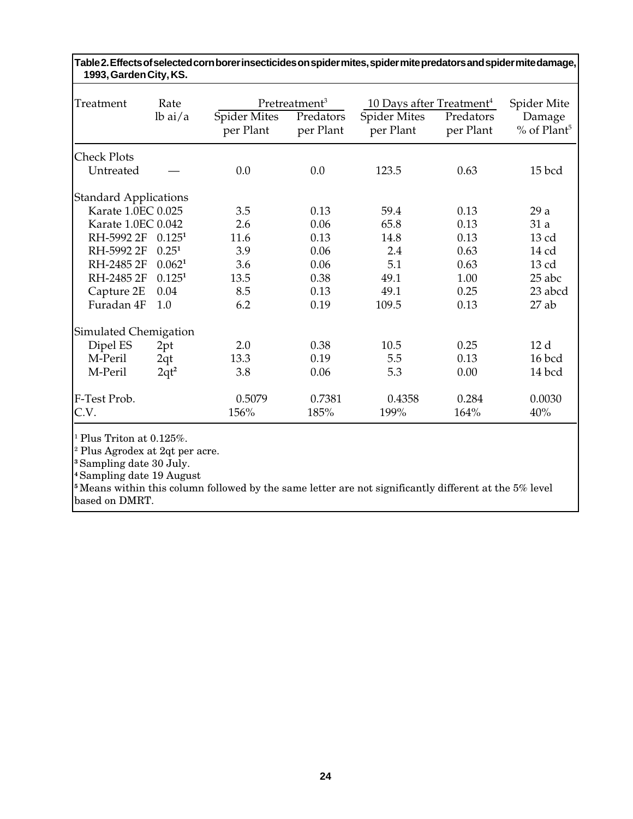| Treatment                    | Rate               |                                  | Pretreatment <sup>3</sup> | 10 Days after Treatment <sup>4</sup> |                        | Spider Mite                         |
|------------------------------|--------------------|----------------------------------|---------------------------|--------------------------------------|------------------------|-------------------------------------|
|                              | $lb$ ai/a          | <b>Spider Mites</b><br>per Plant | Predators<br>per Plant    | <b>Spider Mites</b><br>per Plant     | Predators<br>per Plant | Damage<br>$%$ of Plant <sup>5</sup> |
| <b>Check Plots</b>           |                    |                                  |                           |                                      |                        |                                     |
| Untreated                    |                    | 0.0                              | 0.0                       | 123.5                                | 0.63                   | 15 bcd                              |
| <b>Standard Applications</b> |                    |                                  |                           |                                      |                        |                                     |
| Karate 1.0EC 0.025           |                    | 3.5                              | 0.13                      | 59.4                                 | 0.13                   | 29a                                 |
| Karate 1.0EC 0.042           |                    | 2.6                              | 0.06                      | 65.8                                 | 0.13                   | 31 a                                |
| RH-5992 2F                   | 0.125 <sup>1</sup> | 11.6                             | 0.13                      | 14.8                                 | 0.13                   | 13 cd                               |
| RH-5992 2F                   | $0.25^{1}$         | 3.9                              | 0.06                      | 2.4                                  | 0.63                   | 14 cd                               |
| RH-2485 2F                   | 0.062 <sup>1</sup> | 3.6                              | 0.06                      | 5.1                                  | 0.63                   | $13$ cd                             |
| RH-2485 2F                   | 0.125 <sup>1</sup> | 13.5                             | 0.38                      | 49.1                                 | 1.00                   | 25 abc                              |
| Capture 2E                   | 0.04               | 8.5                              | 0.13                      | 49.1                                 | 0.25                   | 23 abcd                             |
| Furadan 4F                   | 1.0                | 6.2                              | 0.19                      | 109.5                                | 0.13                   | $27$ ab                             |
| Simulated Chemigation        |                    |                                  |                           |                                      |                        |                                     |
| Dipel ES                     | 2pt                | 2.0                              | 0.38                      | 10.5                                 | 0.25                   | 12d                                 |
| M-Peril                      | 2qt                | 13.3                             | 0.19                      | 5.5                                  | 0.13                   | 16 bcd                              |
| M-Peril                      | $2qt^2$            | 3.8                              | 0.06                      | 5.3                                  | 0.00                   | 14 bcd                              |
| F-Test Prob.<br>C.V.         |                    | 0.5079<br>156%                   | 0.7381<br>185%            | 0.4358<br>199%                       | 0.284<br>164%          | 0.0030<br>40%                       |

**Table 2. Effects of selected corn borer insecticides on spider mites, spider mite predators and spider mite damage, 1993, Garden City, KS.**

 $^1$  Plus Triton at 0.125%.

<sup>2</sup> Plus Agrodex at 2qt per acre.

**<sup>3</sup>** Sampling date 30 July.

**<sup>4</sup>**Sampling date 19 August

<sup>5</sup> Means within this column followed by the same letter are not significantly different at the 5% level based on DMRT.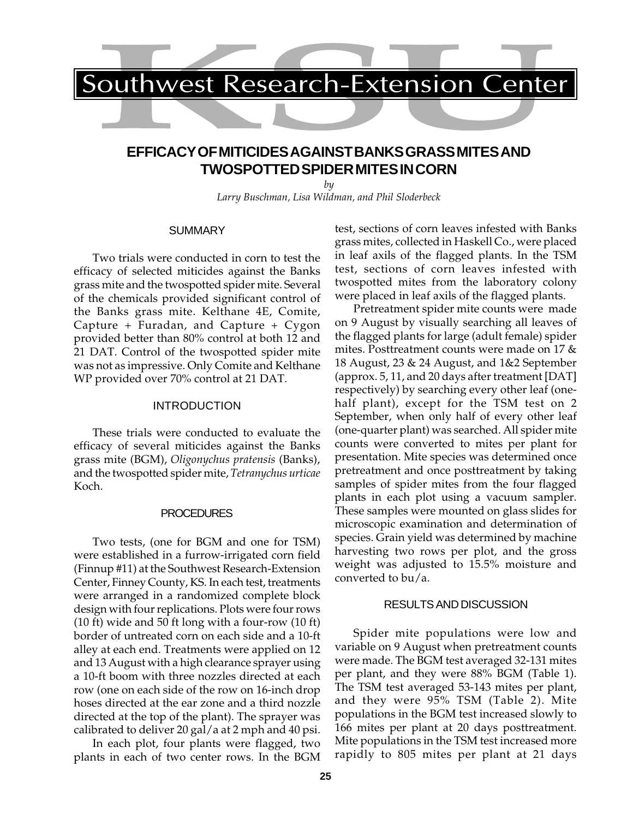# **EFFICACY OF MITICIDES AGAINST BANKS GRASS MITES AND TWOSPOTTED SPIDER MITES IN CORN**

*by Larry Buschman, Lisa Wildman, and Phil Sloderbeck*

#### **SUMMARY**

Two trials were conducted in corn to test the efficacy of selected miticides against the Banks grass mite and the twospotted spider mite. Several of the chemicals provided significant control of the Banks grass mite. Kelthane 4E, Comite, Capture + Furadan, and Capture + Cygon provided better than 80% control at both 12 and 21 DAT. Control of the twospotted spider mite was not as impressive. Only Comite and Kelthane WP provided over 70% control at 21 DAT.

### INTRODUCTION

These trials were conducted to evaluate the efficacy of several miticides against the Banks grass mite (BGM), *Oligonychus pratensis* (Banks), and the twospotted spider mite, *Tetranychus urticae* Koch.

#### **PROCEDURES**

Two tests, (one for BGM and one for TSM) were established in a furrow-irrigated corn field (Finnup #11) at the Southwest Research-Extension Center, Finney County, KS. In each test, treatments were arranged in a randomized complete block design with four replications. Plots were four rows (10 ft) wide and 50 ft long with a four-row (10 ft) border of untreated corn on each side and a 10-ft alley at each end. Treatments were applied on 12 and 13 August with a high clearance sprayer using a 10-ft boom with three nozzles directed at each row (one on each side of the row on 16-inch drop hoses directed at the ear zone and a third nozzle directed at the top of the plant). The sprayer was calibrated to deliver 20 gal/a at 2 mph and 40 psi.

In each plot, four plants were flagged, two plants in each of two center rows. In the BGM test, sections of corn leaves infested with Banks grass mites, collected in Haskell Co., were placed in leaf axils of the flagged plants. In the TSM test, sections of corn leaves infested with twospotted mites from the laboratory colony were placed in leaf axils of the flagged plants.

Pretreatment spider mite counts were made on 9 August by visually searching all leaves of the flagged plants for large (adult female) spider mites. Posttreatment counts were made on 17 & 18 August, 23 & 24 August, and 1&2 September (approx. 5, 11, and 20 days after treatment [DAT] respectively) by searching every other leaf (onehalf plant), except for the TSM test on 2 September, when only half of every other leaf (one-quarter plant) was searched. All spider mite counts were converted to mites per plant for presentation. Mite species was determined once pretreatment and once posttreatment by taking samples of spider mites from the four flagged plants in each plot using a vacuum sampler. These samples were mounted on glass slides for microscopic examination and determination of species. Grain yield was determined by machine harvesting two rows per plot, and the gross weight was adjusted to 15.5% moisture and converted to bu/a.

### RESULTS AND DISCUSSION

Spider mite populations were low and variable on 9 August when pretreatment counts were made. The BGM test averaged 32-131 mites per plant, and they were 88% BGM (Table 1). The TSM test averaged 53-143 mites per plant, and they were 95% TSM (Table 2). Mite populations in the BGM test increased slowly to 166 mites per plant at 20 days posttreatment. Mite populations in the TSM test increased more rapidly to 805 mites per plant at 21 days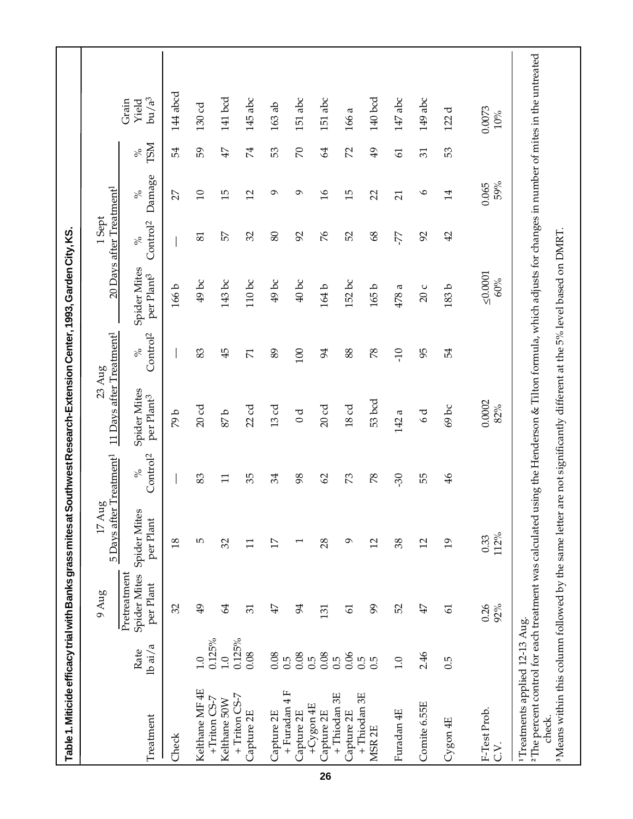| Table1. Miticide efficacy trial with Banks grass mites at Southwest Research-Extension Center, 1993, Garden City, KS.     |                            |                                                  |                                                   |                              |                                                               |                              |                                        |                                                  |                 |                    |                                                                                                                                                                        |
|---------------------------------------------------------------------------------------------------------------------------|----------------------------|--------------------------------------------------|---------------------------------------------------|------------------------------|---------------------------------------------------------------|------------------------------|----------------------------------------|--------------------------------------------------|-----------------|--------------------|------------------------------------------------------------------------------------------------------------------------------------------------------------------------|
|                                                                                                                           |                            | $9\,\mathrm{Aug}$                                | 5 Days after Treatment <sup>1</sup><br>ρÒ<br>17Au |                              | 11 Days after Treatment <sup>1</sup><br>$23 \text{ Aug}$      |                              |                                        | 20 Days after Treatment <sup>1</sup><br>$1$ Sept |                 |                    |                                                                                                                                                                        |
| Treatment                                                                                                                 | $l$ b ai $/a$<br>Rate      | Pretreatment<br><b>Spider Mites</b><br>per Plant | Spider Mites<br>per Plant                         | Control <sup>2</sup><br>$\%$ | Spider Mites<br>per Plant <sup>3</sup>                        | Control <sup>2</sup><br>$\%$ | Spider Mites<br>per Plant <sup>3</sup> | Control <sup>2</sup><br>$\%$                     | Damage<br>$\%$  | <b>NSL</b><br>$\%$ | bu/a <sup>3</sup><br>Grain<br>Yield                                                                                                                                    |
| Check                                                                                                                     |                            | 32                                               | $\frac{8}{2}$                                     |                              | d 64                                                          |                              | 166b                                   |                                                  | 27              | 54                 | 144 abcd                                                                                                                                                               |
| Kelthane MF4E                                                                                                             | 0.125%<br>$\frac{0}{1}$    | $\overline{6}$                                   | 5                                                 | 83                           | 20 <sub>cd</sub>                                              | 83                           | 49 bc                                  | 81                                               | $\overline{10}$ | 59                 | 130 <sub>cd</sub>                                                                                                                                                      |
| +Triton CS-7<br>Kelthane 50W                                                                                              | 0.125%<br>$\overline{1.0}$ | $\mathcal{Z}$                                    | 32                                                | $\Xi$                        | 4.8                                                           | 45                           | 143 bc                                 | 57                                               | $\overline{5}$  | 47                 | 141 bcd                                                                                                                                                                |
| $+$ Triton CS-7<br>Capture 2E                                                                                             | 0.08                       | $\overline{31}$                                  | $\Xi$                                             | 35                           | 22 <sub>cd</sub>                                              | $\overline{\Sigma}$          | $110$ bc                               | 32                                               | $\overline{c}$  | 74                 | 145 abc                                                                                                                                                                |
| Capture 2E                                                                                                                | 0.08                       | 47                                               | 17                                                | 34                           | 13cd                                                          | 89                           | $49$ bc                                | 80                                               | ᡋ               | 53                 | $163$ ab                                                                                                                                                               |
| + Furadan 4 F<br>Capture 2E                                                                                               | 0.08<br>$\tilde{0}$ .      | 94                                               |                                                   | 98                           | $\sigma$                                                      | 100                          | 40bc                                   | 92                                               | Ō               | $\mathcal{L}$      | 151 abc                                                                                                                                                                |
| +Cygon 4E<br>Capture 2E                                                                                                   | 0.08<br>0.5                | 131                                              | 28                                                | 62                           | 20cd                                                          | 94                           | 164b                                   | $\%$                                             | $\frac{9}{1}$   | $\mathcal{Z}$      | 151 abc                                                                                                                                                                |
| +Thiodan 3E<br>Capture 2E                                                                                                 | 0.06<br>0.5                | $\overline{6}$                                   | ە                                                 | 73                           | 18 <sub>cd</sub>                                              | 88                           | 152 bc                                 | 52                                               | $\overline{5}$  | 2                  | 166 a                                                                                                                                                                  |
| +Thiodan 3E<br>MSR <sub>2E</sub>                                                                                          | $0.\overline{5}$<br>0.5    | 99                                               | $\overline{c}$                                    | 78                           | 53 bcd                                                        | 78                           | 165b                                   | 8 <sup>o</sup>                                   | 22              | $\overline{49}$    | 140 bcd                                                                                                                                                                |
| Furadan 4E                                                                                                                | 1.0                        | 52                                               | 38                                                | 30                           | 142a                                                          | $-10$                        | 478 a                                  | -77                                              | $\overline{21}$ | $\overline{6}$     | 147 abc                                                                                                                                                                |
| Comite 6.55E                                                                                                              | 2.46                       | 47                                               | $\overline{c}$                                    | 55                           | $\sigma$                                                      | 95                           | 20c                                    | 92                                               | $\circ$         | 31                 | 149 abc                                                                                                                                                                |
| Cygon 4E                                                                                                                  | 0.5                        | $\mathfrak{L}$                                   | $\overline{5}$                                    | $\frac{4}{6}$                | 69 bc                                                         | 54                           | 183b                                   | $\overline{4}$                                   | $\overline{14}$ | 53                 | 122 d                                                                                                                                                                  |
| F-Test Prob.<br>C.V.                                                                                                      |                            | 0.26<br>92%                                      | 112%<br>0.33                                      |                              | 0.0002<br>82%                                                 |                              | $\leq 0.0001$<br>60%                   |                                                  | 59%<br>0.065    |                    | 0.0073<br>$10\%$                                                                                                                                                       |
| <sup>3</sup> Means within this column followed by the same letter<br><sup>1</sup> Treatments applied 12-13 Aug.<br>check. |                            |                                                  |                                                   |                              | are not significantly different at the 5% level based on DMRT |                              |                                        |                                                  |                 |                    | <sup>2</sup> The percent control for each treatment was calculated using the Henderson & Tilton formula, which adjusts for changes in number of mites in the untreated |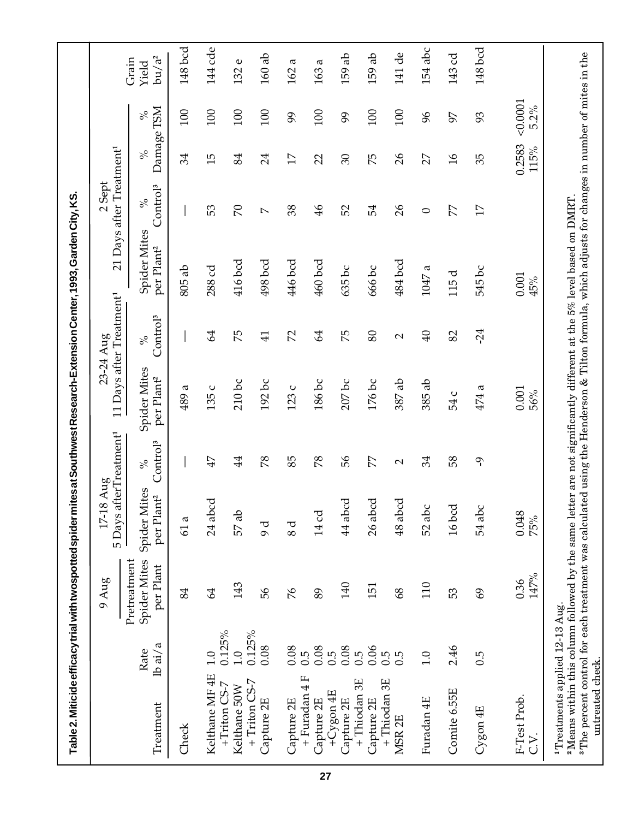| Table 2. Miticide efficacy trial with twospotted spider mites at Southwest Research-Extension Center, 1993, Garden City, KS.                                                                                                                                                                                                                                          |                         |                                           |                                                    |                              |                                               |                                                   |                                        |                                                                         |                    |                |                            |
|-----------------------------------------------------------------------------------------------------------------------------------------------------------------------------------------------------------------------------------------------------------------------------------------------------------------------------------------------------------------------|-------------------------|-------------------------------------------|----------------------------------------------------|------------------------------|-----------------------------------------------|---------------------------------------------------|----------------------------------------|-------------------------------------------------------------------------|--------------------|----------------|----------------------------|
|                                                                                                                                                                                                                                                                                                                                                                       |                         | $9\,\mathrm{Aug}$                         | 5 Days afterTreatment <sup>1</sup><br>Aug<br>17-18 |                              |                                               | 11 Days after Treatment <sup>1</sup><br>23-24 Aug |                                        | 21 Days after Treatment <sup>1</sup><br>Sept<br>$\overline{\mathsf{C}}$ |                    |                |                            |
| Treatment                                                                                                                                                                                                                                                                                                                                                             | $1b$ ai/a<br>Rate       | Spider Mites<br>Pretreatment<br>per Plant | Spider Mites<br>per Plant <sup>2</sup>             | Control <sup>3</sup><br>$\%$ | <b>Spider Mites</b><br>per Plant <sup>2</sup> | Control <sup>3</sup><br>$\%$                      | Spider Mites<br>per Plant <sup>2</sup> | Control <sup>3</sup><br>$\%$                                            | Damage TSM<br>$\%$ | $\%$           | $bu/a^2$<br>Grain<br>Yield |
| Check                                                                                                                                                                                                                                                                                                                                                                 |                         | 84                                        | 61 a                                               |                              | 489 a                                         |                                                   | $805$ ab                               |                                                                         | 34                 | 100            | 148 bcd                    |
| Kelthane MF 4E                                                                                                                                                                                                                                                                                                                                                        | 1.0                     | 64                                        | 24 abcd                                            | 47                           | 135 c                                         | 64                                                | 288 cd                                 | 53                                                                      | 15                 | 100            | 144 cde                    |
| $+Triton$ CS-7<br>Kelthane 50W                                                                                                                                                                                                                                                                                                                                        | 0.125%<br>$\frac{0}{1}$ | 143                                       | 57 ab                                              | $\overline{4}$               | $210$ bc                                      | 75                                                | 416 bcd                                | $\mathcal{R}$                                                           | 84                 | 100            | Φ<br>132                   |
| +Triton CS-7<br>Capture 2E                                                                                                                                                                                                                                                                                                                                            | 0.125%<br>0.08          | 99                                        | d<br>O                                             | 78                           | $192$ bc                                      | $\overline{41}$                                   | 498 bcd                                | $\overline{\phantom{0}}$                                                | 24                 | 100            | $160$ ab                   |
| Capture 2E                                                                                                                                                                                                                                                                                                                                                            | 0.08                    | 94                                        | 8 d                                                | 85                           | 123 c                                         | 22                                                | 446 bcd                                | 38                                                                      | 17                 | 99             | a<br>162                   |
| + Furadan 4 F<br>Capture 2E                                                                                                                                                                                                                                                                                                                                           | 0.08<br>0.5             | 89                                        | 14cd                                               | 78                           | 186 bc                                        | $\mathfrak{A}$                                    | $460$ bcd                              | $\frac{4}{6}$                                                           | 22                 | 100            | a<br>163                   |
| $+Cyg$ on $4E$<br>Capture 2E                                                                                                                                                                                                                                                                                                                                          | 0.08<br>0.5             | 140                                       | $44$ abcd                                          | 99                           | $207$ bc                                      | 75                                                | 635 bc                                 | 52                                                                      | $\mathcal{S}$      | 99             | 159 ab                     |
| +Thiodan 3E<br>Capture 2E                                                                                                                                                                                                                                                                                                                                             | 0.06<br>0.5             | 151                                       | 26 abcd                                            | 77                           | 176 bc                                        | 80                                                | 666 bc                                 | 54                                                                      | 75                 | 100            | 159 ab                     |
| +Thiodan 3E<br>MSR <sub>2E</sub>                                                                                                                                                                                                                                                                                                                                      | 0.5<br>0.5              | 89                                        | 48 abcd                                            | $\mathbf{\Omega}$            | 387 ab                                        | $\mathbf{\sim}$                                   | 484 bcd                                | $\delta$                                                                | $\delta$           | 100            | 141 de                     |
| Furadan 4E                                                                                                                                                                                                                                                                                                                                                            | 1.0                     | 110                                       | 52 abc                                             | 34                           | 385 ab                                        | $\overline{40}$                                   | σ<br>1047                              | $\circ$                                                                 | 27                 | $\delta$       | 154 abc                    |
| Comite 6.55E                                                                                                                                                                                                                                                                                                                                                          | 2.46                    | 53                                        | $16$ bcd                                           | 58                           | 54 c                                          | 82                                                | 115 d                                  | 77                                                                      | $\mathfrak{d}$     | 56             | 143 cd                     |
| $Cyg$ on $4E$                                                                                                                                                                                                                                                                                                                                                         | 0.5                     | $\mathcal{S}$                             | 54 abc                                             | مُ                           | 474a                                          | $-24$                                             | 545 bc                                 | 17                                                                      | 35                 | 93             | 148 bcd                    |
| F-Test Prob.<br>C.V.                                                                                                                                                                                                                                                                                                                                                  |                         | $147\%$<br>0.36                           | 0.048<br>75%                                       |                              | 0.001<br>56%                                  |                                                   | 0.001<br>45%                           |                                                                         | 0.2583<br>115%     | 0.0001<br>5.2% |                            |
| <sup>3</sup> The percent control for each treatment was calculated using the Henderson & Tilton formula, which adjusts for changes in number of mites in the<br><sup>2</sup> Means within this column followed by the same letter are not significantly different at the $5\%$ level based on DMRT.<br><sup>1</sup> Treatments applied 12-13 Aug.<br>untreated check. |                         |                                           |                                                    |                              |                                               |                                                   |                                        |                                                                         |                    |                |                            |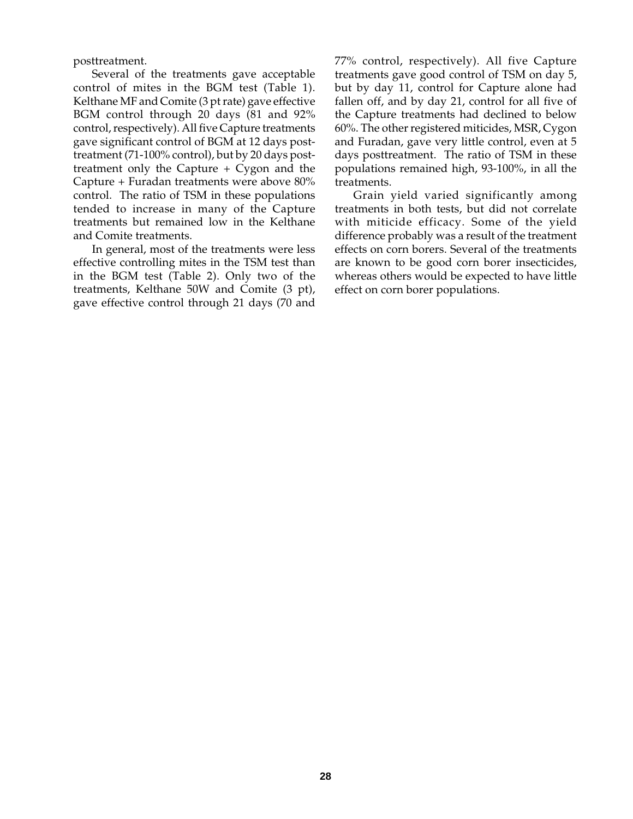posttreatment.

Several of the treatments gave acceptable control of mites in the BGM test (Table 1). Kelthane MF and Comite (3 pt rate) gave effective BGM control through 20 days (81 and 92% control, respectively). All five Capture treatments gave significant control of BGM at 12 days posttreatment (71-100% control), but by 20 days posttreatment only the Capture + Cygon and the Capture + Furadan treatments were above 80% control. The ratio of TSM in these populations tended to increase in many of the Capture treatments but remained low in the Kelthane and Comite treatments.

In general, most of the treatments were less effective controlling mites in the TSM test than in the BGM test (Table 2). Only two of the treatments, Kelthane 50W and Comite (3 pt), gave effective control through 21 days (70 and 77% control, respectively). All five Capture treatments gave good control of TSM on day 5, but by day 11, control for Capture alone had fallen off, and by day 21, control for all five of the Capture treatments had declined to below 60%. The other registered miticides, MSR, Cygon and Furadan, gave very little control, even at 5 days posttreatment. The ratio of TSM in these populations remained high, 93-100%, in all the treatments.

Grain yield varied significantly among treatments in both tests, but did not correlate with miticide efficacy. Some of the yield difference probably was a result of the treatment effects on corn borers. Several of the treatments are known to be good corn borer insecticides, whereas others would be expected to have little effect on corn borer populations.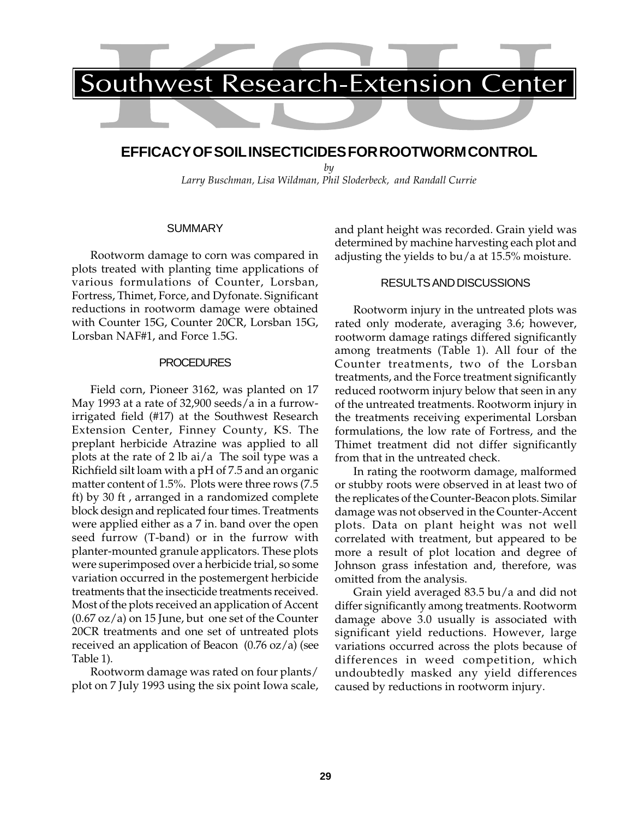# **EFFICACY OF SOIL INSECTICIDES FOR ROOTWORM CONTROL**

*by Larry Buschman, Lisa Wildman, Phil Sloderbeck, and Randall Currie*

## **SUMMARY**

Rootworm damage to corn was compared in plots treated with planting time applications of various formulations of Counter, Lorsban, Fortress, Thimet, Force, and Dyfonate. Significant reductions in rootworm damage were obtained with Counter 15G, Counter 20CR, Lorsban 15G, Lorsban NAF#1, and Force 1.5G.

#### **PROCEDURES**

Field corn, Pioneer 3162, was planted on 17 May 1993 at a rate of 32,900 seeds/a in a furrowirrigated field (#17) at the Southwest Research Extension Center, Finney County, KS. The preplant herbicide Atrazine was applied to all plots at the rate of 2 lb ai/a The soil type was a Richfield silt loam with a pH of 7.5 and an organic matter content of 1.5%. Plots were three rows (7.5 ft) by 30 ft , arranged in a randomized complete block design and replicated four times. Treatments were applied either as a 7 in. band over the open seed furrow (T-band) or in the furrow with planter-mounted granule applicators. These plots were superimposed over a herbicide trial, so some variation occurred in the postemergent herbicide treatments that the insecticide treatments received. Most of the plots received an application of Accent  $(0.67 \text{ oz}/a)$  on 15 June, but one set of the Counter 20CR treatments and one set of untreated plots received an application of Beacon (0.76 oz/a) (see Table 1).

Rootworm damage was rated on four plants/ plot on 7 July 1993 using the six point Iowa scale, and plant height was recorded. Grain yield was determined by machine harvesting each plot and adjusting the yields to bu/a at 15.5% moisture.

## RESULTS AND DISCUSSIONS

Rootworm injury in the untreated plots was rated only moderate, averaging 3.6; however, rootworm damage ratings differed significantly among treatments (Table 1). All four of the Counter treatments, two of the Lorsban treatments, and the Force treatment significantly reduced rootworm injury below that seen in any of the untreated treatments. Rootworm injury in the treatments receiving experimental Lorsban formulations, the low rate of Fortress, and the Thimet treatment did not differ significantly from that in the untreated check.

In rating the rootworm damage, malformed or stubby roots were observed in at least two of the replicates of the Counter-Beacon plots. Similar damage was not observed in the Counter-Accent plots. Data on plant height was not well correlated with treatment, but appeared to be more a result of plot location and degree of Johnson grass infestation and, therefore, was omitted from the analysis.

Grain yield averaged 83.5 bu/a and did not differ significantly among treatments. Rootworm damage above 3.0 usually is associated with significant yield reductions. However, large variations occurred across the plots because of differences in weed competition, which undoubtedly masked any yield differences caused by reductions in rootworm injury.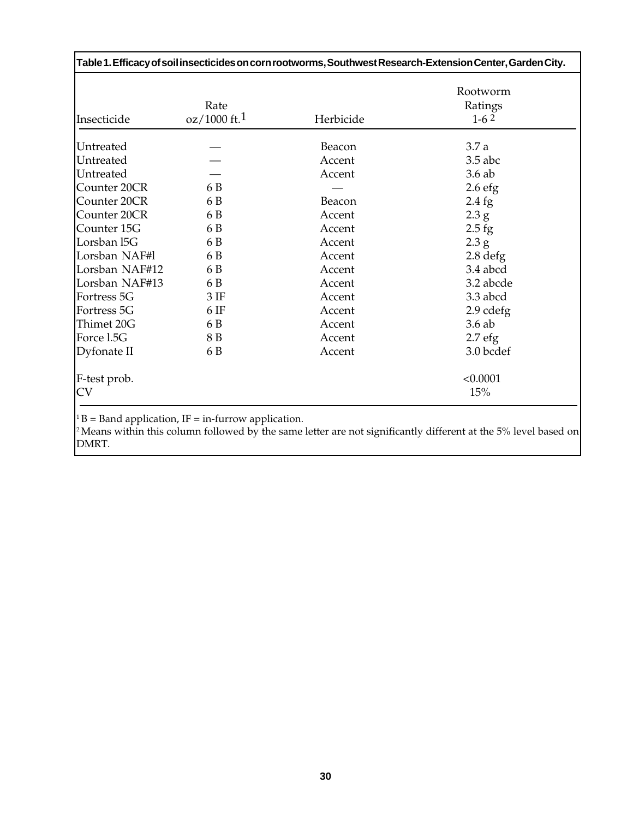|                    |                      |           | Table 1. Efficacy of soil insecticides on corn rootworms, Southwest Research-Extension Center, Garden City. |
|--------------------|----------------------|-----------|-------------------------------------------------------------------------------------------------------------|
| Insecticide        | Rate<br>oz/1000 ft.1 | Herbicide | Rootworm<br>Ratings<br>$1-62$                                                                               |
| Untreated          |                      | Beacon    | 3.7a                                                                                                        |
| Untreated          |                      | Accent    | $3.5$ abc                                                                                                   |
| Untreated          |                      | Accent    | 3.6ab                                                                                                       |
| Counter 20CR       | 6 B                  |           | 2.6 <sub>efg</sub>                                                                                          |
| Counter 20CR       | 6 B                  | Beacon    | $2.4$ fg                                                                                                    |
| Counter 20CR       | 6 B                  | Accent    | 2.3 g                                                                                                       |
| Counter 15G        | 6 B                  | Accent    | $2.5$ fg                                                                                                    |
| Lorsban 15G        | 6 B                  | Accent    | 2.3 g                                                                                                       |
| Lorsban NAF#1      | 6 B                  | Accent    | $2.8$ defg                                                                                                  |
| Lorsban NAF#12     | 6 B                  | Accent    | 3.4 abcd                                                                                                    |
| Lorsban NAF#13     | 6 B                  | Accent    | 3.2 abcde                                                                                                   |
| Fortress 5G        | 3IF                  | Accent    | 3.3 abcd                                                                                                    |
| Fortress 5G        | 6 <sub>IF</sub>      | Accent    | $2.9$ cdefg                                                                                                 |
| Thimet 20G         | 6 B                  | Accent    | 3.6ab                                                                                                       |
| Force l.5G         | 8 B                  | Accent    | 2.7 <sub>eff</sub>                                                                                          |
| Dyfonate II        | 6 B                  | Accent    | 3.0 bcdef                                                                                                   |
| F-test prob.<br>CV |                      |           | < 0.0001<br>15%                                                                                             |

 $1 B =$  Band application, IF = in-furrow application.

2 Means within this column followed by the same letter are not significantly different at the 5% level based on DMRT.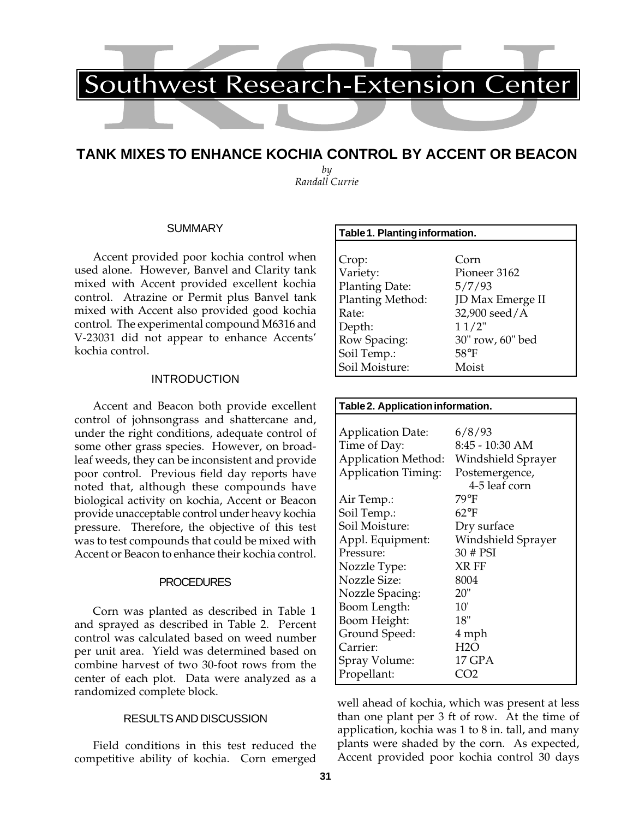# **TANK MIXES TO ENHANCE KOCHIA CONTROL BY ACCENT OR BEACON**

*by Randall Currie*

### **SUMMARY**

Accent provided poor kochia control when used alone. However, Banvel and Clarity tank mixed with Accent provided excellent kochia control. Atrazine or Permit plus Banvel tank mixed with Accent also provided good kochia control. The experimental compound M6316 and V-23031 did not appear to enhance Accents' kochia control.

#### INTRODUCTION

Accent and Beacon both provide excellent control of johnsongrass and shattercane and, under the right conditions, adequate control of some other grass species. However, on broadleaf weeds, they can be inconsistent and provide poor control. Previous field day reports have noted that, although these compounds have biological activity on kochia, Accent or Beacon provide unacceptable control under heavy kochia pressure. Therefore, the objective of this test was to test compounds that could be mixed with Accent or Beacon to enhance their kochia control.

### PROCEDURES

Corn was planted as described in Table 1 and sprayed as described in Table 2. Percent control was calculated based on weed number per unit area. Yield was determined based on combine harvest of two 30-foot rows from the center of each plot. Data were analyzed as a randomized complete block.

## RESULTS AND DISCUSSION

Field conditions in this test reduced the competitive ability of kochia. Corn emerged

| Table 1. Planting information. |                  |
|--------------------------------|------------------|
|                                |                  |
| Crop:                          | Corn             |
| Variety:                       | Pioneer 3162     |
| Planting Date:                 | 5/7/93           |
| Planting Method:               | JD Max Emerge II |
| Rate:                          | 32,900 seed/A    |
| Depth:                         | 11/2"            |
| Row Spacing:                   | 30" row, 60" bed |
| Soil Temp.:                    | $58^{\circ}$ F   |
| Soil Moisture:                 | Moist            |

| Table 2. Application information. |                    |
|-----------------------------------|--------------------|
|                                   |                    |
| <b>Application Date:</b>          | 6/8/93             |
| Time of Day:                      | 8:45 - 10:30 AM    |
| Application Method:               | Windshield Sprayer |
| <b>Application Timing:</b>        | Postemergence,     |
|                                   | 4-5 leaf corn      |
| Air Temp.:                        | 79°F               |
| Soil Temp.:                       | $62^{\circ}F$      |
| Soil Moisture:                    | Dry surface        |
| Appl. Equipment:                  | Windshield Sprayer |
| Pressure:                         | 30 # PSI           |
| Nozzle Type:                      | XR FF              |
| <b>Nozzle Size:</b>               | 8004               |
| Nozzle Spacing:                   | 20"                |
| Boom Length:                      | 10'                |
| Boom Height:                      | 18"                |
| Ground Speed:                     | 4 mph              |
| Carrier:                          | H2O                |
| Spray Volume:                     | 17 GPA             |
| Propellant:                       | CO2                |

well ahead of kochia, which was present at less than one plant per 3 ft of row. At the time of application, kochia was 1 to 8 in. tall, and many plants were shaded by the corn. As expected, Accent provided poor kochia control 30 days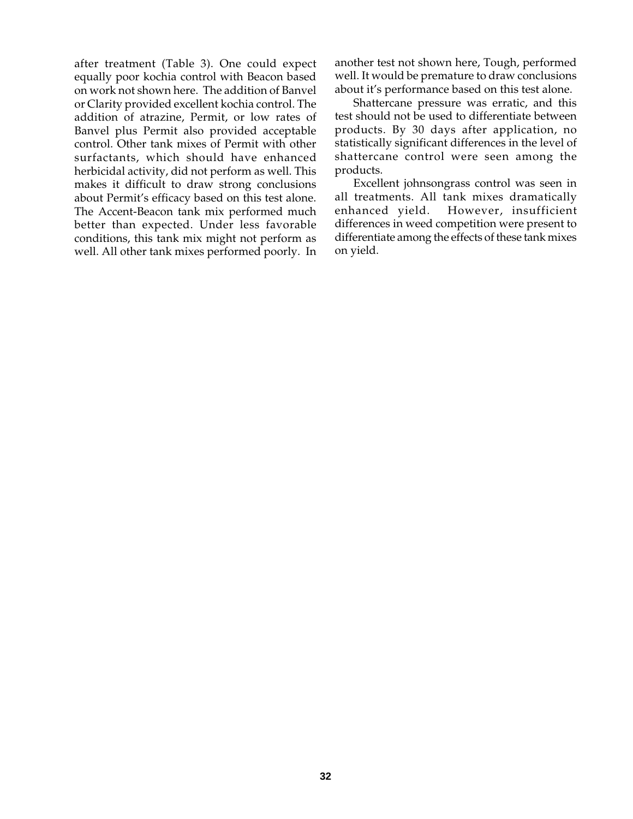after treatment (Table 3). One could expect equally poor kochia control with Beacon based on work not shown here. The addition of Banvel or Clarity provided excellent kochia control. The addition of atrazine, Permit, or low rates of Banvel plus Permit also provided acceptable control. Other tank mixes of Permit with other surfactants, which should have enhanced herbicidal activity, did not perform as well. This makes it difficult to draw strong conclusions about Permit's efficacy based on this test alone. The Accent-Beacon tank mix performed much better than expected. Under less favorable conditions, this tank mix might not perform as well. All other tank mixes performed poorly. In

another test not shown here, Tough, performed well. It would be premature to draw conclusions about it's performance based on this test alone.

Shattercane pressure was erratic, and this test should not be used to differentiate between products. By 30 days after application, no statistically significant differences in the level of shattercane control were seen among the products.

Excellent johnsongrass control was seen in all treatments. All tank mixes dramatically enhanced yield. However, insufficient differences in weed competition were present to differentiate among the effects of these tank mixes on yield.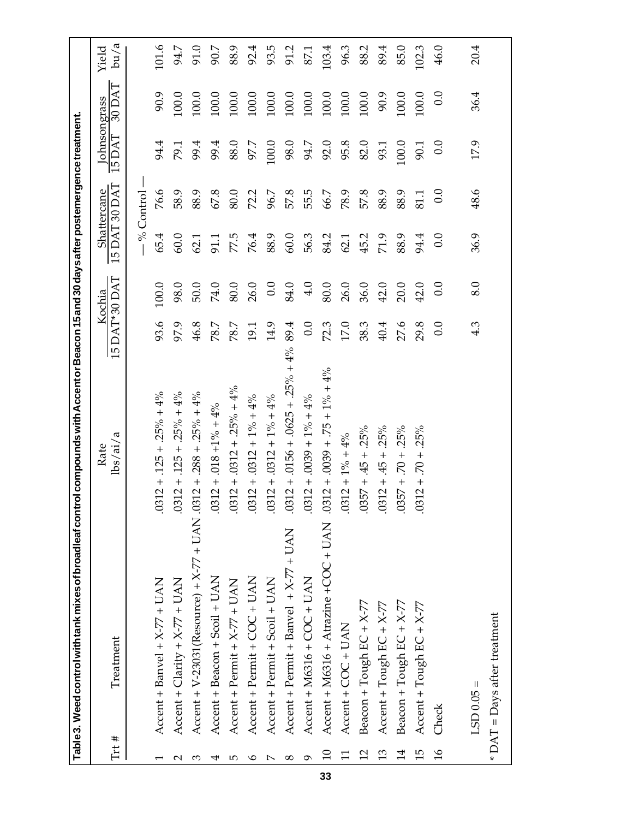|               | Table 3. Weed control with tank mixes of broadleaf contr            | ol compounds with Accent or Beacon 15 and 30 days after postemergence treatment. |               |          |                      |                    |                              |         |               |
|---------------|---------------------------------------------------------------------|----------------------------------------------------------------------------------|---------------|----------|----------------------|--------------------|------------------------------|---------|---------------|
| Trt #         | Treatment                                                           | $\frac{\text{lbs}}{\text{ai}/\text{a}}$<br>Rate                                  | 15 DAT*30 DAT | Kochia   | <b>IS DAT 30 DAT</b> | <b>Shattercane</b> | Johnsongrass<br><b>ISDAT</b> | 30 DAT  | bu/a<br>Yield |
|               |                                                                     |                                                                                  |               |          | $-$ % Control        |                    |                              |         |               |
|               | Accent + Banvel + X-77 + UAN                                        | $.0312 + .125 + .25\% + 4\%$                                                     | 93.6          | 100.0    | 65.4                 | 76.6               | 94.4                         | 90.9    | 101.6         |
| $\mathsf{C}$  | Accent + Clarity + $X-77 + UAN$                                     | $.0312 + .125 + .25\% + 4\%$                                                     | 97.9          | 98.0     | 60.0                 | 58.9               | 79.1                         | 100.0   | 94.7          |
| က             | Accent + V-23031(Resource) + X-77 + UAN .0312 + .288 + .25% + 4%    |                                                                                  | 46.8          | 50.0     | 62.1                 | 88.9               | 99.4                         | 100.0   | 91.0          |
| 4             | Accent + Beacon + Scoil + UAN                                       | $.0312 + .018 + 1\% + 4\%$                                                       | 78.7          | 74.0     | 91.1                 | 67.8               | 99.4                         | 100.0   | 90.7          |
| 5             | Accent + Permit + X-77 + UAN                                        | $0.0312 + 0.0312 + 0.25\% + 4\%$                                                 | 78.7          | 80.0     | 77.5                 | 80.0               | 88.0                         | 100.0   | 88.9          |
| $\circ$       | Accent + Permit + COC + UAN                                         | $.0312 + .0312 + 1\% + 4\%$                                                      | 19.1          | 26.0     | 76.4                 | 72.2               | 97.7                         | 100.0   | 92.4          |
| $\breve{~}$   | Accent + Permit + Scoil + UAN                                       | $.0312 + .0312 + 1\% + 4\%$                                                      | 14.9          | 0.0      | 88.9                 | 96.7               | 100.0                        | 100.0   | 93.5          |
| $\infty$      | Accent + Permit + Banvel + X-77 + UAN                               | $.0312 + .0156 + .0625 + .25\% + 4\%$                                            | 89.4          | 84.0     | 60.0                 | 57.8               | 98.0                         | 100.0   | 91.2          |
| ᢦ             | $\text{Accent} + \text{M6316} + \text{COC} + \text{UAN}$            | $0.0312 + 0.039 + 1\% + 4\%$                                                     | 0.0           | 4.0      | 56.3                 | 55.5               | 94.7                         | 100.0   | 87.1          |
| $\Omega$      | Accent + M6316 + Atrazine + COC + UAN .0312 + .0039 + .75 + 1% + 4% |                                                                                  | 72.3          | $80.0\,$ | 84.2                 | 66.7               | 92.0                         | 100.0   | 103.4         |
|               | Accent + COC + UAN                                                  | $.0312 + 1\% + 4\%$                                                              | 17.0          | 26.0     | 62.1                 | 78.9               | 95.8                         | 100.0   | 96.3          |
| 12            | Beacon + Tough EC + X-77                                            | $.0357 + .45 + .25\%$                                                            | 38.3          | 36.0     | 45.2                 | 57.8               | $82.0\,$                     | $100.0$ | 88.2          |
| 13            | Accent + $T$ ough EC + $X$ -77                                      | .25%<br>$-45 + 0312 + 45 +$                                                      | 40.4          | 42.0     | 71.9                 | 88.9               | 93.1                         | 90.9    | 89.4          |
| 14            | Beacon + Tough EC + X-77                                            | .25%<br>$.0357 + .70 +$                                                          | 27.6          | 20.0     | 88.9                 | 88.9               | 100.0                        | 100.0   | 85.0          |
| 15            | Accent + $T$ ough EC + $X$ -77                                      | $.0312 + .70 + .25\%$                                                            | 29.8          | 42.0     | 94.4                 | 81.1               | 90.1                         | 100.0   | 102.3         |
| $\frac{6}{2}$ | Check                                                               |                                                                                  | 0.0           | 0.0      | 0.0                  | 0.0                | 0.0                          | 0.0     | 46.0          |
|               |                                                                     |                                                                                  |               |          |                      |                    |                              |         |               |
|               | $LSD 0.05 =$                                                        |                                                                                  | 4.3           | 8.0      | 36.9                 | 48.6               | 17.9                         | 36.4    | 20.4          |
|               | * DAT = Days after treatment                                        |                                                                                  |               |          |                      |                    |                              |         |               |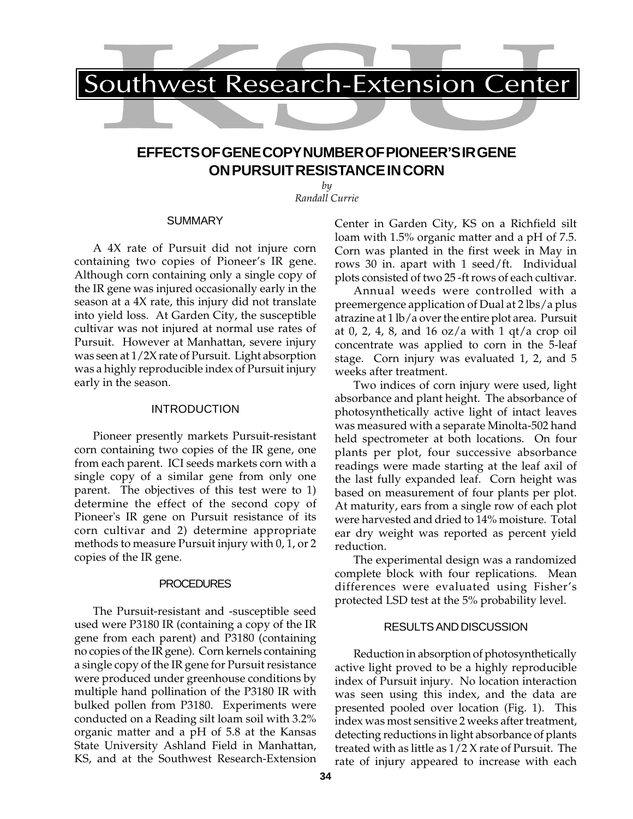

# **EFFECTS OF GENE COPY NUMBER OF PIONEER'S IR GENE ON PURSUIT RESISTANCE IN CORN**

*by Randall Currie*

#### **SUMMARY**

A 4X rate of Pursuit did not injure corn containing two copies of Pioneer's IR gene. Although corn containing only a single copy of the IR gene was injured occasionally early in the season at a 4X rate, this injury did not translate into yield loss. At Garden City, the susceptible cultivar was not injured at normal use rates of Pursuit. However at Manhattan, severe injury was seen at 1/2X rate of Pursuit. Light absorption was a highly reproducible index of Pursuit injury early in the season.

#### INTRODUCTION

Pioneer presently markets Pursuit-resistant corn containing two copies of the IR gene, one from each parent. ICI seeds markets corn with a single copy of a similar gene from only one parent. The objectives of this test were to 1) determine the effect of the second copy of Pioneer's IR gene on Pursuit resistance of its corn cultivar and 2) determine appropriate methods to measure Pursuit injury with 0, 1, or 2 copies of the IR gene.

#### PROCEDURES

The Pursuit-resistant and -susceptible seed used were P3180 IR (containing a copy of the IR gene from each parent) and P3180 (containing no copies of the IR gene). Corn kernels containing a single copy of the IR gene for Pursuit resistance were produced under greenhouse conditions by multiple hand pollination of the P3180 IR with bulked pollen from P3180. Experiments were conducted on a Reading silt loam soil with 3.2% organic matter and a pH of 5.8 at the Kansas State University Ashland Field in Manhattan, KS, and at the Southwest Research-Extension

Center in Garden City, KS on a Richfield silt loam with 1.5% organic matter and a pH of 7.5. Corn was planted in the first week in May in rows 30 in. apart with 1 seed/ft. Individual plots consisted of two 25 -ft rows of each cultivar.

Annual weeds were controlled with a preemergence application of Dual at 2 lbs/a plus atrazine at 1 lb/a over the entire plot area. Pursuit at 0, 2, 4, 8, and 16 oz/a with 1 qt/a crop oil concentrate was applied to corn in the 5-leaf stage. Corn injury was evaluated 1, 2, and 5 weeks after treatment.

Two indices of corn injury were used, light absorbance and plant height. The absorbance of photosynthetically active light of intact leaves was measured with a separate Minolta-502 hand held spectrometer at both locations. On four plants per plot, four successive absorbance readings were made starting at the leaf axil of the last fully expanded leaf. Corn height was based on measurement of four plants per plot. At maturity, ears from a single row of each plot were harvested and dried to 14% moisture. Total ear dry weight was reported as percent yield reduction.

The experimental design was a randomized complete block with four replications. Mean differences were evaluated using Fisher's protected LSD test at the 5% probability level.

#### RESULTS AND DISCUSSION

Reduction in absorption of photosynthetically active light proved to be a highly reproducible index of Pursuit injury. No location interaction was seen using this index, and the data are presented pooled over location (Fig. 1). This index was most sensitive 2 weeks after treatment, detecting reductions in light absorbance of plants treated with as little as 1/2 X rate of Pursuit. The rate of injury appeared to increase with each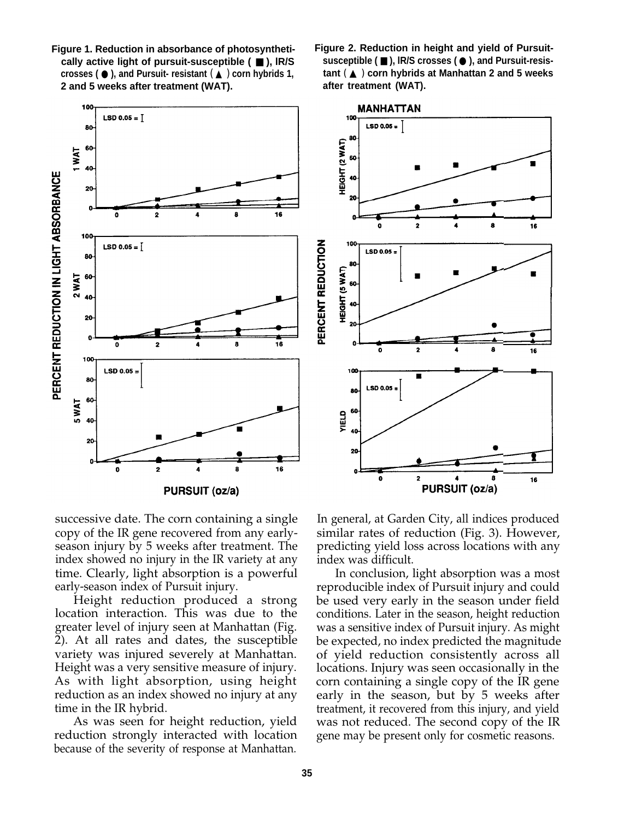

- **Figure 1. Reduction in absorbance of photosynthetically active light of pursuit-susceptible (** ■ **), lR/S crosses (** ● **), and Pursuit- resistant** ( ▲ ) **corn hybrids 1, 2 and 5 weeks after treatment (WAT).**
- **Figure 2. Reduction in height and yield of Pursuitsusceptible (** ■ **), lR/S crosses (** ● **), and Pursuit-resistant** ( ▲ ) **corn hybrids at Manhattan 2 and 5 weeks after treatment (WAT).**

16

16

 $16$ 

successive date. The corn containing a single copy of the IR gene recovered from any earlyseason injury by 5 weeks after treatment. The index showed no injury in the IR variety at any time. Clearly, light absorption is a powerful early-season index of Pursuit injury.

Height reduction produced a strong location interaction. This was due to the greater level of injury seen at Manhattan (Fig. 2). At all rates and dates, the susceptible variety was injured severely at Manhattan. Height was a very sensitive measure of injury. As with light absorption, using height reduction as an index showed no injury at any time in the IR hybrid.

As was seen for height reduction, yield reduction strongly interacted with location because of the severity of response at Manhattan.

In general, at Garden City, all indices produced similar rates of reduction (Fig. 3). However, predicting yield loss across locations with any index was difficult.

In conclusion, light absorption was a most reproducible index of Pursuit injury and could be used very early in the season under field conditions. Later in the season, height reduction was a sensitive index of Pursuit injury. As might be expected, no index predicted the magnitude of yield reduction consistently across all locations. Injury was seen occasionally in the corn containing a single copy of the IR gene early in the season, but by 5 weeks after treatment, it recovered from this injury, and yield was not reduced. The second copy of the IR gene may be present only for cosmetic reasons.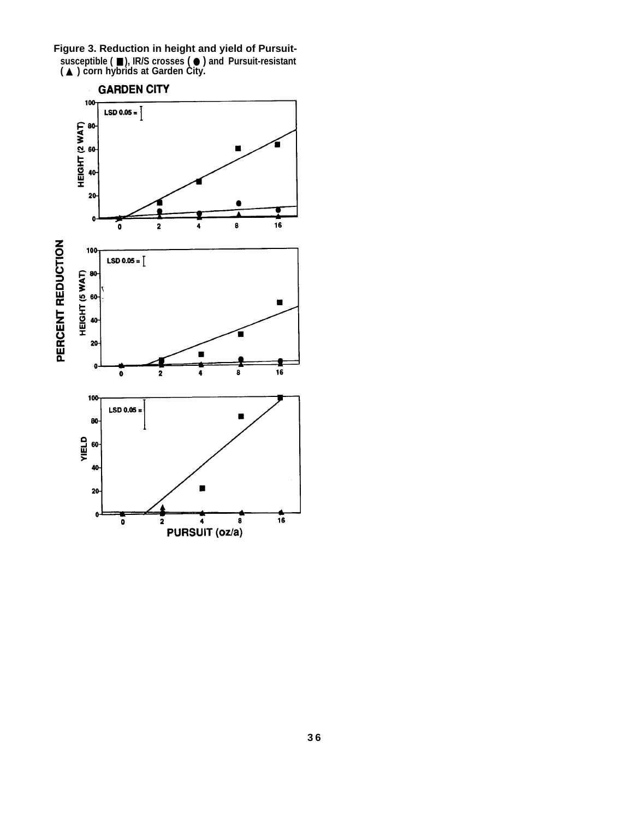**Figure 3. Reduction in height and yield of Pursuitsusceptible (** ■ **), IR/S crosses (** ● **) and Pursuit-resistant (** ▲ **) corn hybrids at Garden City.**

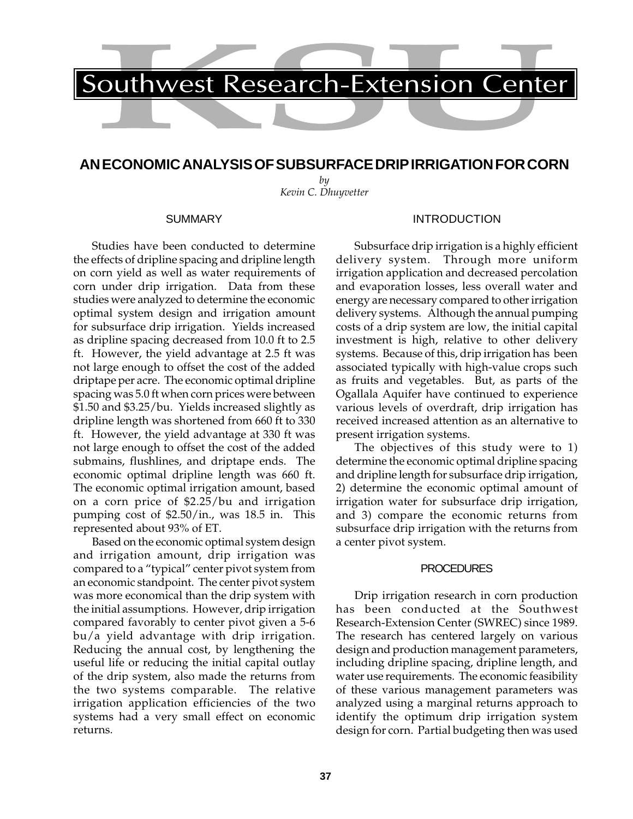

# **AN ECONOMIC ANALYSIS OF SUBSURFACE DRIP IRRIGATION FOR CORN**

*by Kevin C. Dhuyvetter*

#### SUMMARY

Studies have been conducted to determine the effects of dripline spacing and dripline length on corn yield as well as water requirements of corn under drip irrigation. Data from these studies were analyzed to determine the economic optimal system design and irrigation amount for subsurface drip irrigation. Yields increased as dripline spacing decreased from 10.0 ft to 2.5 ft. However, the yield advantage at 2.5 ft was not large enough to offset the cost of the added driptape per acre. The economic optimal dripline spacing was 5.0 ft when corn prices were between \$1.50 and \$3.25/bu. Yields increased slightly as dripline length was shortened from 660 ft to 330 ft. However, the yield advantage at 330 ft was not large enough to offset the cost of the added submains, flushlines, and driptape ends. The economic optimal dripline length was 660 ft. The economic optimal irrigation amount, based on a corn price of \$2.25/bu and irrigation pumping cost of \$2.50/in., was 18.5 in. This represented about 93% of ET.

Based on the economic optimal system design and irrigation amount, drip irrigation was compared to a "typical" center pivot system from an economic standpoint. The center pivot system was more economical than the drip system with the initial assumptions. However, drip irrigation compared favorably to center pivot given a 5-6 bu/a yield advantage with drip irrigation. Reducing the annual cost, by lengthening the useful life or reducing the initial capital outlay of the drip system, also made the returns from the two systems comparable. The relative irrigation application efficiencies of the two systems had a very small effect on economic returns.

## INTRODUCTION

Subsurface drip irrigation is a highly efficient delivery system. Through more uniform irrigation application and decreased percolation and evaporation losses, less overall water and energy are necessary compared to other irrigation delivery systems. Although the annual pumping costs of a drip system are low, the initial capital investment is high, relative to other delivery systems. Because of this, drip irrigation has been associated typically with high-value crops such as fruits and vegetables. But, as parts of the Ogallala Aquifer have continued to experience various levels of overdraft, drip irrigation has received increased attention as an alternative to present irrigation systems.

The objectives of this study were to 1) determine the economic optimal dripline spacing and dripline length for subsurface drip irrigation, 2) determine the economic optimal amount of irrigation water for subsurface drip irrigation, and 3) compare the economic returns from subsurface drip irrigation with the returns from a center pivot system.

### PROCEDURES

Drip irrigation research in corn production has been conducted at the Southwest Research-Extension Center (SWREC) since 1989. The research has centered largely on various design and production management parameters, including dripline spacing, dripline length, and water use requirements. The economic feasibility of these various management parameters was analyzed using a marginal returns approach to identify the optimum drip irrigation system design for corn. Partial budgeting then was used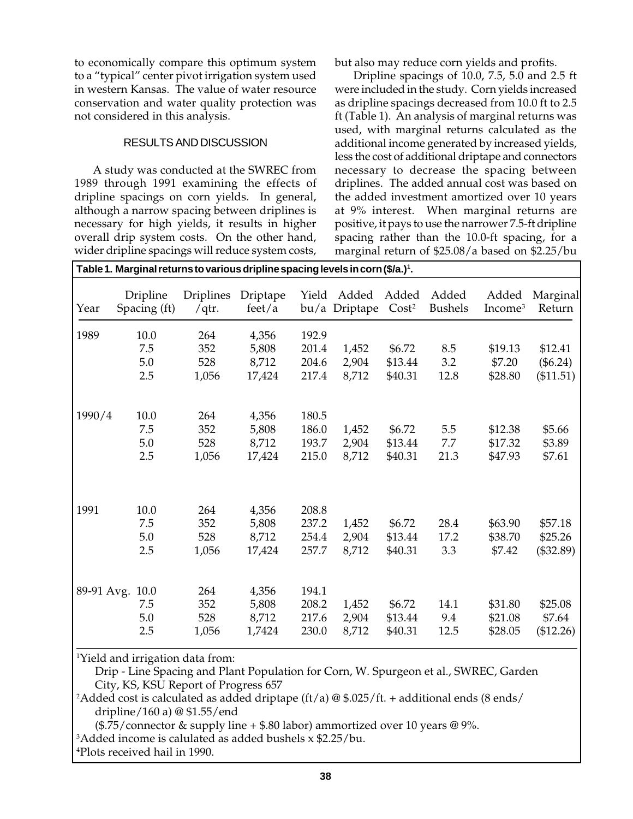to economically compare this optimum system to a "typical" center pivot irrigation system used in western Kansas. The value of water resource conservation and water quality protection was not considered in this analysis.

# RESULTS AND DISCUSSION

A study was conducted at the SWREC from 1989 through 1991 examining the effects of dripline spacings on corn yields. In general, although a narrow spacing between driplines is necessary for high yields, it results in higher overall drip system costs. On the other hand, wider dripline spacings will reduce system costs,

but also may reduce corn yields and profits.

Dripline spacings of 10.0, 7.5, 5.0 and 2.5 ft were included in the study. Corn yields increased as dripline spacings decreased from 10.0 ft to 2.5 ft (Table 1). An analysis of marginal returns was used, with marginal returns calculated as the additional income generated by increased yields, less the cost of additional driptape and connectors necessary to decrease the spacing between driplines. The added annual cost was based on the added investment amortized over 10 years at 9% interest. When marginal returns are positive, it pays to use the narrower 7.5-ft dripline spacing rather than the 10.0-ft spacing, for a marginal return of \$25.08/a based on \$2.25/bu

|            | Table 1. Marginal returns to various dripline spacing levels in corn (\$/a.) <sup>1</sup> . |                            |                                   |                                  |                         |                              |                         |                               |                                    |
|------------|---------------------------------------------------------------------------------------------|----------------------------|-----------------------------------|----------------------------------|-------------------------|------------------------------|-------------------------|-------------------------------|------------------------------------|
| Year       | Dripline<br>Spacing (ft)                                                                    | <b>Driplines</b><br>/qtr.  | Driptape<br>feet/a                | Yield                            | Added<br>bu/a Driptape  | Added<br>Cost <sup>2</sup>   | Added<br><b>Bushels</b> | Added<br>Income <sup>3</sup>  | Marginal<br>Return                 |
| 1989       | 10.0<br>7.5<br>5.0<br>2.5                                                                   | 264<br>352<br>528<br>1,056 | 4,356<br>5,808<br>8,712<br>17,424 | 192.9<br>201.4<br>204.6<br>217.4 | 1,452<br>2,904<br>8,712 | \$6.72<br>\$13.44<br>\$40.31 | 8.5<br>3.2<br>12.8      | \$19.13<br>\$7.20<br>\$28.80  | \$12.41<br>$(\$6.24)$<br>(\$11.51) |
| 1990/4     | 10.0<br>7.5<br>5.0<br>2.5                                                                   | 264<br>352<br>528<br>1,056 | 4,356<br>5,808<br>8,712<br>17,424 | 180.5<br>186.0<br>193.7<br>215.0 | 1,452<br>2,904<br>8,712 | \$6.72<br>\$13.44<br>\$40.31 | 5.5<br>7.7<br>21.3      | \$12.38<br>\$17.32<br>\$47.93 | \$5.66<br>\$3.89<br>\$7.61         |
| 1991       | 10.0<br>7.5<br>5.0<br>2.5                                                                   | 264<br>352<br>528<br>1,056 | 4,356<br>5,808<br>8,712<br>17,424 | 208.8<br>237.2<br>254.4<br>257.7 | 1,452<br>2,904<br>8,712 | \$6.72<br>\$13.44<br>\$40.31 | 28.4<br>17.2<br>3.3     | \$63.90<br>\$38.70<br>\$7.42  | \$57.18<br>\$25.26<br>(\$32.89)    |
| 89-91 Avg. | 10.0<br>7.5<br>5.0<br>2.5                                                                   | 264<br>352<br>528<br>1,056 | 4,356<br>5,808<br>8,712<br>1,7424 | 194.1<br>208.2<br>217.6<br>230.0 | 1,452<br>2,904<br>8,712 | \$6.72<br>\$13.44<br>\$40.31 | 14.1<br>9.4<br>12.5     | \$31.80<br>\$21.08<br>\$28.05 | \$25.08<br>\$7.64<br>(\$12.26)     |

<sup>1</sup>Yield and irrigation data from:

Drip - Line Spacing and Plant Population for Corn, W. Spurgeon et al., SWREC, Garden City, KS, KSU Report of Progress 657

 $^2$ Added cost is calculated as added driptape (ft/a) @ \$.025/ft. + additional ends (8 ends/ dripline/160 a) @ \$1.55/end

 $(*.75/$ connector & supply line +  $*.80$  labor) ammortized over 10 years @ 9%.

<sup>3</sup>Added income is calulated as added bushels  $x$  \$2.25/bu.

4 Plots received hail in 1990.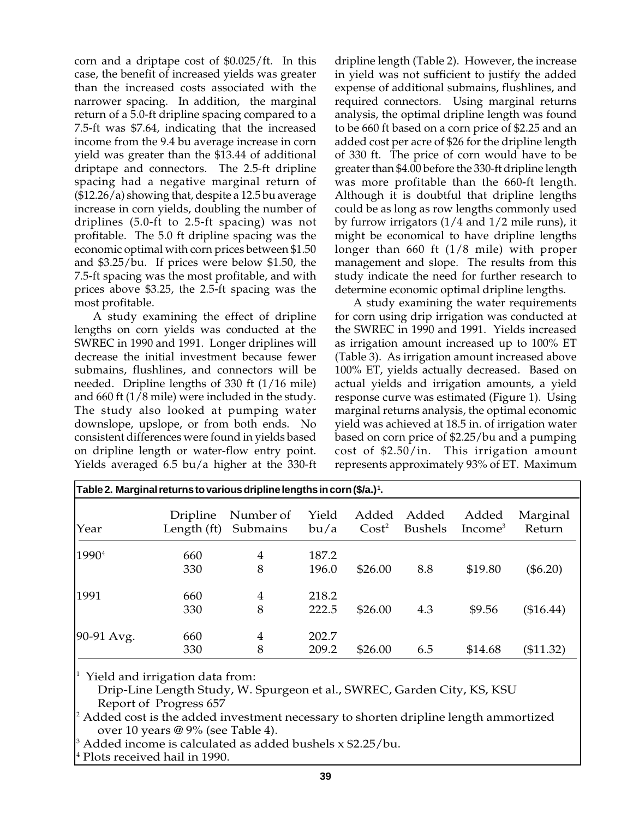corn and a driptape cost of \$0.025/ft. In this case, the benefit of increased yields was greater than the increased costs associated with the narrower spacing. In addition, the marginal return of a 5.0-ft dripline spacing compared to a 7.5-ft was \$7.64, indicating that the increased income from the 9.4 bu average increase in corn yield was greater than the \$13.44 of additional driptape and connectors. The 2.5-ft dripline spacing had a negative marginal return of (\$12.26/a) showing that, despite a 12.5 bu average increase in corn yields, doubling the number of driplines (5.0-ft to 2.5-ft spacing) was not profitable. The 5.0 ft dripline spacing was the economic optimal with corn prices between \$1.50 and \$3.25/bu. If prices were below \$1.50, the 7.5-ft spacing was the most profitable, and with prices above \$3.25, the 2.5-ft spacing was the most profitable.

A study examining the effect of dripline lengths on corn yields was conducted at the SWREC in 1990 and 1991. Longer driplines will decrease the initial investment because fewer submains, flushlines, and connectors will be needed. Dripline lengths of 330 ft (1/16 mile) and 660 ft (1/8 mile) were included in the study. The study also looked at pumping water downslope, upslope, or from both ends. No consistent differences were found in yields based on dripline length or water-flow entry point. Yields averaged 6.5 bu/a higher at the 330-ft

dripline length (Table 2). However, the increase in yield was not sufficient to justify the added expense of additional submains, flushlines, and required connectors. Using marginal returns analysis, the optimal dripline length was found to be 660 ft based on a corn price of \$2.25 and an added cost per acre of \$26 for the dripline length of 330 ft. The price of corn would have to be greater than \$4.00 before the 330-ft dripline length was more profitable than the 660-ft length. Although it is doubtful that dripline lengths could be as long as row lengths commonly used by furrow irrigators (1/4 and 1/2 mile runs), it might be economical to have dripline lengths longer than 660 ft (1/8 mile) with proper management and slope. The results from this study indicate the need for further research to determine economic optimal dripline lengths.

A study examining the water requirements for corn using drip irrigation was conducted at the SWREC in 1990 and 1991. Yields increased as irrigation amount increased up to 100% ET (Table 3). As irrigation amount increased above 100% ET, yields actually decreased. Based on actual yields and irrigation amounts, a yield response curve was estimated (Figure 1). Using marginal returns analysis, the optimal economic yield was achieved at 18.5 in. of irrigation water based on corn price of \$2.25/bu and a pumping cost of \$2.50/in. This irrigation amount represents approximately 93% of ET. Maximum

|                   | Table 2. Marginal returns to various dripline lengths in corn (\$/a.)1. |                       |                |                            |                         |                     |                    |
|-------------------|-------------------------------------------------------------------------|-----------------------|----------------|----------------------------|-------------------------|---------------------|--------------------|
| Year              | Dripline<br>Length (ft)                                                 | Number of<br>Submains | Yield<br>bu/a  | Added<br>Cost <sup>2</sup> | Added<br><b>Bushels</b> | Added<br>Income $3$ | Marginal<br>Return |
| 1990 <sup>4</sup> | 660<br>330                                                              | 4<br>8                | 187.2<br>196.0 | \$26.00                    | 8.8                     | \$19.80             | $(\$6.20)$         |
| 1991              | 660<br>330                                                              | $\overline{4}$<br>8   | 218.2<br>222.5 | \$26.00                    | 4.3                     | \$9.56              | (\$16.44)          |
| 90-91 Avg.        | 660<br>330                                                              | 4<br>8                | 202.7<br>209.2 | \$26.00                    | 6.5                     | \$14.68             | (\$11.32)          |

1 Yield and irrigation data from:

Drip-Line Length Study, W. Spurgeon et al., SWREC, Garden City, KS, KSU Report of Progress 657

 $^{\rm 2}$  Added cost is the added investment necessary to shorten dripline length ammortized over 10 years @ 9% (see Table 4).

3 Added income is calculated as added bushels x \$2.25/bu.

4 Plots received hail in 1990.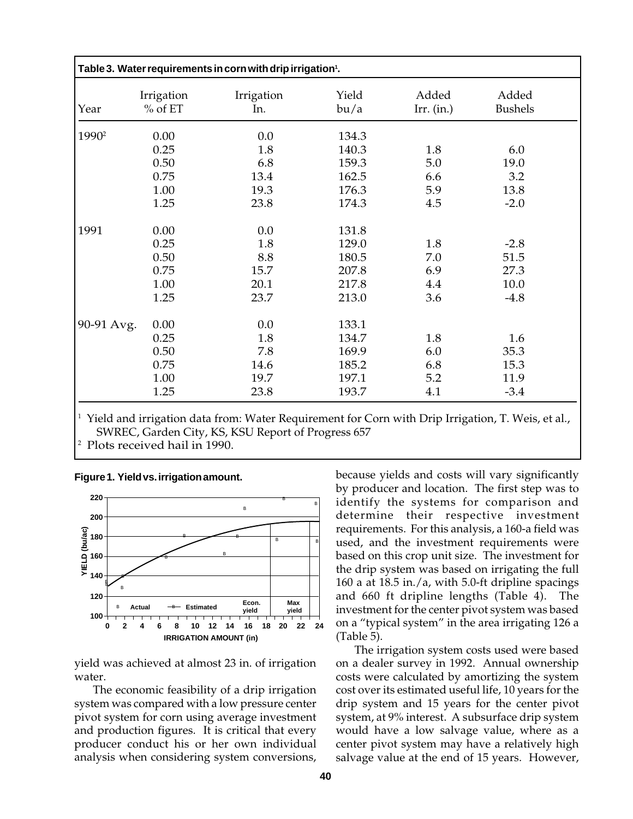| Table 3. Water requirements in corn with drip irrigation <sup>1</sup> . |                         |                   |               |                       |                         |  |  |  |
|-------------------------------------------------------------------------|-------------------------|-------------------|---------------|-----------------------|-------------------------|--|--|--|
| Year                                                                    | Irrigation<br>$%$ of ET | Irrigation<br>In. | Yield<br>bu/a | Added<br>Irr. $(in.)$ | Added<br><b>Bushels</b> |  |  |  |
| 1990 <sup>2</sup>                                                       | 0.00                    | 0.0               | 134.3         |                       |                         |  |  |  |
|                                                                         | 0.25                    | 1.8               | 140.3         | 1.8                   | 6.0                     |  |  |  |
|                                                                         | 0.50                    | 6.8               | 159.3         | 5.0                   | 19.0                    |  |  |  |
|                                                                         | 0.75                    | 13.4              | 162.5         | 6.6                   | 3.2                     |  |  |  |
|                                                                         | 1.00                    | 19.3              | 176.3         | 5.9                   | 13.8                    |  |  |  |
|                                                                         | 1.25                    | 23.8              | 174.3         | 4.5                   | $-2.0$                  |  |  |  |
| 1991                                                                    | 0.00                    | 0.0               | 131.8         |                       |                         |  |  |  |
|                                                                         | 0.25                    | 1.8               | 129.0         | 1.8                   | $-2.8$                  |  |  |  |
|                                                                         | 0.50                    | 8.8               | 180.5         | 7.0                   | 51.5                    |  |  |  |
|                                                                         | 0.75                    | 15.7              | 207.8         | 6.9                   | 27.3                    |  |  |  |
|                                                                         | 1.00                    | 20.1              | 217.8         | 4.4                   | 10.0                    |  |  |  |
|                                                                         | 1.25                    | 23.7              | 213.0         | 3.6                   | $-4.8$                  |  |  |  |
| 90-91 Avg.                                                              | 0.00                    | 0.0               | 133.1         |                       |                         |  |  |  |
|                                                                         | 0.25                    | 1.8               | 134.7         | 1.8                   | 1.6                     |  |  |  |
|                                                                         | 0.50                    | 7.8               | 169.9         | 6.0                   | 35.3                    |  |  |  |
|                                                                         | 0.75                    | 14.6              | 185.2         | 6.8                   | 15.3                    |  |  |  |
|                                                                         | 1.00                    | 19.7              | 197.1         | 5.2                   | 11.9                    |  |  |  |
|                                                                         | 1.25                    | 23.8              | 193.7         | 4.1                   | $-3.4$                  |  |  |  |

 $^1$  Yield and irrigation data from: Water Requirement for Corn with Drip Irrigation, T. Weis, et al., SWREC, Garden City, KS, KSU Report of Progress 657

2 Plots received hail in 1990.





yield was achieved at almost 23 in. of irrigation water.

The economic feasibility of a drip irrigation system was compared with a low pressure center pivot system for corn using average investment and production figures. It is critical that every producer conduct his or her own individual analysis when considering system conversions,

because yields and costs will vary significantly by producer and location. The first step was to identify the systems for comparison and determine their respective investment requirements. For this analysis, a 160-a field was used, and the investment requirements were based on this crop unit size. The investment for the drip system was based on irrigating the full 160 a at 18.5 in./a, with 5.0-ft dripline spacings and 660 ft dripline lengths (Table 4). The investment for the center pivot system was based on a "typical system" in the area irrigating 126 a (Table 5).

The irrigation system costs used were based on a dealer survey in 1992. Annual ownership costs were calculated by amortizing the system cost over its estimated useful life, 10 years for the drip system and 15 years for the center pivot system, at 9% interest. A subsurface drip system would have a low salvage value, where as a center pivot system may have a relatively high salvage value at the end of 15 years. However,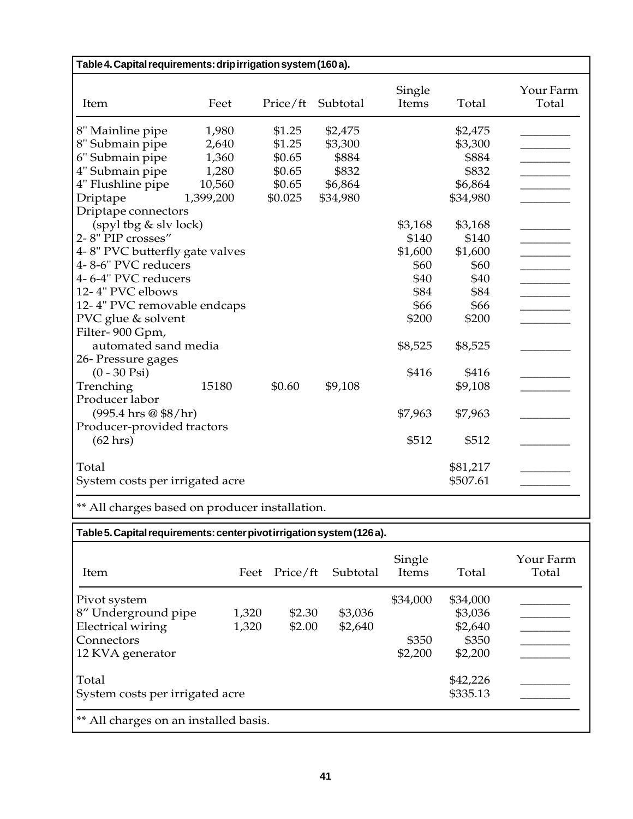| Table 4. Capital requirements: drip irrigation system (160 a). |           |          |          |                 |          |                    |  |  |  |  |
|----------------------------------------------------------------|-----------|----------|----------|-----------------|----------|--------------------|--|--|--|--|
| Item                                                           | Feet      | Price/ft | Subtotal | Single<br>Items | Total    | Your Farm<br>Total |  |  |  |  |
| 8" Mainline pipe                                               | 1,980     | \$1.25   | \$2,475  |                 | \$2,475  |                    |  |  |  |  |
| 8" Submain pipe                                                | 2,640     | \$1.25   | \$3,300  |                 | \$3,300  |                    |  |  |  |  |
| 6" Submain pipe                                                | 1,360     | \$0.65   | \$884    |                 | \$884    |                    |  |  |  |  |
| 4" Submain pipe                                                | 1,280     | \$0.65   | \$832    |                 | \$832    |                    |  |  |  |  |
| 4" Flushline pipe                                              | 10,560    | \$0.65   | \$6,864  |                 | \$6,864  |                    |  |  |  |  |
| Driptape                                                       | 1,399,200 | \$0.025  | \$34,980 |                 | \$34,980 |                    |  |  |  |  |
| Driptape connectors                                            |           |          |          |                 |          |                    |  |  |  |  |
| $(spyl$ tbg & slv lock)                                        |           |          |          | \$3,168         | \$3,168  |                    |  |  |  |  |
| 2-8" PIP crosses"                                              |           |          |          | \$140           | \$140    |                    |  |  |  |  |
| 4-8" PVC butterfly gate valves                                 |           |          |          | \$1,600         | \$1,600  |                    |  |  |  |  |
| 4-8-6" PVC reducers                                            |           |          |          | \$60            | \$60     |                    |  |  |  |  |
| 4-6-4" PVC reducers                                            |           |          |          | \$40            | \$40     |                    |  |  |  |  |
| 12-4" PVC elbows                                               |           |          |          | \$84            | \$84     |                    |  |  |  |  |
| 12-4" PVC removable endcaps                                    |           |          |          | \$66            | \$66     |                    |  |  |  |  |
| PVC glue & solvent                                             |           |          |          | \$200           | \$200    |                    |  |  |  |  |
| Filter-900 Gpm,                                                |           |          |          |                 |          |                    |  |  |  |  |
| automated sand media                                           |           |          |          | \$8,525         | \$8,525  |                    |  |  |  |  |
| 26- Pressure gages                                             |           |          |          |                 |          |                    |  |  |  |  |
| $(0 - 30 \text{ Psi})$                                         |           |          |          | \$416           | \$416    |                    |  |  |  |  |
| Trenching                                                      | 15180     | \$0.60   | \$9,108  |                 | \$9,108  |                    |  |  |  |  |
| Producer labor                                                 |           |          |          |                 |          |                    |  |  |  |  |
| $(995.4 \text{ hrs} \otimes $8/\text{hr})$                     |           |          |          | \$7,963         | \$7,963  |                    |  |  |  |  |
| Producer-provided tractors                                     |           |          |          |                 |          |                    |  |  |  |  |
| $(62 \text{ hrs})$                                             |           |          |          | \$512           | \$512    |                    |  |  |  |  |
|                                                                |           |          |          |                 |          |                    |  |  |  |  |
| Total                                                          |           |          |          |                 | \$81,217 |                    |  |  |  |  |
| System costs per irrigated acre                                |           |          |          |                 | \$507.61 |                    |  |  |  |  |
| ** All charges based on producer installation.                 |           |          |          |                 |          |                    |  |  |  |  |
|                                                                |           |          |          |                 |          |                    |  |  |  |  |

# **Table 5. Capital requirements: center pivot irrigation system (126 a).**

| Item                                  | Feet     | Price/ft | Subtotal | Single<br>Items | Total    | Your Farm<br>Total |
|---------------------------------------|----------|----------|----------|-----------------|----------|--------------------|
| Pivot system                          |          |          |          | \$34,000        | \$34,000 |                    |
| 8" Underground pipe                   | 1,320    | \$2.30   | \$3,036  |                 | \$3,036  |                    |
| <b>Electrical wiring</b>              | 1,320    | \$2.00   | \$2,640  |                 | \$2,640  |                    |
| Connectors                            |          |          |          | \$350           | \$350    |                    |
| 12 KVA generator                      |          |          |          | \$2,200         | \$2,200  |                    |
| Total                                 |          |          |          |                 | \$42,226 |                    |
| System costs per irrigated acre       | \$335.13 |          |          |                 |          |                    |
| ** All charges on an installed basis. |          |          |          |                 |          |                    |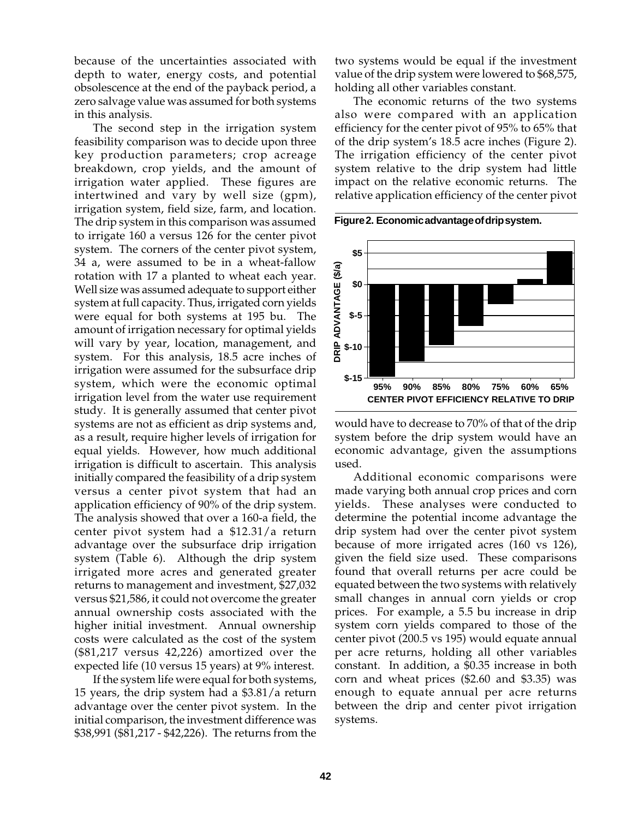because of the uncertainties associated with depth to water, energy costs, and potential obsolescence at the end of the payback period, a zero salvage value was assumed for both systems in this analysis.

The second step in the irrigation system feasibility comparison was to decide upon three key production parameters; crop acreage breakdown, crop yields, and the amount of irrigation water applied. These figures are intertwined and vary by well size (gpm), irrigation system, field size, farm, and location. The drip system in this comparison was assumed to irrigate 160 a versus 126 for the center pivot system. The corners of the center pivot system, 34 a, were assumed to be in a wheat-fallow rotation with 17 a planted to wheat each year. Well size was assumed adequate to support either system at full capacity. Thus, irrigated corn yields were equal for both systems at 195 bu. The amount of irrigation necessary for optimal yields will vary by year, location, management, and system. For this analysis, 18.5 acre inches of irrigation were assumed for the subsurface drip system, which were the economic optimal irrigation level from the water use requirement study. It is generally assumed that center pivot systems are not as efficient as drip systems and, as a result, require higher levels of irrigation for equal yields. However, how much additional irrigation is difficult to ascertain. This analysis initially compared the feasibility of a drip system versus a center pivot system that had an application efficiency of 90% of the drip system. The analysis showed that over a 160-a field, the center pivot system had a \$12.31/a return advantage over the subsurface drip irrigation system (Table 6). Although the drip system irrigated more acres and generated greater returns to management and investment, \$27,032 versus \$21,586, it could not overcome the greater annual ownership costs associated with the higher initial investment. Annual ownership costs were calculated as the cost of the system (\$81,217 versus 42,226) amortized over the expected life (10 versus 15 years) at 9% interest.

If the system life were equal for both systems, 15 years, the drip system had a \$3.81/a return advantage over the center pivot system. In the initial comparison, the investment difference was \$38,991 (\$81,217 - \$42,226). The returns from the

two systems would be equal if the investment value of the drip system were lowered to \$68,575, holding all other variables constant.

The economic returns of the two systems also were compared with an application efficiency for the center pivot of 95% to 65% that of the drip system's 18.5 acre inches (Figure 2). The irrigation efficiency of the center pivot system relative to the drip system had little impact on the relative economic returns. The relative application efficiency of the center pivot

**Figure 2. Economic advantage of drip system.**



would have to decrease to 70% of that of the drip system before the drip system would have an economic advantage, given the assumptions used.

Additional economic comparisons were made varying both annual crop prices and corn yields. These analyses were conducted to determine the potential income advantage the drip system had over the center pivot system because of more irrigated acres (160 vs 126), given the field size used. These comparisons found that overall returns per acre could be equated between the two systems with relatively small changes in annual corn yields or crop prices. For example, a 5.5 bu increase in drip system corn yields compared to those of the center pivot (200.5 vs 195) would equate annual per acre returns, holding all other variables constant. In addition, a \$0.35 increase in both corn and wheat prices (\$2.60 and \$3.35) was enough to equate annual per acre returns between the drip and center pivot irrigation systems.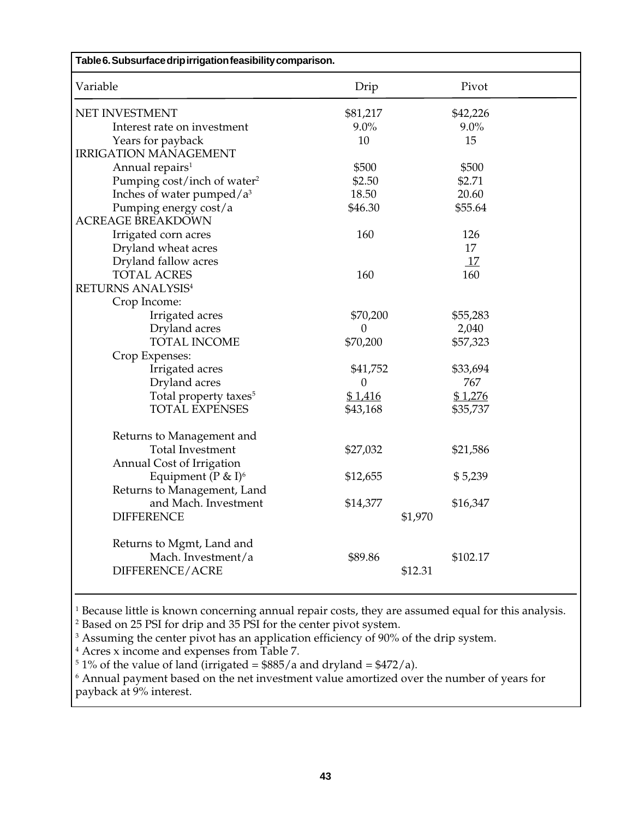| Table 6. Subsurface drip irrigation feasibility comparison. |          |          |  |  |  |  |  |
|-------------------------------------------------------------|----------|----------|--|--|--|--|--|
| Variable                                                    | Drip     | Pivot    |  |  |  |  |  |
| NET INVESTMENT                                              | \$81,217 | \$42,226 |  |  |  |  |  |
| Interest rate on investment                                 | $9.0\%$  | $9.0\%$  |  |  |  |  |  |
| Years for payback                                           | 10       | 15       |  |  |  |  |  |
| <b>IRRIGATION MANAGEMENT</b>                                |          |          |  |  |  |  |  |
| Annual repairs <sup>1</sup>                                 | \$500    | \$500    |  |  |  |  |  |
| Pumping cost/inch of water <sup>2</sup>                     | \$2.50   | \$2.71   |  |  |  |  |  |
| Inches of water pumped/ $a^3$                               | 18.50    | 20.60    |  |  |  |  |  |
| Pumping energy cost/a                                       | \$46.30  | \$55.64  |  |  |  |  |  |
| <b>ACREAGE BREAKDOWN</b>                                    |          |          |  |  |  |  |  |
| Irrigated corn acres                                        | 160      | 126      |  |  |  |  |  |
| Dryland wheat acres                                         |          | 17       |  |  |  |  |  |
| Dryland fallow acres                                        |          | 17       |  |  |  |  |  |
| <b>TOTAL ACRES</b>                                          | 160      | 160      |  |  |  |  |  |
| <b>RETURNS ANALYSIS4</b>                                    |          |          |  |  |  |  |  |
| Crop Income:                                                |          |          |  |  |  |  |  |
| Irrigated acres                                             | \$70,200 | \$55,283 |  |  |  |  |  |
| Dryland acres                                               | $\Omega$ | 2,040    |  |  |  |  |  |
| TOTAL INCOME                                                | \$70,200 | \$57,323 |  |  |  |  |  |
| Crop Expenses:                                              |          |          |  |  |  |  |  |
| Irrigated acres                                             | \$41,752 | \$33,694 |  |  |  |  |  |
| Dryland acres                                               | $\Omega$ | 767      |  |  |  |  |  |
| Total property taxes <sup>5</sup>                           | \$1,416  | \$1,276  |  |  |  |  |  |
| <b>TOTAL EXPENSES</b>                                       | \$43,168 | \$35,737 |  |  |  |  |  |
| Returns to Management and                                   |          |          |  |  |  |  |  |
| <b>Total Investment</b>                                     | \$27,032 | \$21,586 |  |  |  |  |  |
| Annual Cost of Irrigation                                   |          |          |  |  |  |  |  |
| Equipment ( $P \& I$ ) <sup>6</sup>                         | \$12,655 | \$5,239  |  |  |  |  |  |
| Returns to Management, Land                                 |          |          |  |  |  |  |  |
| and Mach. Investment                                        | \$14,377 | \$16,347 |  |  |  |  |  |
| <b>DIFFERENCE</b>                                           | \$1,970  |          |  |  |  |  |  |
| Returns to Mgmt, Land and                                   |          |          |  |  |  |  |  |
| Mach. Investment/a                                          | \$89.86  | \$102.17 |  |  |  |  |  |
| DIFFERENCE/ACRE                                             | \$12.31  |          |  |  |  |  |  |
|                                                             |          |          |  |  |  |  |  |

1 Because little is known concerning annual repair costs, they are assumed equal for this analysis.

2 Based on 25 PSI for drip and 35 PSI for the center pivot system.

 $3$  Assuming the center pivot has an application efficiency of 90% of the drip system.

4 Acres x income and expenses from Table 7.

 $^5$  1% of the value of land (irrigated =  $\$885/a$  and dryland =  $\$472/a$ ).

 $^{\rm 6}$  Annual payment based on the net investment value amortized over the number of years for payback at 9% interest.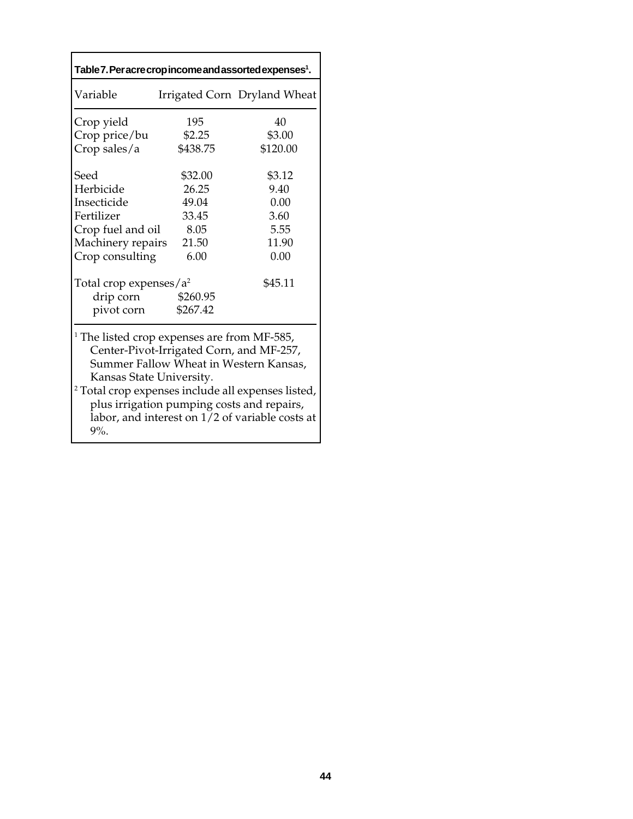| Table 7. Per acre crop income and assorted expenses <sup>1</sup> .                                                                                                                                                                                                                                                                                   |          |                              |  |  |  |  |  |  |  |
|------------------------------------------------------------------------------------------------------------------------------------------------------------------------------------------------------------------------------------------------------------------------------------------------------------------------------------------------------|----------|------------------------------|--|--|--|--|--|--|--|
| Variable                                                                                                                                                                                                                                                                                                                                             |          | Irrigated Corn Dryland Wheat |  |  |  |  |  |  |  |
| Crop yield                                                                                                                                                                                                                                                                                                                                           | 195      | 40                           |  |  |  |  |  |  |  |
| Crop price/bu                                                                                                                                                                                                                                                                                                                                        | \$2.25   | \$3.00                       |  |  |  |  |  |  |  |
| Crop sales/a                                                                                                                                                                                                                                                                                                                                         | \$438.75 | \$120.00                     |  |  |  |  |  |  |  |
| Seed                                                                                                                                                                                                                                                                                                                                                 | \$32.00  | \$3.12                       |  |  |  |  |  |  |  |
| Herbicide                                                                                                                                                                                                                                                                                                                                            | 26.25    | 9.40                         |  |  |  |  |  |  |  |
| Insecticide                                                                                                                                                                                                                                                                                                                                          | 49.04    | 0.00                         |  |  |  |  |  |  |  |
| Fertilizer                                                                                                                                                                                                                                                                                                                                           | 33.45    | 3.60                         |  |  |  |  |  |  |  |
| Crop fuel and oil                                                                                                                                                                                                                                                                                                                                    | 8.05     | 5.55                         |  |  |  |  |  |  |  |
| Machinery repairs                                                                                                                                                                                                                                                                                                                                    | 21.50    | 11.90                        |  |  |  |  |  |  |  |
| Crop consulting                                                                                                                                                                                                                                                                                                                                      | 6.00     | 0.00                         |  |  |  |  |  |  |  |
| Total crop expenses/ $a^2$                                                                                                                                                                                                                                                                                                                           |          | \$45.11                      |  |  |  |  |  |  |  |
| drip corn                                                                                                                                                                                                                                                                                                                                            | \$260.95 |                              |  |  |  |  |  |  |  |
| pivot corn                                                                                                                                                                                                                                                                                                                                           | \$267.42 |                              |  |  |  |  |  |  |  |
| <sup>1</sup> The listed crop expenses are from MF-585,<br>Center-Pivot-Irrigated Corn, and MF-257,<br>Summer Fallow Wheat in Western Kansas,<br>Kansas State University.<br><sup>2</sup> Total crop expenses include all expenses listed,<br>plus irrigation pumping costs and repairs,<br>labor, and interest on 1/2 of variable costs at<br>$9%$ . |          |                              |  |  |  |  |  |  |  |

۰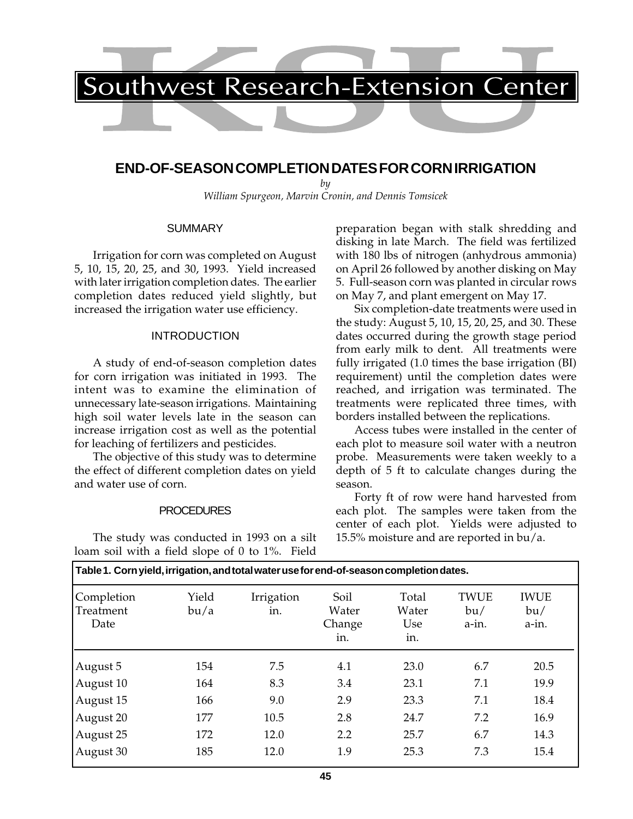

# **END-OF-SEASON COMPLETION DATES FOR CORN IRRIGATION**

*by William Spurgeon, Marvin Cronin, and Dennis Tomsicek*

#### **SUMMARY**

Irrigation for corn was completed on August 5, 10, 15, 20, 25, and 30, 1993. Yield increased with later irrigation completion dates. The earlier completion dates reduced yield slightly, but increased the irrigation water use efficiency.

## INTRODUCTION

A study of end-of-season completion dates for corn irrigation was initiated in 1993. The intent was to examine the elimination of unnecessary late-season irrigations. Maintaining high soil water levels late in the season can increase irrigation cost as well as the potential for leaching of fertilizers and pesticides.

The objective of this study was to determine the effect of different completion dates on yield and water use of corn.

### PROCEDURES

The study was conducted in 1993 on a silt loam soil with a field slope of 0 to 1%. Field preparation began with stalk shredding and disking in late March. The field was fertilized with 180 lbs of nitrogen (anhydrous ammonia) on April 26 followed by another disking on May 5. Full-season corn was planted in circular rows on May 7, and plant emergent on May 17.

Six completion-date treatments were used in the study: August 5, 10, 15, 20, 25, and 30. These dates occurred during the growth stage period from early milk to dent. All treatments were fully irrigated (1.0 times the base irrigation (BI) requirement) until the completion dates were reached, and irrigation was terminated. The treatments were replicated three times, with borders installed between the replications.

Access tubes were installed in the center of each plot to measure soil water with a neutron probe. Measurements were taken weekly to a depth of 5 ft to calculate changes during the season.

Forty ft of row were hand harvested from each plot. The samples were taken from the center of each plot. Yields were adjusted to 15.5% moisture and are reported in bu/a.

| Table 1. Corn yield, irrigation, and total water use for end-of-season completion dates. |               |                   |                                |                              |                             |                             |  |  |  |
|------------------------------------------------------------------------------------------|---------------|-------------------|--------------------------------|------------------------------|-----------------------------|-----------------------------|--|--|--|
| Completion<br>Treatment<br>Date                                                          | Yield<br>bu/a | Irrigation<br>in. | Soil<br>Water<br>Change<br>in. | Total<br>Water<br>Use<br>in. | <b>TWUE</b><br>bu/<br>a-in. | <b>IWUE</b><br>bu/<br>a-in. |  |  |  |
| August 5                                                                                 | 154           | 7.5               | 4.1                            | 23.0                         | 6.7                         | 20.5                        |  |  |  |
| August 10                                                                                | 164           | 8.3               | 3.4                            | 23.1                         | 7.1                         | 19.9                        |  |  |  |
| August 15                                                                                | 166           | 9.0               | 2.9                            | 23.3                         | 7.1                         | 18.4                        |  |  |  |
| August 20                                                                                | 177           | 10.5              | 2.8                            | 24.7                         | 7.2                         | 16.9                        |  |  |  |
| August 25                                                                                | 172           | 12.0              | 2.2                            | 25.7                         | 6.7                         | 14.3                        |  |  |  |
| August 30                                                                                | 185           | 12.0              | 1.9                            | 25.3                         | 7.3                         | 15.4                        |  |  |  |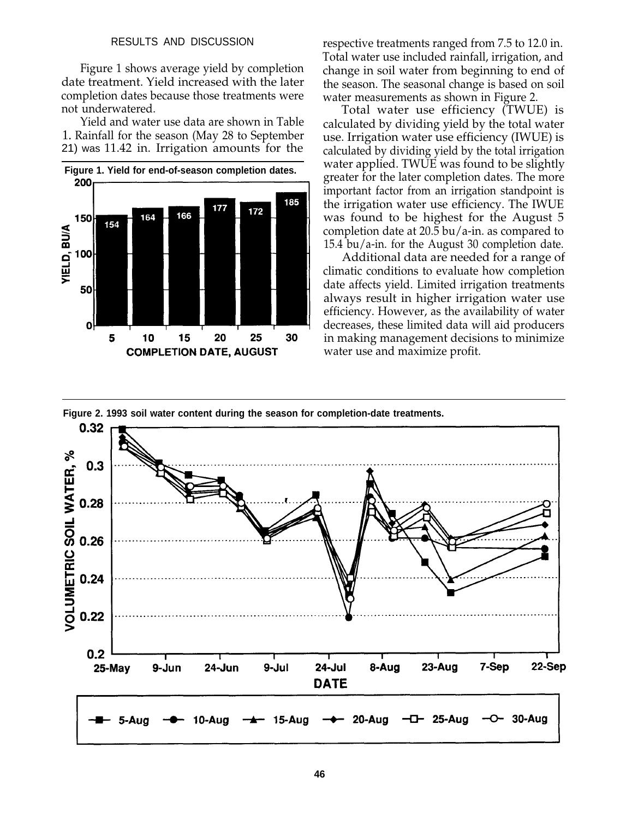#### RESULTS AND DISCUSSION

Figure 1 shows average yield by completion date treatment. Yield increased with the later completion dates because those treatments were not underwatered.

Yield and water use data are shown in Table 1. Rainfall for the season (May 28 to September 21) was 11.42 in. Irrigation amounts for the



respective treatments ranged from 7.5 to 12.0 in. Total water use included rainfall, irrigation, and change in soil water from beginning to end of the season. The seasonal change is based on soil water measurements as shown in Figure 2.

Total water use efficiency (TWUE) is calculated by dividing yield by the total water use. Irrigation water use efficiency (IWUE) is calculated by dividing yield by the total irrigation water applied. TWUE was found to be slightly greater for the later completion dates. The more important factor from an irrigation standpoint is the irrigation water use efficiency. The IWUE was found to be highest for the August 5 completion date at 20.5 bu/a-in. as compared to 15.4 bu/a-in. for the August 30 completion date.

Additional data are needed for a range of climatic conditions to evaluate how completion date affects yield. Limited irrigation treatments always result in higher irrigation water use efficiency. However, as the availability of water decreases, these limited data will aid producers in making management decisions to minimize water use and maximize profit.



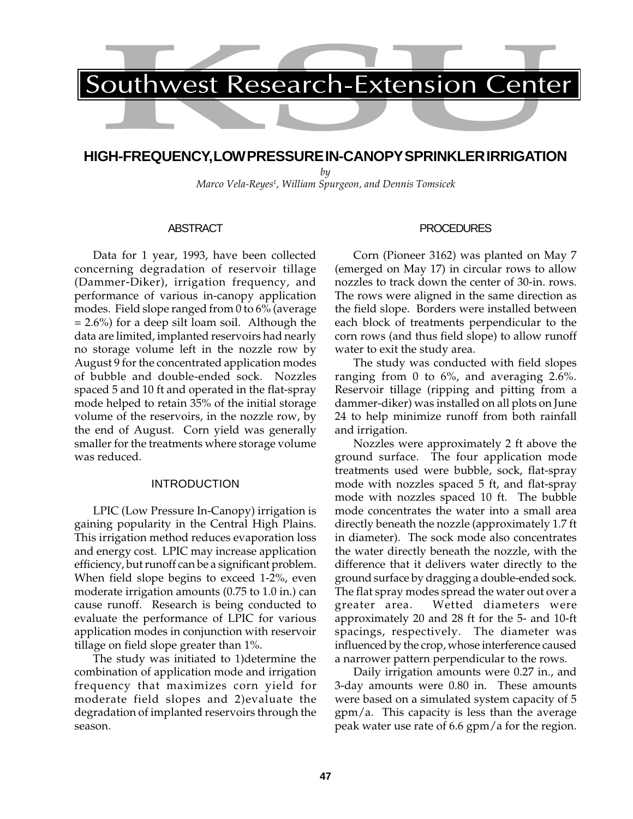# **HIGH-FREQUENCY, LOW PRESSURE IN-CANOPY SPRINKLER IRRIGATION**

*by*

*Marco Vela-Reyes1 , William Spurgeon, and Dennis Tomsicek*

### ABSTRACT

Data for 1 year, 1993, have been collected concerning degradation of reservoir tillage (Dammer-Diker), irrigation frequency, and performance of various in-canopy application modes. Field slope ranged from 0 to 6% (average  $= 2.6\%$ ) for a deep silt loam soil. Although the data are limited, implanted reservoirs had nearly no storage volume left in the nozzle row by August 9 for the concentrated application modes of bubble and double-ended sock. Nozzles spaced 5 and 10 ft and operated in the flat-spray mode helped to retain 35% of the initial storage volume of the reservoirs, in the nozzle row, by the end of August. Corn yield was generally smaller for the treatments where storage volume was reduced.

### INTRODUCTION

LPIC (Low Pressure In-Canopy) irrigation is gaining popularity in the Central High Plains. This irrigation method reduces evaporation loss and energy cost. LPIC may increase application efficiency, but runoff can be a significant problem. When field slope begins to exceed 1-2%, even moderate irrigation amounts (0.75 to 1.0 in.) can cause runoff. Research is being conducted to evaluate the performance of LPIC for various application modes in conjunction with reservoir tillage on field slope greater than 1%.

The study was initiated to 1)determine the combination of application mode and irrigation frequency that maximizes corn yield for moderate field slopes and 2)evaluate the degradation of implanted reservoirs through the season.

# **PROCEDURES**

Corn (Pioneer 3162) was planted on May 7 (emerged on May 17) in circular rows to allow nozzles to track down the center of 30-in. rows. The rows were aligned in the same direction as the field slope. Borders were installed between each block of treatments perpendicular to the corn rows (and thus field slope) to allow runoff water to exit the study area.

The study was conducted with field slopes ranging from 0 to 6%, and averaging 2.6%. Reservoir tillage (ripping and pitting from a dammer-diker) was installed on all plots on June 24 to help minimize runoff from both rainfall and irrigation.

Nozzles were approximately 2 ft above the ground surface. The four application mode treatments used were bubble, sock, flat-spray mode with nozzles spaced 5 ft, and flat-spray mode with nozzles spaced 10 ft. The bubble mode concentrates the water into a small area directly beneath the nozzle (approximately 1.7 ft in diameter). The sock mode also concentrates the water directly beneath the nozzle, with the difference that it delivers water directly to the ground surface by dragging a double-ended sock. The flat spray modes spread the water out over a greater area. Wetted diameters were approximately 20 and 28 ft for the 5- and 10-ft spacings, respectively. The diameter was influenced by the crop, whose interference caused a narrower pattern perpendicular to the rows.

Daily irrigation amounts were 0.27 in., and 3-day amounts were 0.80 in. These amounts were based on a simulated system capacity of 5 gpm/a. This capacity is less than the average peak water use rate of 6.6 gpm/a for the region.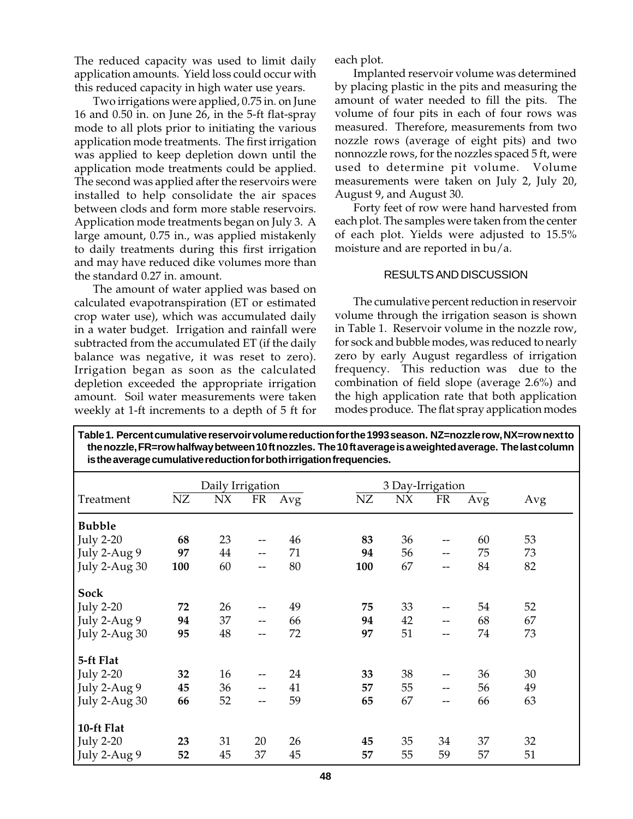The reduced capacity was used to limit daily application amounts. Yield loss could occur with this reduced capacity in high water use years.

Two irrigations were applied, 0.75 in. on June 16 and 0.50 in. on June 26, in the 5-ft flat-spray mode to all plots prior to initiating the various application mode treatments. The first irrigation was applied to keep depletion down until the application mode treatments could be applied. The second was applied after the reservoirs were installed to help consolidate the air spaces between clods and form more stable reservoirs. Application mode treatments began on July 3. A large amount, 0.75 in., was applied mistakenly to daily treatments during this first irrigation and may have reduced dike volumes more than the standard 0.27 in. amount.

The amount of water applied was based on calculated evapotranspiration (ET or estimated crop water use), which was accumulated daily in a water budget. Irrigation and rainfall were subtracted from the accumulated ET (if the daily balance was negative, it was reset to zero). Irrigation began as soon as the calculated depletion exceeded the appropriate irrigation amount. Soil water measurements were taken weekly at 1-ft increments to a depth of 5 ft for each plot.

Implanted reservoir volume was determined by placing plastic in the pits and measuring the amount of water needed to fill the pits. The volume of four pits in each of four rows was measured. Therefore, measurements from two nozzle rows (average of eight pits) and two nonnozzle rows, for the nozzles spaced 5 ft, were used to determine pit volume. Volume measurements were taken on July 2, July 20, August 9, and August 30.

Forty feet of row were hand harvested from each plot. The samples were taken from the center of each plot. Yields were adjusted to 15.5% moisture and are reported in bu/a.

## RESULTS AND DISCUSSION

The cumulative percent reduction in reservoir volume through the irrigation season is shown in Table 1. Reservoir volume in the nozzle row, for sock and bubble modes, was reduced to nearly zero by early August regardless of irrigation frequency. This reduction was due to the combination of field slope (average 2.6%) and the high application rate that both application modes produce. The flat spray application modes

| is the average cumulative requestormer bounding about the quencies. |     |                  |     |     |     |                  |     |     |     |  |
|---------------------------------------------------------------------|-----|------------------|-----|-----|-----|------------------|-----|-----|-----|--|
|                                                                     |     | Daily Irrigation |     |     |     | 3 Day-Irrigation |     |     |     |  |
| Treatment                                                           | NZ  | $N\chi$          | FR  | Avg | NZ  | N X              | FR  | Avg | Avg |  |
| <b>Bubble</b>                                                       |     |                  |     |     |     |                  |     |     |     |  |
| <b>July 2-20</b>                                                    | 68  | 23               | --  | 46  | 83  | 36               |     | 60  | 53  |  |
| July 2-Aug 9                                                        | 97  | 44               | $-$ | 71  | 94  | 56               | $-$ | 75  | 73  |  |
| July 2-Aug 30                                                       | 100 | 60               | --  | 80  | 100 | 67               | --  | 84  | 82  |  |
| Sock                                                                |     |                  |     |     |     |                  |     |     |     |  |
| <b>July 2-20</b>                                                    | 72  | 26               |     | 49  | 75  | 33               |     | 54  | 52  |  |
| July 2-Aug 9                                                        | 94  | 37               | --  | 66  | 94  | 42               |     | 68  | 67  |  |
| July 2-Aug 30                                                       | 95  | 48               | --  | 72  | 97  | 51               | --  | 74  | 73  |  |
| 5-ft Flat                                                           |     |                  |     |     |     |                  |     |     |     |  |
| <b>July 2-20</b>                                                    | 32  | 16               | --  | 24  | 33  | 38               | --  | 36  | 30  |  |
| July 2-Aug 9                                                        | 45  | 36               |     | 41  | 57  | 55               |     | 56  | 49  |  |
| July 2-Aug 30                                                       | 66  | 52               | --  | 59  | 65  | 67               | $-$ | 66  | 63  |  |
| 10-ft Flat                                                          |     |                  |     |     |     |                  |     |     |     |  |
| <b>July 2-20</b>                                                    | 23  | 31               | 20  | 26  | 45  | 35               | 34  | 37  | 32  |  |
| July 2-Aug 9                                                        | 52  | 45               | 37  | 45  | 57  | 55               | 59  | 57  | 51  |  |

**Table 1. Percent cumulative reservoir volume reduction for the 1993 season. NZ=nozzle row, NX=row next to the nozzle, FR=row halfway between 10 ft nozzles. The 10 ft average is a weighted average. The last column is the average cumulative reduction for both irrigation frequencies.**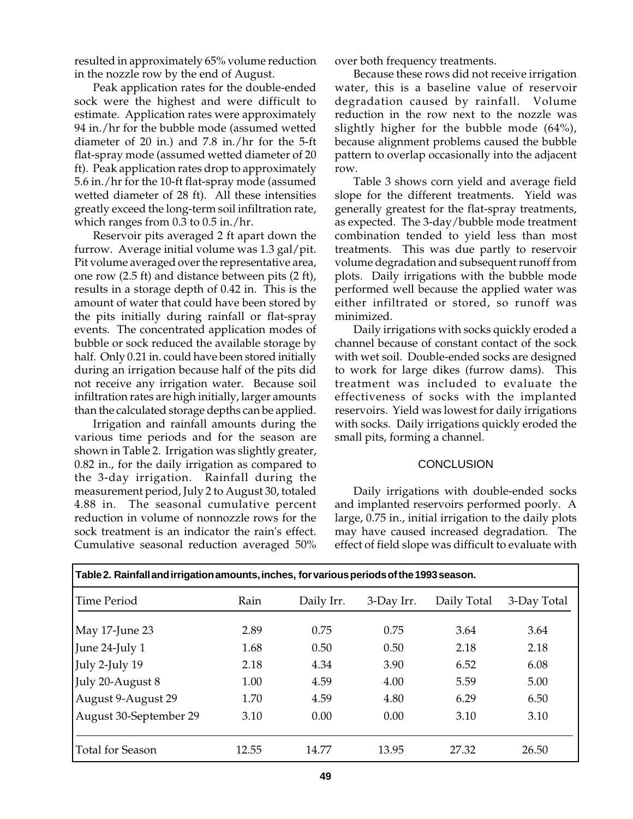resulted in approximately 65% volume reduction in the nozzle row by the end of August.

Peak application rates for the double-ended sock were the highest and were difficult to estimate. Application rates were approximately 94 in./hr for the bubble mode (assumed wetted diameter of 20 in.) and 7.8 in./hr for the 5-ft flat-spray mode (assumed wetted diameter of 20 ft). Peak application rates drop to approximately 5.6 in./hr for the 10-ft flat-spray mode (assumed wetted diameter of 28 ft). All these intensities greatly exceed the long-term soil infiltration rate, which ranges from 0.3 to 0.5 in./hr.

Reservoir pits averaged 2 ft apart down the furrow. Average initial volume was 1.3 gal/pit. Pit volume averaged over the representative area, one row (2.5 ft) and distance between pits (2 ft), results in a storage depth of 0.42 in. This is the amount of water that could have been stored by the pits initially during rainfall or flat-spray events. The concentrated application modes of bubble or sock reduced the available storage by half. Only 0.21 in. could have been stored initially during an irrigation because half of the pits did not receive any irrigation water. Because soil infiltration rates are high initially, larger amounts than the calculated storage depths can be applied.

Irrigation and rainfall amounts during the various time periods and for the season are shown in Table 2. Irrigation was slightly greater, 0.82 in., for the daily irrigation as compared to the 3-day irrigation. Rainfall during the measurement period, July 2 to August 30, totaled 4.88 in. The seasonal cumulative percent reduction in volume of nonnozzle rows for the sock treatment is an indicator the rain's effect. Cumulative seasonal reduction averaged 50% over both frequency treatments.

Because these rows did not receive irrigation water, this is a baseline value of reservoir degradation caused by rainfall. Volume reduction in the row next to the nozzle was slightly higher for the bubble mode (64%), because alignment problems caused the bubble pattern to overlap occasionally into the adjacent row.

Table 3 shows corn yield and average field slope for the different treatments. Yield was generally greatest for the flat-spray treatments, as expected. The 3-day/bubble mode treatment combination tended to yield less than most treatments. This was due partly to reservoir volume degradation and subsequent runoff from plots. Daily irrigations with the bubble mode performed well because the applied water was either infiltrated or stored, so runoff was minimized.

Daily irrigations with socks quickly eroded a channel because of constant contact of the sock with wet soil. Double-ended socks are designed to work for large dikes (furrow dams). This treatment was included to evaluate the effectiveness of socks with the implanted reservoirs. Yield was lowest for daily irrigations with socks. Daily irrigations quickly eroded the small pits, forming a channel.

### **CONCLUSION**

Daily irrigations with double-ended socks and implanted reservoirs performed poorly. A large, 0.75 in., initial irrigation to the daily plots may have caused increased degradation. The effect of field slope was difficult to evaluate with

| Table 2. Rainfall and irrigation amounts, inches, for various periods of the 1993 season. |       |            |            |             |             |  |  |  |  |  |
|-------------------------------------------------------------------------------------------|-------|------------|------------|-------------|-------------|--|--|--|--|--|
| Time Period                                                                               | Rain  | Daily Irr. | 3-Day Irr. | Daily Total | 3-Day Total |  |  |  |  |  |
| May 17-June 23                                                                            | 2.89  | 0.75       | 0.75       | 3.64        | 3.64        |  |  |  |  |  |
| June 24-July 1                                                                            | 1.68  | 0.50       | 0.50       | 2.18        | 2.18        |  |  |  |  |  |
| July 2-July 19                                                                            | 2.18  | 4.34       | 3.90       | 6.52        | 6.08        |  |  |  |  |  |
| July 20-August 8                                                                          | 1.00  | 4.59       | 4.00       | 5.59        | 5.00        |  |  |  |  |  |
| August 9-August 29                                                                        | 1.70  | 4.59       | 4.80       | 6.29        | 6.50        |  |  |  |  |  |
| August 30-September 29                                                                    | 3.10  | 0.00       | 0.00       | 3.10        | 3.10        |  |  |  |  |  |
| <b>Total for Season</b>                                                                   | 12.55 | 14.77      | 13.95      | 27.32       | 26.50       |  |  |  |  |  |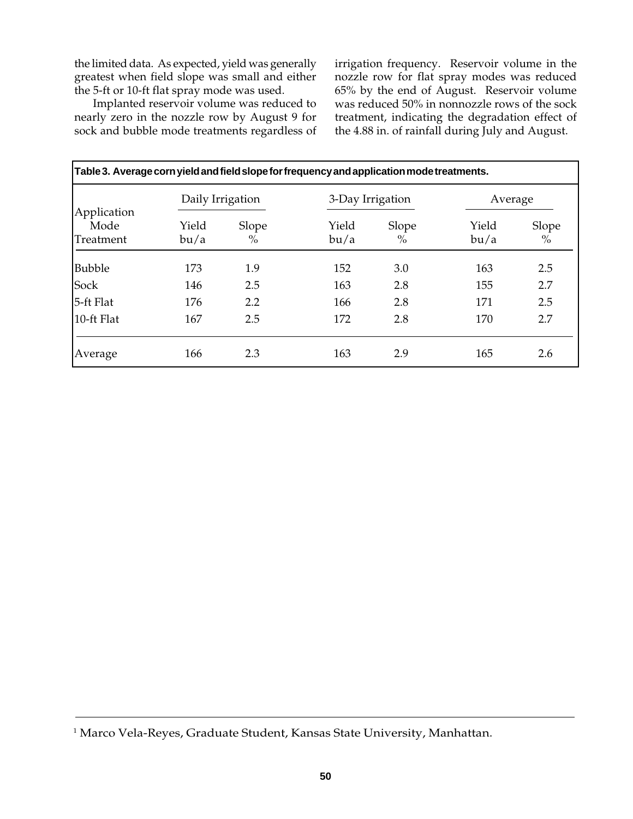the limited data. As expected, yield was generally greatest when field slope was small and either the 5-ft or 10-ft flat spray mode was used.

Implanted reservoir volume was reduced to nearly zero in the nozzle row by August 9 for sock and bubble mode treatments regardless of

irrigation frequency. Reservoir volume in the nozzle row for flat spray modes was reduced 65% by the end of August. Reservoir volume was reduced 50% in nonnozzle rows of the sock treatment, indicating the degradation effect of the 4.88 in. of rainfall during July and August.

| Table 3. Average corn yield and field slope for frequency and application mode treatments. |                  |               |               |                        |               |                        |  |  |  |  |
|--------------------------------------------------------------------------------------------|------------------|---------------|---------------|------------------------|---------------|------------------------|--|--|--|--|
|                                                                                            | Daily Irrigation |               |               | 3-Day Irrigation       |               | Average                |  |  |  |  |
| Application<br>Mode<br>Treatment                                                           | Yield<br>bu/a    | Slope<br>$\%$ | Yield<br>bu/a | Slope<br>$\frac{0}{0}$ | Yield<br>bu/a | Slope<br>$\frac{0}{0}$ |  |  |  |  |
| <b>Bubble</b>                                                                              | 173              | 1.9           | 152           | 3.0                    | 163           | 2.5                    |  |  |  |  |
| Sock                                                                                       | 146              | 2.5           | 163           | 2.8                    | 155           | 2.7                    |  |  |  |  |
| 5-ft Flat                                                                                  | 176              | 2.2           | 166           | 2.8                    | 171           | 2.5                    |  |  |  |  |
| 10-ft Flat                                                                                 | 167              | 2.5           | 172           | 2.8                    | 170           | 2.7                    |  |  |  |  |
| Average                                                                                    | 166              | 2.3           | 163           | 2.9                    | 165           | 2.6                    |  |  |  |  |

<sup>1</sup> Marco Vela-Reyes, Graduate Student, Kansas State University, Manhattan.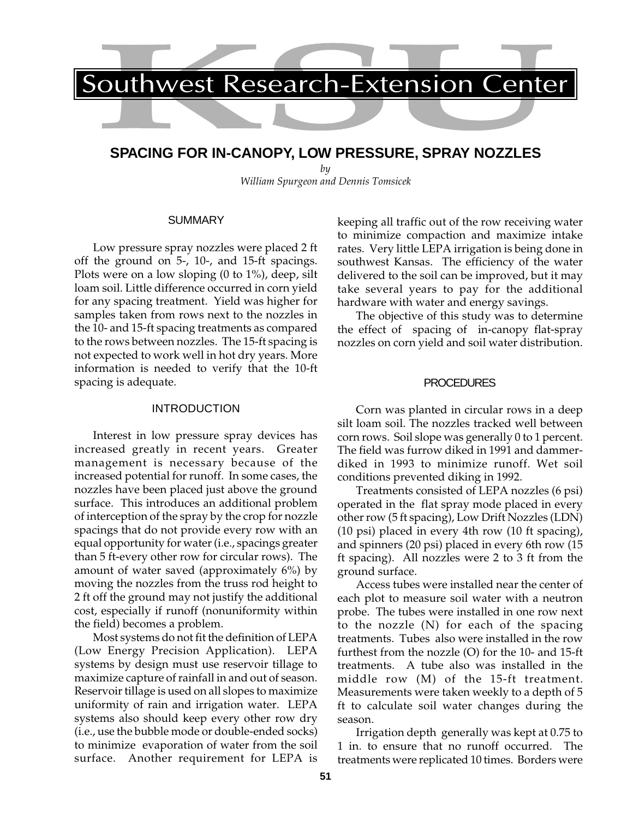# **SPACING FOR IN-CANOPY, LOW PRESSURE, SPRAY NOZZLES**

*by William Spurgeon and Dennis Tomsicek*

#### **SUMMARY**

Low pressure spray nozzles were placed 2 ft off the ground on 5-, 10-, and 15-ft spacings. Plots were on a low sloping (0 to 1%), deep, silt loam soil. Little difference occurred in corn yield for any spacing treatment. Yield was higher for samples taken from rows next to the nozzles in the 10- and 15-ft spacing treatments as compared to the rows between nozzles. The 15-ft spacing is not expected to work well in hot dry years. More information is needed to verify that the 10-ft spacing is adequate.

### INTRODUCTION

Interest in low pressure spray devices has increased greatly in recent years. Greater management is necessary because of the increased potential for runoff. In some cases, the nozzles have been placed just above the ground surface. This introduces an additional problem of interception of the spray by the crop for nozzle spacings that do not provide every row with an equal opportunity for water (i.e., spacings greater than 5 ft-every other row for circular rows). The amount of water saved (approximately 6%) by moving the nozzles from the truss rod height to 2 ft off the ground may not justify the additional cost, especially if runoff (nonuniformity within the field) becomes a problem.

Most systems do not fit the definition of LEPA (Low Energy Precision Application). LEPA systems by design must use reservoir tillage to maximize capture of rainfall in and out of season. Reservoir tillage is used on all slopes to maximize uniformity of rain and irrigation water. LEPA systems also should keep every other row dry (i.e., use the bubble mode or double-ended socks) to minimize evaporation of water from the soil surface. Another requirement for LEPA is

keeping all traffic out of the row receiving water to minimize compaction and maximize intake rates. Very little LEPA irrigation is being done in southwest Kansas. The efficiency of the water delivered to the soil can be improved, but it may take several years to pay for the additional hardware with water and energy savings.

The objective of this study was to determine the effect of spacing of in-canopy flat-spray nozzles on corn yield and soil water distribution.

# PROCEDURES

Corn was planted in circular rows in a deep silt loam soil. The nozzles tracked well between corn rows. Soil slope was generally 0 to 1 percent. The field was furrow diked in 1991 and dammerdiked in 1993 to minimize runoff. Wet soil conditions prevented diking in 1992.

Treatments consisted of LEPA nozzles (6 psi) operated in the flat spray mode placed in every other row (5 ft spacing), Low Drift Nozzles (LDN) (10 psi) placed in every 4th row (10 ft spacing), and spinners (20 psi) placed in every 6th row (15 ft spacing). All nozzles were 2 to 3 ft from the ground surface.

Access tubes were installed near the center of each plot to measure soil water with a neutron probe. The tubes were installed in one row next to the nozzle (N) for each of the spacing treatments. Tubes also were installed in the row furthest from the nozzle (O) for the 10- and 15-ft treatments. A tube also was installed in the middle row (M) of the 15-ft treatment. Measurements were taken weekly to a depth of 5 ft to calculate soil water changes during the season.

Irrigation depth generally was kept at 0.75 to 1 in. to ensure that no runoff occurred. The treatments were replicated 10 times. Borders were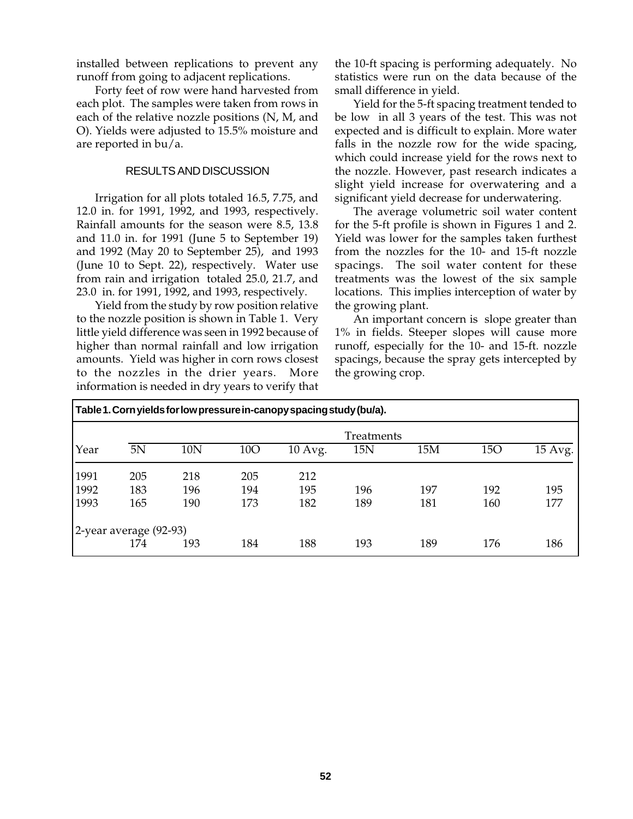installed between replications to prevent any runoff from going to adjacent replications.

Forty feet of row were hand harvested from each plot. The samples were taken from rows in each of the relative nozzle positions (N, M, and O). Yields were adjusted to 15.5% moisture and are reported in bu/a.

## RESULTS AND DISCUSSION

Irrigation for all plots totaled 16.5, 7.75, and 12.0 in. for 1991, 1992, and 1993, respectively. Rainfall amounts for the season were 8.5, 13.8 and 11.0 in. for 1991 (June 5 to September 19) and 1992 (May 20 to September 25), and 1993 (June 10 to Sept. 22), respectively. Water use from rain and irrigation totaled 25.0, 21.7, and 23.0 in. for 1991, 1992, and 1993, respectively.

Yield from the study by row position relative to the nozzle position is shown in Table 1. Very little yield difference was seen in 1992 because of higher than normal rainfall and low irrigation amounts. Yield was higher in corn rows closest to the nozzles in the drier years. More information is needed in dry years to verify that

the 10-ft spacing is performing adequately. No statistics were run on the data because of the small difference in yield.

Yield for the 5-ft spacing treatment tended to be low in all 3 years of the test. This was not expected and is difficult to explain. More water falls in the nozzle row for the wide spacing, which could increase yield for the rows next to the nozzle. However, past research indicates a slight yield increase for overwatering and a significant yield decrease for underwatering.

The average volumetric soil water content for the 5-ft profile is shown in Figures 1 and 2. Yield was lower for the samples taken furthest from the nozzles for the 10- and 15-ft nozzle spacings. The soil water content for these treatments was the lowest of the six sample locations. This implies interception of water by the growing plant.

An important concern is slope greater than 1% in fields. Steeper slopes will cause more runoff, especially for the 10- and 15-ft. nozzle spacings, because the spray gets intercepted by the growing crop.

|      | Table 1. Corn yields for low pressure in-canopy spacing study (bu/a). |     |            |         |     |     |     |         |  |  |  |
|------|-----------------------------------------------------------------------|-----|------------|---------|-----|-----|-----|---------|--|--|--|
|      | Treatments                                                            |     |            |         |     |     |     |         |  |  |  |
| Year | 5N                                                                    | 10N | <b>10O</b> | 10 Avg. | 15N | 15M | 15O | 15 Avg. |  |  |  |
| 1991 | 205                                                                   | 218 | 205        | 212     |     |     |     |         |  |  |  |
| 1992 | 183                                                                   | 196 | 194        | 195     | 196 | 197 | 192 | 195     |  |  |  |
| 1993 | 165                                                                   | 190 | 173        | 182     | 189 | 181 | 160 | 177     |  |  |  |
|      | 2-year average (92-93)                                                |     |            |         |     |     |     |         |  |  |  |
|      | 174                                                                   | 193 | 184        | 188     | 193 | 189 | 176 | 186     |  |  |  |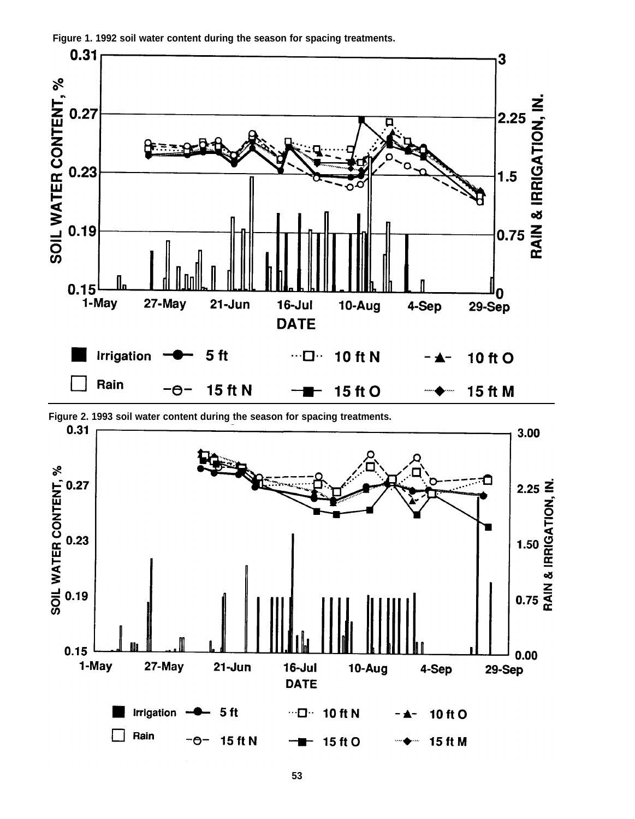

**Figure 1. 1992 soil water content during the season for spacing treatments.**

**Figure 2. 1993 soil water content during the season for spacing treatments.**

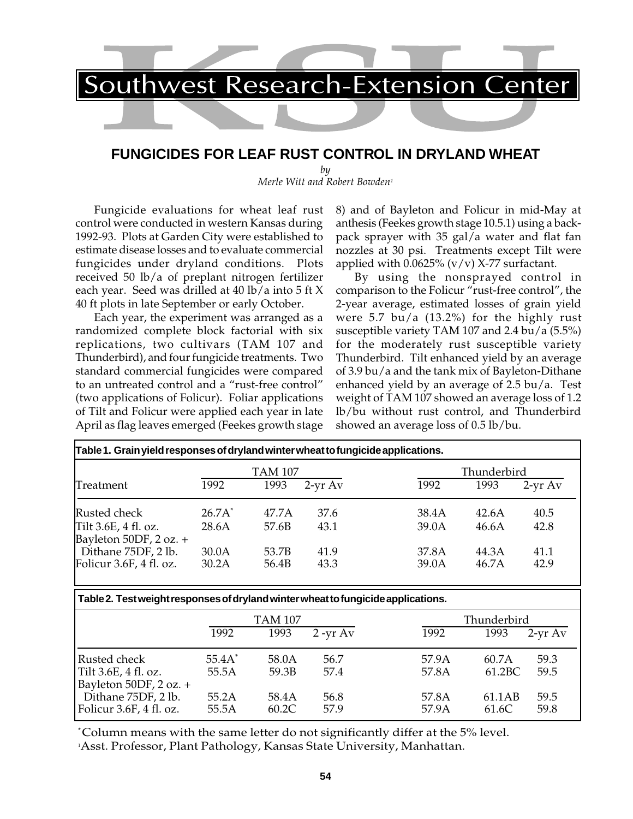# **FUNGICIDES FOR LEAF RUST CONTROL IN DRYLAND WHEAT**

*by Merle Witt and Robert Bowden1*

Fungicide evaluations for wheat leaf rust control were conducted in western Kansas during 1992-93. Plots at Garden City were established to estimate disease losses and to evaluate commercial fungicides under dryland conditions. Plots received 50 lb/a of preplant nitrogen fertilizer each year. Seed was drilled at 40 lb/a into 5 ft X 40 ft plots in late September or early October.

Each year, the experiment was arranged as a randomized complete block factorial with six replications, two cultivars (TAM 107 and Thunderbird), and four fungicide treatments. Two standard commercial fungicides were compared to an untreated control and a "rust-free control" (two applications of Folicur). Foliar applications of Tilt and Folicur were applied each year in late April as flag leaves emerged (Feekes growth stage

8) and of Bayleton and Folicur in mid-May at anthesis (Feekes growth stage 10.5.1) using a backpack sprayer with 35 gal/a water and flat fan nozzles at 30 psi. Treatments except Tilt were applied with  $0.0625\%$  (v/v) X-77 surfactant.

By using the nonsprayed control in comparison to the Folicur "rust-free control", the 2-year average, estimated losses of grain yield were 5.7 bu/a (13.2%) for the highly rust susceptible variety TAM 107 and 2.4 bu/a (5.5%) for the moderately rust susceptible variety Thunderbird. Tilt enhanced yield by an average of 3.9 bu/a and the tank mix of Bayleton-Dithane enhanced yield by an average of 2.5 bu/a. Test weight of TAM 107 showed an average loss of 1.2 lb/bu without rust control, and Thunderbird showed an average loss of 0.5 lb/bu.

|                                                |                | TAM 107        |              |                | Thunderbird    |              |  |
|------------------------------------------------|----------------|----------------|--------------|----------------|----------------|--------------|--|
| Treatment                                      | 1992           | 1993           | $2-vr$ Av    | 1992           | 1993           | $2-vr Av$    |  |
| Rusted check                                   | $26.7A^*$      | 47.7A          | 37.6         | 38.4A          | 42.6A          | 40.5         |  |
| Tilt 3.6E, 4 fl. oz.<br>Bayleton 50DF, 2 oz. + | 28.6A          | 57.6B          | 43.1         | 39.0A          | 46.6A          | 42.8         |  |
| Dithane 75DF, 2 lb.<br>Folicur 3.6F, 4 fl. oz. | 30.0A<br>30.2A | 53.7B<br>56.4B | 41.9<br>43.3 | 37.8A<br>39.0A | 44.3A<br>46.7A | 41.1<br>42.9 |  |

**Table 2. Test weight responses of dryland winter wheat to fungicide applications.**

|                                                                | 1992               | <b>TAM 107</b><br>1993 | $2 - yr Av$  | 1992           | Thunderbird<br>1993 | $2-vr Av$    |
|----------------------------------------------------------------|--------------------|------------------------|--------------|----------------|---------------------|--------------|
| Rusted check<br>Tilt 3.6E, 4 fl. oz.<br>Bayleton 50DF, 2 oz. + | $55.4A^*$<br>55.5A | 58.0A<br>59.3B         | 56.7<br>57.4 | 57.9A<br>57.8A | 60.7A<br>61.2BC     | 59.3<br>59.5 |
| Dithane 75DF, 2 lb.<br>Folicur 3.6F, 4 fl. oz.                 | 55.2A<br>55.5A     | 58.4A<br>60.2C         | 56.8<br>57.9 | 57.8A<br>57.9A | 61.1AB<br>61.6C     | 59.5<br>59.8 |

\* Column means with the same letter do not significantly differ at the 5% level.

1 Asst. Professor, Plant Pathology, Kansas State University, Manhattan.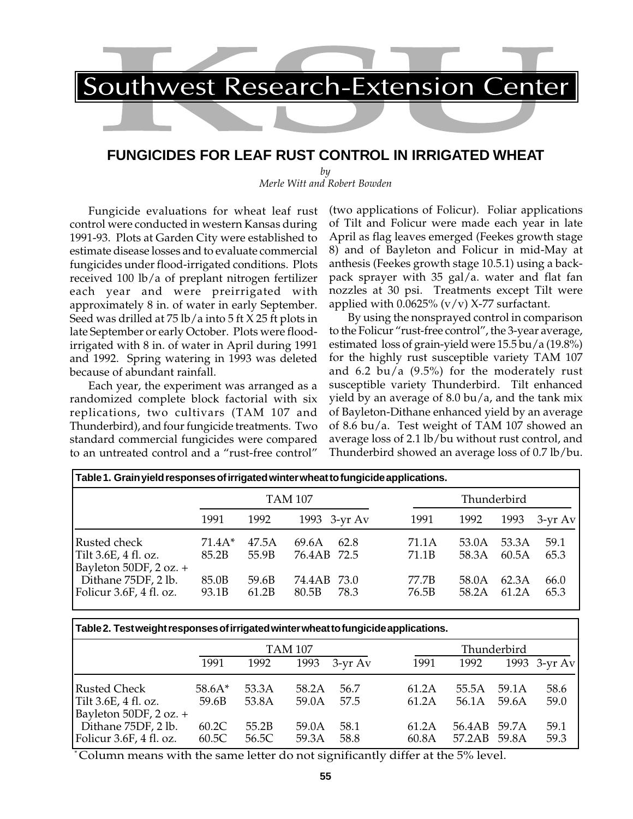# **FUNGICIDES FOR LEAF RUST CONTROL IN IRRIGATED WHEAT**

*by Merle Witt and Robert Bowden*

Fungicide evaluations for wheat leaf rust control were conducted in western Kansas during 1991-93. Plots at Garden City were established to estimate disease losses and to evaluate commercial fungicides under flood-irrigated conditions. Plots received 100 lb/a of preplant nitrogen fertilizer each year and were preirrigated with approximately 8 in. of water in early September. Seed was drilled at 75 lb/a into 5 ft X 25 ft plots in late September or early October. Plots were floodirrigated with 8 in. of water in April during 1991 and 1992. Spring watering in 1993 was deleted because of abundant rainfall.

Each year, the experiment was arranged as a randomized complete block factorial with six replications, two cultivars (TAM 107 and Thunderbird), and four fungicide treatments. Two standard commercial fungicides were compared to an untreated control and a "rust-free control"

(two applications of Folicur). Foliar applications of Tilt and Folicur were made each year in late April as flag leaves emerged (Feekes growth stage 8) and of Bayleton and Folicur in mid-May at anthesis (Feekes growth stage 10.5.1) using a backpack sprayer with 35 gal/a. water and flat fan nozzles at 30 psi. Treatments except Tilt were applied with  $0.0625\%$  (v/v) X-77 surfactant.

By using the nonsprayed control in comparison to the Folicur "rust-free control", the 3-year average, estimated loss of grain-yield were 15.5 bu/a (19.8%) for the highly rust susceptible variety TAM 107 and 6.2 bu/a  $(9.5\%)$  for the moderately rust susceptible variety Thunderbird. Tilt enhanced yield by an average of 8.0 bu/a, and the tank mix of Bayleton-Dithane enhanced yield by an average of 8.6 bu/a. Test weight of TAM 107 showed an average loss of 2.1 lb/bu without rust control, and Thunderbird showed an average loss of 0.7 lb/bu.

| Table 1. Grain yield responses of irrigated winter wheat to fungicide applications. |                   |                |                      |      |                |                |                |              |
|-------------------------------------------------------------------------------------|-------------------|----------------|----------------------|------|----------------|----------------|----------------|--------------|
|                                                                                     | TAM 107           |                |                      |      | Thunderbird    |                |                |              |
|                                                                                     | 1991              | 1992           | 1993 3-yr Av         |      | 1991           | 1992           | 1993           | $3-yr$ Av    |
| Rusted check<br>Tilt 3.6E, 4 fl. oz.<br>Bayleton 50DF, 2 oz. +                      | $71.4A*$<br>85.2B | 47.5A<br>55.9B | 69.6A<br>76.4AB 72.5 | 62.8 | 71.1A<br>71.1B | 53.0A<br>58.3A | 53.3A<br>60.5A | 59.1<br>65.3 |
| Dithane 75DF, 2 lb.<br>Folicur 3.6F, 4 fl. oz.                                      | 85.0B<br>93.1B    | 59.6B<br>61.2B | 74.4AB 73.0<br>80.5B | 78.3 | 77.7B<br>76.5B | 58.0A<br>58.2A | 62.3A<br>61.2A | 66.0<br>65.3 |

### **Table 2. Test weight responses of irrigated winter wheat to fungicide applications.**

|                                                                    |                   | <b>TAM 107</b> |                |              | Thunderbird    |                              |                |              |
|--------------------------------------------------------------------|-------------------|----------------|----------------|--------------|----------------|------------------------------|----------------|--------------|
|                                                                    | 1991              | 1992           | 1993           | $3$ -yr $Av$ | 1991           | 1992                         |                | 1993 3-yr Av |
| Rusted Check<br>Tilt 3.6E, 4 fl. oz.<br>Bayleton 50DF, $2$ oz. $+$ | $58.6A*$<br>59.6B | 53.3A<br>53.8A | 58.2A<br>59.0A | 56.7<br>57.5 | 61.2A<br>61.2A | 55.5A<br>56.1A               | 59.1A<br>59.6A | 58.6<br>59.0 |
| Dithane $75DF$ , 2 lb.<br>Folicur 3.6F, 4 fl. oz.                  | 60.2C<br>60.5C    | 55.2B<br>56.5C | 59.0A<br>59.3A | 58.1<br>58.8 | 61.2A<br>60.8A | 56.4AB 59.7A<br>57.2AB 59.8A |                | 59.1<br>59.3 |

\* Column means with the same letter do not significantly differ at the 5% level.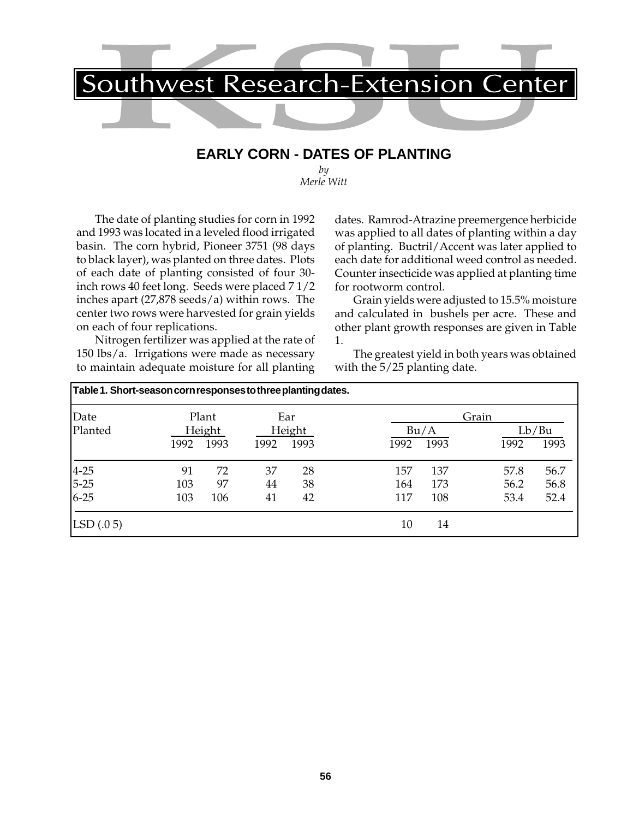

# **EARLY CORN - DATES OF PLANTING**

*by Merle Witt*

The date of planting studies for corn in 1992 and 1993 was located in a leveled flood irrigated basin. The corn hybrid, Pioneer 3751 (98 days to black layer), was planted on three dates. Plots of each date of planting consisted of four 30 inch rows 40 feet long. Seeds were placed 7 1/2 inches apart (27,878 seeds/a) within rows. The center two rows were harvested for grain yields on each of four replications.

Nitrogen fertilizer was applied at the rate of 150 lbs/a. Irrigations were made as necessary to maintain adequate moisture for all planting dates. Ramrod-Atrazine preemergence herbicide was applied to all dates of planting within a day of planting. Buctril/Accent was later applied to each date for additional weed control as needed. Counter insecticide was applied at planting time for rootworm control.

Grain yields were adjusted to 15.5% moisture and calculated in bushels per acre. These and other plant growth responses are given in Table 1.

The greatest yield in both years was obtained with the 5/25 planting date.

| Table 1. Short-season corn responses to three planting dates. |      |                |      |                |      |              |       |               |
|---------------------------------------------------------------|------|----------------|------|----------------|------|--------------|-------|---------------|
| Date                                                          |      | Plant          |      | Ear            |      |              | Grain |               |
| Planted                                                       | 1992 | Height<br>1993 | 1992 | Height<br>1993 | 1992 | Bu/A<br>1993 | 1992  | Lb/Bu<br>1993 |
|                                                               | 91   | 72             | 37   | 28             | 157  | 137          | 57.8  | 56.7          |
|                                                               | 103  | 97             | 44   | 38             | 164  | 173          | 56.2  | 56.8          |
| $\begin{vmatrix} 4-25 \\ 5-25 \\ 6-25 \end{vmatrix}$          | 103  | 106            | 41   | 42             | 117  | 108          | 53.4  | 52.4          |
| LSD(.05)                                                      |      |                |      |                | 10   | 14           |       |               |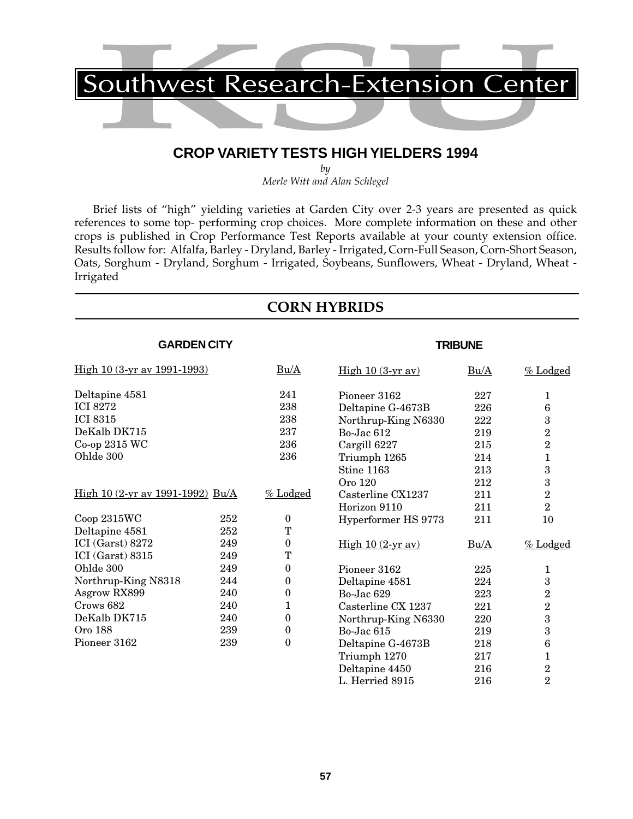# **CROP VARIETY TESTS HIGH YIELDERS 1994**

*by Merle Witt and Alan Schlegel*

Brief lists of "high" yielding varieties at Garden City over 2-3 years are presented as quick references to some top- performing crop choices. More complete information on these and other crops is published in Crop Performance Test Reports available at your county extension office. Results follow for: Alfalfa, Barley - Dryland, Barley - Irrigated, Corn-Full Season, Corn-Short Season, Oats, Sorghum - Dryland, Sorghum - Irrigated, Soybeans, Sunflowers, Wheat - Dryland, Wheat - Irrigated

# **CORN HYBRIDS**

**TRIBUNE**

L. Herried 8915 216 216

## **GARDEN CITY**

| <u>High 10 (3-yr av 1991-1993)</u> |     | Bu/A             | $\frac{\text{High }10 (3-yr av)}{}$ | Bu/A | $%$ Lodged       |
|------------------------------------|-----|------------------|-------------------------------------|------|------------------|
| Deltapine 4581                     |     | 241              | Pioneer 3162                        | 227  | 1                |
| <b>ICI 8272</b>                    |     | 238              | Deltapine G-4673B                   | 226  | $6\phantom{1}6$  |
| <b>ICI 8315</b>                    |     | 238              | Northrup-King N6330                 | 222  | $\boldsymbol{3}$ |
| DeKalb DK715                       |     | 237              | Bo-Jac 612                          | 219  | $\boldsymbol{2}$ |
| Co-op 2315 WC                      |     | 236              | Cargill 6227                        | 215  | $\overline{2}$   |
| Ohlde 300                          |     | 236              | Triumph 1265                        | 214  | 1                |
|                                    |     |                  | Stine 1163                          | 213  | $\boldsymbol{3}$ |
|                                    |     |                  | Oro 120                             | 212  | 3                |
| High 10 (2-yr av 1991-1992) Bu/A   |     | $%$ Lodged       | Casterline CX1237                   | 211  | $\overline{2}$   |
|                                    |     |                  | Horizon 9110                        | 211  | $\overline{2}$   |
| Coop 2315WC                        | 252 | $\boldsymbol{0}$ | Hyperformer HS 9773                 | 211  | 10               |
| Deltapine 4581                     | 252 | T                |                                     |      |                  |
| ICI (Garst) 8272                   | 249 | $\bf{0}$         | High $10(2-yr)$ av)                 | Bu/A | $%$ Lodged       |
| ICI (Garst) $8315$                 | 249 | T                |                                     |      |                  |
| Ohlde 300                          | 249 | $\mathbf{0}$     | Pioneer 3162                        | 225  | 1                |
| Northrup-King N8318                | 244 | $\mathbf{0}$     | Deltapine 4581                      | 224  | 3                |
| Asgrow RX899                       | 240 | 0                | Bo-Jac 629                          | 223  | $\boldsymbol{2}$ |
| Crows 682                          | 240 | 1                | Casterline CX 1237                  | 221  | $\overline{2}$   |
| DeKalb DK715                       | 240 | $\boldsymbol{0}$ | Northrup-King N6330                 | 220  | $\boldsymbol{3}$ |
| <b>Oro 188</b>                     | 239 | $\boldsymbol{0}$ | Bo-Jac 615                          | 219  | $\boldsymbol{3}$ |
| Pioneer 3162                       | 239 | $\boldsymbol{0}$ | Deltapine G-4673B                   | 218  | $\bf 6$          |
|                                    |     |                  | Triumph 1270                        | 217  | 1                |
|                                    |     |                  | Deltapine 4450                      | 216  | 2                |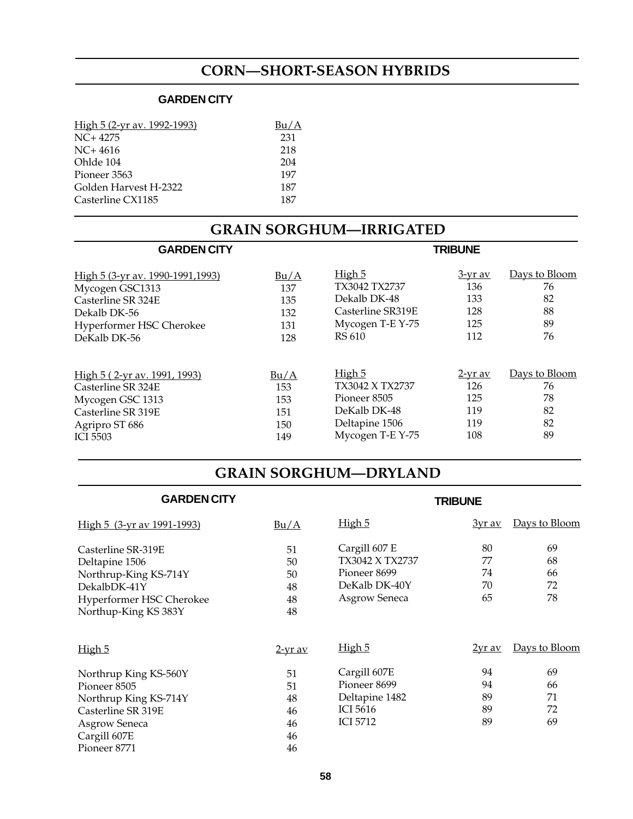# **CORN—SHORT-SEASON HYBRIDS**

# **GARDEN CITY**

| Bu/A |
|------|
| 231  |
| 218  |
| 204  |
| 197  |
| 187  |
| 187  |
|      |

| <b>GRAIN SORGHUM-IRRIGATED</b>   |      |                   |                |               |  |  |
|----------------------------------|------|-------------------|----------------|---------------|--|--|
| <b>GARDEN CITY</b>               |      |                   | <b>TRIBUNE</b> |               |  |  |
| High 5 (3-yr av. 1990-1991,1993) | Bu/A | High 5            | <u>3-yr av</u> | Days to Bloom |  |  |
| Mycogen GSC1313                  | 137  | TX3042 TX2737     | 136            | 76            |  |  |
| Casterline SR 324E               | 135  | Dekalb DK-48      | 133            | 82            |  |  |
| Dekalb DK-56                     | 132  | Casterline SR319E | 128            | 88            |  |  |
| Hyperformer HSC Cherokee         | 131  | Mycogen T-E Y-75  | 125            | 89            |  |  |
| DeKalb DK-56                     | 128  | RS 610            | 112            | 76            |  |  |
| High 5 (2-yr av. 1991, 1993)     | Bu/A | High 5            | <u>2-yr av</u> | Days to Bloom |  |  |
| Casterline SR 324E               | 153  | TX3042 X TX2737   | 126            | 76            |  |  |
| Mycogen GSC 1313                 | 153  | Pioneer 8505      | 125            | 78            |  |  |
| Casterline SR 319E               | 151  | DeKalb DK-48      | 119            | 82            |  |  |
| Agripro ST 686                   | 150  | Deltapine 1506    | 119            | 82            |  |  |
| <b>ICI 5503</b>                  | 149  | Mycogen T-E Y-75  | 108            | 89            |  |  |

# **GRAIN SORGHUM—DRYLAND**

| <b>GARDEN CITY</b>         | <b>TRIBUNE</b> |                      |               |               |
|----------------------------|----------------|----------------------|---------------|---------------|
| High 5 (3-yr av 1991-1993) | Bu/A           | High 5               | <u>3yr av</u> | Days to Bloom |
| Casterline SR-319E         | 51             | Cargill 607 E        | 80            | 69            |
| Deltapine 1506             | 50             | TX3042 X TX2737      | 77            | 68            |
| Northrup-King KS-714Y      | 50             | Pioneer 8699         | 74            | 66            |
| DekalbDK-41Y               | 48             | DeKalb DK-40Y        | 70            | 72            |
| Hyperformer HSC Cherokee   | 48             | <b>Asgrow Seneca</b> | 65            | 78            |
| Northup-King KS 383Y       | 48             |                      |               |               |
| High 5                     | <u>2-yr av</u> | High 5               | $2yr$ av      | Days to Bloom |
| Northrup King KS-560Y      | 51             | Cargill 607E         | 94            | 69            |
| Pioneer 8505               | 51             | Pioneer 8699         | 94            | 66            |
| Northrup King KS-714Y      | 48             | Deltapine 1482       | 89            | 71            |
| Casterline SR 319E         | 46             | <b>ICI 5616</b>      | 89            | 72            |
| <b>Asgrow Seneca</b>       | 46             | <b>ICI 5712</b>      | 89            | 69            |
| Cargill 607E               | 46             |                      |               |               |
| Pioneer 8771               | 46             |                      |               |               |
|                            |                |                      |               |               |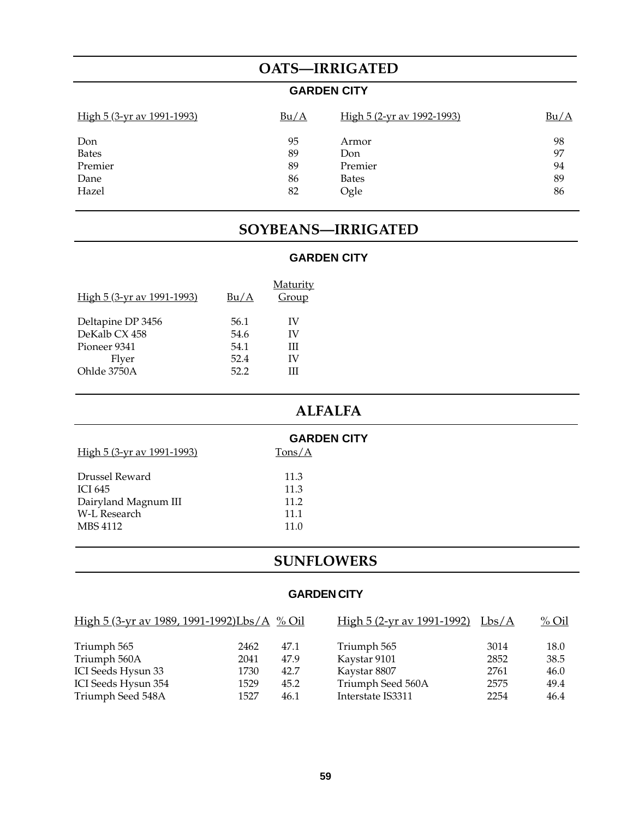# **OATS—IRRIGATED**

# **GARDEN CITY**

| <u>High 5 (3-yr av 1991-1993)</u> | Bu/A | High 5 (2-yr av 1992-1993) | Bu/A |
|-----------------------------------|------|----------------------------|------|
| Don                               | 95   | Armor                      | 98   |
| <b>Bates</b>                      | 89   | Don                        | 97   |
| Premier                           | 89   | Premier                    | 94   |
| Dane                              | 86   | <b>Bates</b>               | 89   |
| Hazel                             | 82   | Ogle                       | 86   |

# **SOYBEANS—IRRIGATED**

# **GARDEN CITY**

| Bu/A | <b>Maturity</b><br>Group |
|------|--------------------------|
| 56.1 | IV                       |
| 54.6 | IV                       |
| 54.1 | Ш                        |
| 52.4 | IV                       |
| 52.2 | Ш                        |
|      |                          |

# **ALFALFA**

| <b>GARDEN CITY</b>                 |        |  |  |  |  |
|------------------------------------|--------|--|--|--|--|
| <u> High 5 (3-yr av 1991-1993)</u> | Tons/A |  |  |  |  |
|                                    |        |  |  |  |  |
| Drussel Reward                     | 11.3   |  |  |  |  |
| ICI 645                            | 11.3   |  |  |  |  |
| Dairyland Magnum III               | 11.2   |  |  |  |  |
| W-L Research                       | 11.1   |  |  |  |  |
| MBS 4112                           | 11.0   |  |  |  |  |
|                                    |        |  |  |  |  |

# **SUNFLOWERS**

# **GARDEN CITY**

| High 5 (3-yr av 1989, 1991-1992)Lbs/A % Oil |      |      | High 5 (2-yr av 1991-1992) Lbs/A |      | $\frac{\% \text{ Oil}}{}$ |
|---------------------------------------------|------|------|----------------------------------|------|---------------------------|
| Triumph 565                                 | 2462 | 47.1 | Triumph 565                      | 3014 | 18.0                      |
| Triumph 560A                                | 2041 | 47.9 | Kaystar 9101                     | 2852 | 38.5                      |
| ICI Seeds Hysun 33                          | 1730 | 42.7 | Kaystar 8807                     | 2761 | 46.0                      |
| ICI Seeds Hysun 354                         | 1529 | 45.2 | Triumph Seed 560A                | 2575 | 49.4                      |
| Triumph Seed 548A                           | 1527 | 46.1 | Interstate IS3311                | 2254 | 46.4                      |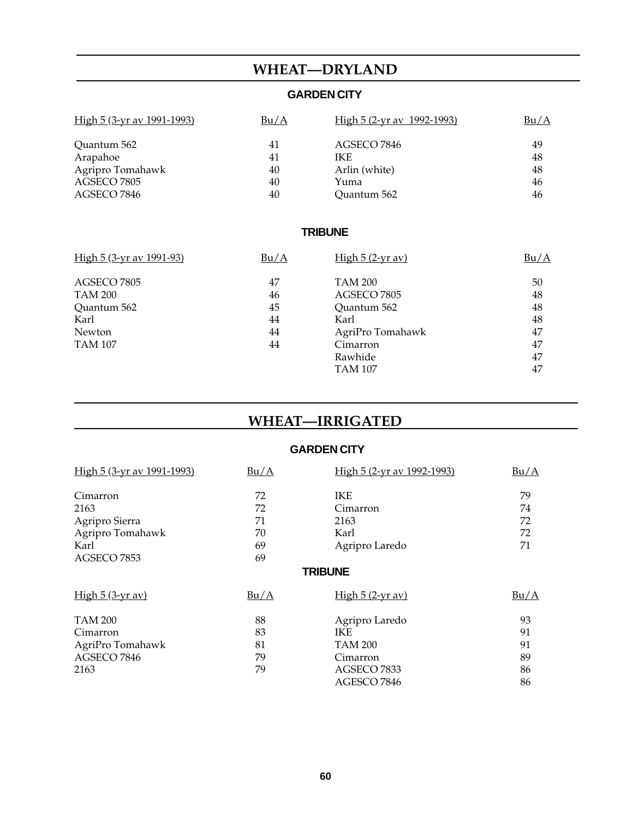# **WHEAT—DRYLAND**

# **GARDEN CITY**

| <u>High 5 (3-yr av 1991-1993)</u> | Bu/A | <u>High 5 (2-yr av 1992-1993)</u> | Bu/A |
|-----------------------------------|------|-----------------------------------|------|
| Ouantum 562                       | 41   | AGSECO 7846                       | 49   |
| Arapahoe                          | 41   | <b>IKE</b>                        | 48   |
| Agripro Tomahawk                  | 40   | Arlin (white)                     | 48   |
| AGSECO 7805                       | 40   | Yuma                              | 46   |
| AGSECO 7846                       | 40   | Ouantum 562                       | 46   |

# **TRIBUNE**

| <u>High 5 (3-yr av 1991-93)</u> | Bu/A | High $5(2-yr av)$ | Bu/A |
|---------------------------------|------|-------------------|------|
| AGSECO 7805                     | 47   | <b>TAM 200</b>    | 50   |
| <b>TAM 200</b>                  | 46   | AGSECO 7805       | 48   |
| Quantum 562                     | 45   | Quantum 562       | 48   |
| Karl                            | 44   | Karl              | 48   |
| Newton                          | 44   | AgriPro Tomahawk  | 47   |
| <b>TAM 107</b>                  | 44   | Cimarron          | 47   |
|                                 |      | Rawhide           | 47   |
|                                 |      | <b>TAM 107</b>    | 47   |

# **WHEAT—IRRIGATED**

## **GARDEN CITY**

| High 5 (3-yr av 1991-1993) | Bu/A | High 5 (2-yr av 1992-1993) | Bu/A |
|----------------------------|------|----------------------------|------|
| Cimarron                   | 72   | <b>IKE</b>                 | 79   |
| 2163                       | 72   | Cimarron                   | 74   |
| Agripro Sierra             | 71   | 2163                       | 72   |
| Agripro Tomahawk           | 70   | Karl                       | 72   |
| Karl                       | 69   | Agripro Laredo             | 71   |
| AGSECO 7853                | 69   |                            |      |
|                            |      | <b>TRIBUNE</b>             |      |
| $High 5 (3-yr av)$         | Bu/A | <u>High 5 (2-yr av)</u>    | Bu/A |
| <b>TAM 200</b>             | 88   | Agripro Laredo             | 93   |
| Cimarron                   | 83   | IKE                        | 91   |
| AgriPro Tomahawk           | 81   | <b>TAM 200</b>             | 91   |
| AGSECO 7846                | 79   | Cimarron                   | 89   |
| 2163                       | 79   | AGSECO 7833                | 86   |
|                            |      | AGESCO 7846                | 86   |
|                            |      |                            |      |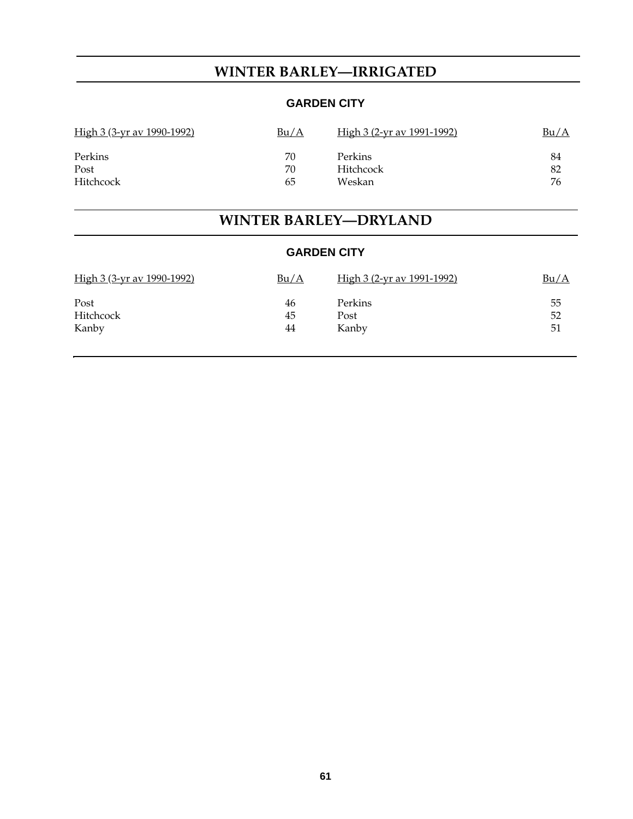# **WINTER BARLEY—IRRIGATED**

# **GARDEN CITY**

| <u>High 3 (3-yr av 1990-1992)</u> | Bu/A | <u>High 3 (2-yr av 1991-1992)</u> | Bu/A |
|-----------------------------------|------|-----------------------------------|------|
| Perkins                           | 70   | Perkins                           | 84   |
| Post                              | 70   | Hitchcock                         | 82   |
| <b>Hitchcock</b>                  | 65   | Weskan                            | 76   |

# **WINTER BARLEY—DRYLAND**

| <b>GARDEN CITY</b> |  |
|--------------------|--|
|--------------------|--|

| <u>High 3 (3-yr av 1990-1992)</u> | <u>Bu/A</u> | <u>High 3 (2-yr av 1991-1992)</u> | <u>Bu/A</u> |
|-----------------------------------|-------------|-----------------------------------|-------------|
| Post                              | 46          | Perkins                           | 55          |
| Hitchcock                         | 45          | Post                              | 52          |
| Kanby                             | 44          | Kanby                             | 51          |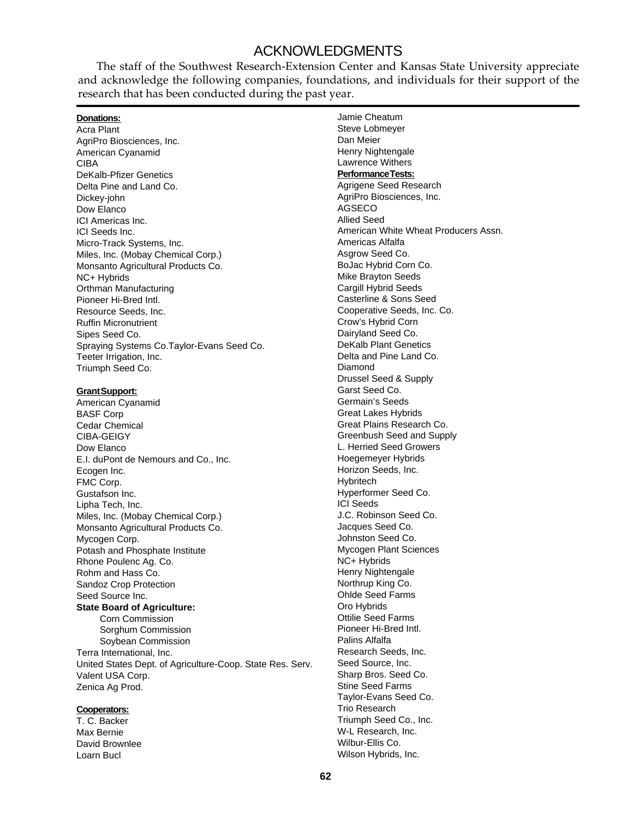# ACKNOWLEDGMENTS

The staff of the Southwest Research-Extension Center and Kansas State University appreciate and acknowledge the following companies, foundations, and individuals for their support of the research that has been conducted during the past year.

| <u> Donations:</u>                                        | Jamie Cheatum                        |
|-----------------------------------------------------------|--------------------------------------|
| Acra Plant                                                | Steve Lobmeyer                       |
| AgriPro Biosciences, Inc.                                 | Dan Meier                            |
| American Cyanamid                                         | Henry Nightengale                    |
| CIBA                                                      | <b>Lawrence Withers</b>              |
| <b>DeKalb-Pfizer Genetics</b>                             | <b>Performance Tests:</b>            |
| Delta Pine and Land Co.                                   | Agrigene Seed Research               |
| Dickey-john                                               | AgriPro Biosciences, Inc.            |
| Dow Elanco                                                | AGSECO                               |
| ICI Americas Inc.                                         | <b>Allied Seed</b>                   |
| ICI Seeds Inc.                                            | American White Wheat Producers Assn. |
| Micro-Track Systems, Inc.                                 | Americas Alfalfa                     |
| Miles, Inc. (Mobay Chemical Corp.)                        | Asgrow Seed Co.                      |
| Monsanto Agricultural Products Co.                        | BoJac Hybrid Corn Co.                |
| NC+ Hybrids                                               | Mike Brayton Seeds                   |
| Orthman Manufacturing                                     | Cargill Hybrid Seeds                 |
| Pioneer Hi-Bred Intl.                                     | Casterline & Sons Seed               |
| Resource Seeds, Inc.                                      | Cooperative Seeds, Inc. Co.          |
| <b>Ruffin Micronutrient</b>                               | Crow's Hybrid Corn                   |
| Sipes Seed Co.                                            | Dairyland Seed Co.                   |
| Spraying Systems Co. Taylor-Evans Seed Co.                | <b>DeKalb Plant Genetics</b>         |
| Teeter Irrigation, Inc.                                   | Delta and Pine Land Co.              |
| Triumph Seed Co.                                          | Diamond                              |
|                                                           | Drussel Seed & Supply                |
| <u>Grant Support:</u>                                     | Garst Seed Co.                       |
| American Cyanamid                                         | Germain's Seeds                      |
| <b>BASF Corp</b>                                          | <b>Great Lakes Hybrids</b>           |
| Cedar Chemical                                            | Great Plains Research Co.            |
| CIBA-GEIGY                                                | Greenbush Seed and Supply            |
| Dow Elanco                                                | L. Herried Seed Growers              |
| E.I. duPont de Nemours and Co., Inc.                      | Hoegemeyer Hybrids                   |
| Ecogen Inc.                                               | Horizon Seeds, Inc.                  |
| FMC Corp.                                                 | Hybritech                            |
| Gustafson Inc.                                            | Hyperformer Seed Co.                 |
| Lipha Tech, Inc.                                          | <b>ICI Seeds</b>                     |
| Miles, Inc. (Mobay Chemical Corp.)                        | J.C. Robinson Seed Co.               |
| Monsanto Agricultural Products Co.                        | Jacques Seed Co.                     |
| Mycogen Corp.                                             | Johnston Seed Co.                    |
| Potash and Phosphate Institute                            | Mycogen Plant Sciences               |
| Rhone Poulenc Ag. Co.                                     | NC+ Hybrids                          |
| Rohm and Hass Co.                                         | Henry Nightengale                    |
| Sandoz Crop Protection                                    | Northrup King Co.                    |
| Seed Source Inc.                                          | <b>Ohlde Seed Farms</b>              |
| <b>State Board of Agriculture:</b>                        | Oro Hybrids                          |
| Corn Commission                                           | <b>Ottilie Seed Farms</b>            |
| Sorghum Commission                                        | Pioneer Hi-Bred Intl.                |
| Soybean Commission                                        | Palins Alfalfa                       |
| Terra International, Inc.                                 | Research Seeds, Inc.                 |
| United States Dept. of Agriculture-Coop. State Res. Serv. | Seed Source, Inc.                    |
| Valent USA Corp.                                          | Sharp Bros. Seed Co.                 |
| Zenica Ag Prod.                                           | <b>Stine Seed Farms</b>              |
|                                                           | Taylor-Evans Seed Co.                |
| <b>Cooperators:</b>                                       | <b>Trio Research</b>                 |
| T. C. Backer                                              | Triumph Seed Co., Inc.               |
| Max Bernie                                                | W-L Research, Inc.                   |
| David Brownlee                                            | Wilbur-Ellis Co.                     |

## Max Bernie David Brownlee Loarn Bucl

Ĭ.

Wilson Hybrids, Inc.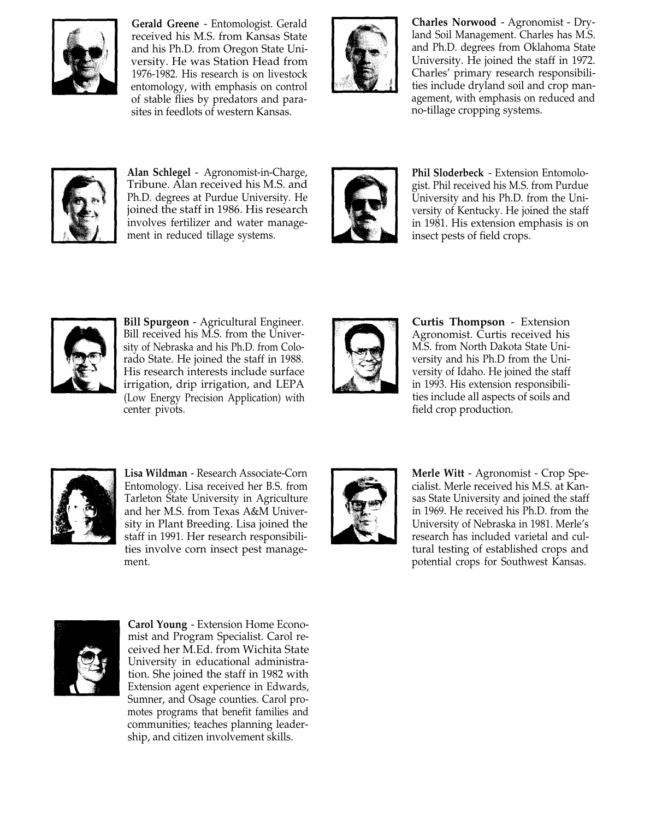

**Gerald Greene** - Entomologist. Gerald received his M.S. from Kansas State and his Ph.D. from Oregon State University. He was Station Head from 1976-1982. His research is on livestock entomology, with emphasis on control of stable flies by predators and parasites in feedlots of western Kansas.



**Charles Norwood** - Agronomist - Dryland Soil Management. Charles has M.S. and Ph.D. degrees from Oklahoma State University. He joined the staff in 1972. Charles' primary research responsibilities include dryland soil and crop management, with emphasis on reduced and no-tillage cropping systems.



**Alan Schlegel** - Agronomist-in-Charge, Tribune. Alan received his M.S. and Ph.D. degrees at Purdue University. He joined the staff in 1986. His research involves fertilizer and water management in reduced tillage systems.



**Phil Sloderbeck** - Extension Entomologist. Phil received his M.S. from Purdue University and his Ph.D. from the University of Kentucky. He joined the staff in 1981. His extension emphasis is on insect pests of field crops.



**Bill Spurgeon** - Agricultural Engineer. Bill received his M.S. from the University of Nebraska and his Ph.D. from Colorado State. He joined the staff in 1988. His research interests include surface irrigation, drip irrigation, and LEPA (Low Energy Precision Application) with center pivots.



**Curtis Thompson** - Extension Agronomist. Curtis received his M.S. from North Dakota State University and his Ph.D from the University of Idaho. He joined the staff in 1993. His extension responsibilities include all aspects of soils and field crop production.



**Lisa Wildman** - Research Associate-Corn Entomology. Lisa received her B.S. from Tarleton State University in Agriculture and her M.S. from Texas A&M University in Plant Breeding. Lisa joined the staff in 1991. Her research responsibilities involve corn insect pest management.



**Merle Witt** - Agronomist - Crop Specialist. Merle received his M.S. at Kansas State University and joined the staff in 1969. He received his Ph.D. from the University of Nebraska in 1981. Merle's research has included varietal and cultural testing of established crops and potential crops for Southwest Kansas.



**Carol Young** - Extension Home Economist and Program Specialist. Carol received her M.Ed. from Wichita State University in educational administration. She joined the staff in 1982 with Extension agent experience in Edwards, Sumner, and Osage counties. Carol promotes programs that benefit families and communities; teaches planning leadership, and citizen involvement skills.